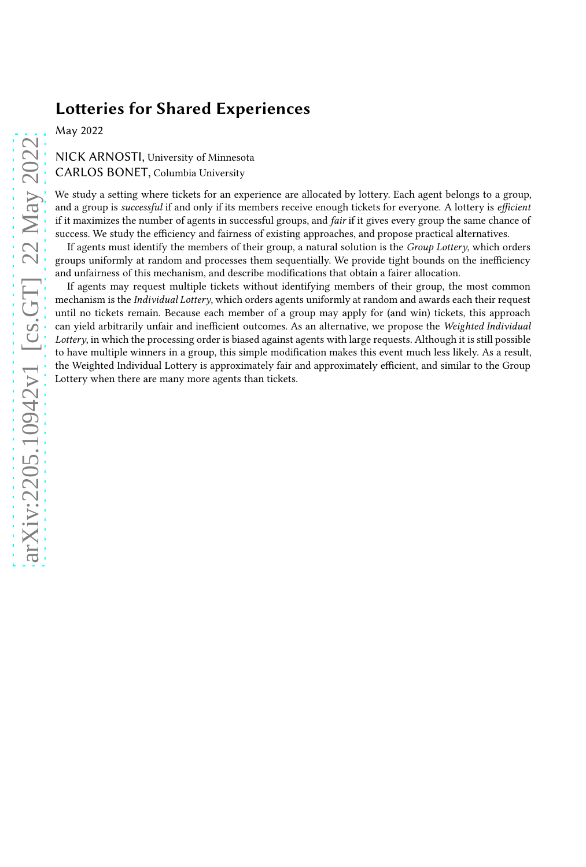# **Lotteries for Shared Experiences**

May 2022

# NICK ARNOSTI, University of Minnesota CARLOS BONET, Columbia University

We study a setting where tickets for an experience are allocated by lottery. Each agent belongs to a group, and a group is successful if and only if its members receive enough tickets for everyone. A lottery is efficient if it maximizes the number of agents in successful groups, and fair if it gives every group the same chance of success. We study the efficiency and fairness of existing approaches, and propose practical alternatives.

If agents must identify the members of their group, a natural solution is the Group Lottery, which orders groups uniformly at random and processes them sequentially. We provide tight bounds on the inefficiency and unfairness of this mechanism, and describe modifications that obtain a fairer allocation.

If agents may request multiple tickets without identifying members of their group, the most common mechanism is the *Individual Lottery*, which orders agents uniformly at random and awards each their request until no tickets remain. Because each member of a group may apply for (and win) tickets, this approach can yield arbitrarily unfair and inefficient outcomes. As an alternative, we propose the Weighted Individual Lottery, in which the processing order is biased against agents with large requests. Although it is still possible to have multiple winners in a group, this simple modification makes this event much less likely. As a result, the Weighted Individual Lottery is approximately fair and approximately efficient, and similar to the Group Lottery when there are many more agents than tickets.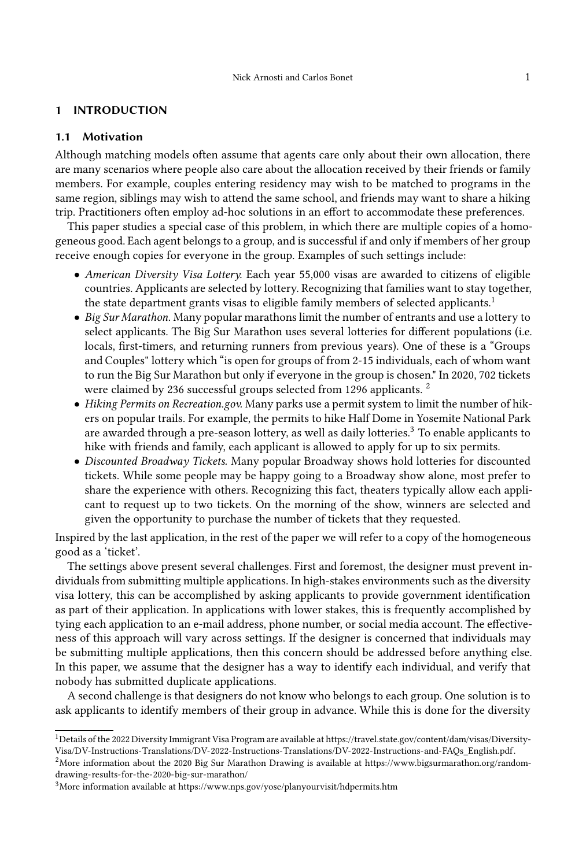#### 1 INTRODUCTION

#### 1.1 Motivation

Although matching models often assume that agents care only about their own allocation, there are many scenarios where people also care about the allocation received by their friends or family members. For example, couples entering residency may wish to be matched to programs in the same region, siblings may wish to attend the same school, and friends may want to share a hiking trip. Practitioners often employ ad-hoc solutions in an effort to accommodate these preferences.

This paper studies a special case of this problem, in which there are multiple copies of a homogeneous good. Each agent belongs to a group, and is successful if and only if members of her group receive enough copies for everyone in the group. Examples of such settings include:

- American Diversity Visa Lottery. Each year 55,000 visas are awarded to citizens of eligible countries. Applicants are selected by lottery. Recognizing that families want to stay together, the state department grants visas to eligible family members of selected applicants.<sup>[1](#page-1-0)</sup>
- Big Sur Marathon. Many popular marathons limit the number of entrants and use a lottery to select applicants. The Big Sur Marathon uses several lotteries for different populations (i.e. locals, first-timers, and returning runners from previous years). One of these is a "Groups and Couples" lottery which "is open for groups of from 2-15 individuals, each of whom want to run the Big Sur Marathon but only if everyone in the group is chosen." In 2020, 702 tickets were claimed by [2](#page-1-1)36 successful groups selected from 1296 applicants.<sup>2</sup>
- Hiking Permits on Recreation.gov. Many parks use a permit system to limit the number of hikers on popular trails. For example, the permits to hike Half Dome in Yosemite National Park are awarded through a pre-season lottery, as well as daily lotteries.[3](#page-1-2) To enable applicants to hike with friends and family, each applicant is allowed to apply for up to six permits.
- Discounted Broadway Tickets. Many popular Broadway shows hold lotteries for discounted tickets. While some people may be happy going to a Broadway show alone, most prefer to share the experience with others. Recognizing this fact, theaters typically allow each applicant to request up to two tickets. On the morning of the show, winners are selected and given the opportunity to purchase the number of tickets that they requested.

Inspired by the last application, in the rest of the paper we will refer to a copy of the homogeneous good as a 'ticket'.

The settings above present several challenges. First and foremost, the designer must prevent individuals from submitting multiple applications. In high-stakes environments such as the diversity visa lottery, this can be accomplished by asking applicants to provide government identification as part of their application. In applications with lower stakes, this is frequently accomplished by tying each application to an e-mail address, phone number, or social media account. The effectiveness of this approach will vary across settings. If the designer is concerned that individuals may be submitting multiple applications, then this concern should be addressed before anything else. In this paper, we assume that the designer has a way to identify each individual, and verify that nobody has submitted duplicate applications.

A second challenge is that designers do not know who belongs to each group. One solution is to ask applicants to identify members of their group in advance. While this is done for the diversity

<span id="page-1-0"></span> $^1$ Details of the 2022 Diversity Immigrant Visa Program are available at [https://travel.state.gov/content/dam/visas/Diversity-](https://travel.state.gov/content/dam/visas/Diversity-Visa/DV-Instructions-Translations/DV-2022-Instructions-Translations/DV-2022-Instructions-and-FAQs_English.pdf)[Visa/DV-Instructions-Translations/DV-2022-Instructions-Translations/DV-2022-Instructions-and-FAQs\\_English.pdf.](https://travel.state.gov/content/dam/visas/Diversity-Visa/DV-Instructions-Translations/DV-2022-Instructions-Translations/DV-2022-Instructions-and-FAQs_English.pdf)

<span id="page-1-1"></span><sup>&</sup>lt;sup>2</sup>More information about the 2020 Big Sur Marathon Drawing is available at [https://www.bigsurmarathon.org/random](https://www.bigsurmarathon.org/random-drawing-results-for-the-2020-big-sur-marathon/)[drawing-results-for-the-2020-big-sur-marathon/](https://www.bigsurmarathon.org/random-drawing-results-for-the-2020-big-sur-marathon/)

<span id="page-1-2"></span><sup>3</sup>More information available at<https://www.nps.gov/yose/planyourvisit/hdpermits.htm>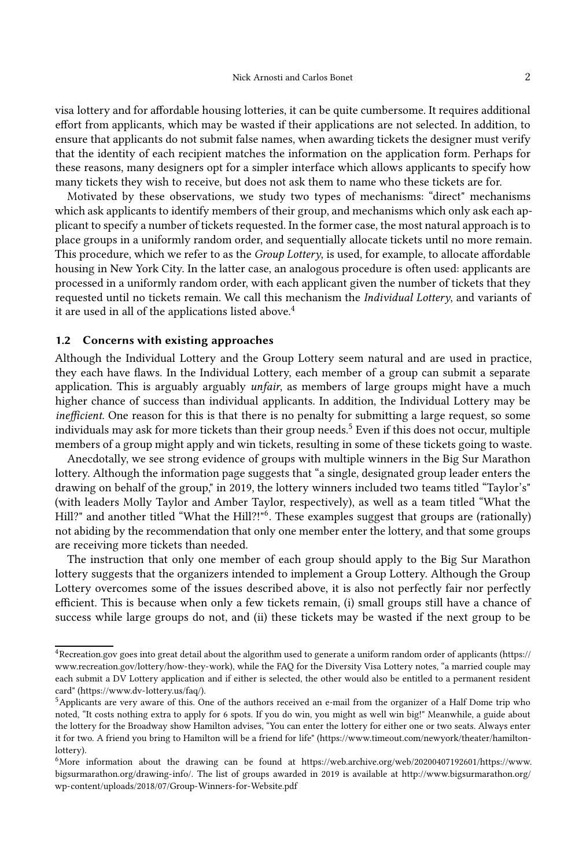visa lottery and for affordable housing lotteries, it can be quite cumbersome. It requires additional effort from applicants, which may be wasted if their applications are not selected. In addition, to ensure that applicants do not submit false names, when awarding tickets the designer must verify that the identity of each recipient matches the information on the application form. Perhaps for these reasons, many designers opt for a simpler interface which allows applicants to specify how many tickets they wish to receive, but does not ask them to name who these tickets are for.

Motivated by these observations, we study two types of mechanisms: "direct" mechanisms which ask applicants to identify members of their group, and mechanisms which only ask each applicant to specify a number of tickets requested. In the former case, the most natural approach is to place groups in a uniformly random order, and sequentially allocate tickets until no more remain. This procedure, which we refer to as the *Group Lottery*, is used, for example, to allocate affordable housing in New York City. In the latter case, an analogous procedure is often used: applicants are processed in a uniformly random order, with each applicant given the number of tickets that they requested until no tickets remain. We call this mechanism the Individual Lottery, and variants of it are used in all of the applications listed above.<sup>[4](#page-2-0)</sup>

#### 1.2 Concerns with existing approaches

Although the Individual Lottery and the Group Lottery seem natural and are used in practice, they each have flaws. In the Individual Lottery, each member of a group can submit a separate application. This is arguably arguably *unfair*, as members of large groups might have a much higher chance of success than individual applicants. In addition, the Individual Lottery may be inefficient. One reason for this is that there is no penalty for submitting a large request, so some individuals may ask for more tickets than their group needs.<sup>[5](#page-2-1)</sup> Even if this does not occur, multiple members of a group might apply and win tickets, resulting in some of these tickets going to waste.

Anecdotally, we see strong evidence of groups with multiple winners in the Big Sur Marathon lottery. Although the information page suggests that "a single, designated group leader enters the drawing on behalf of the group," in 2019, the lottery winners included two teams titled "Taylor's" (with leaders Molly Taylor and Amber Taylor, respectively), as well as a team titled "What the Hill?" and another titled "What the Hill?!"<sup>[6](#page-2-2)</sup>. These examples suggest that groups are (rationally) not abiding by the recommendation that only one member enter the lottery, and that some groups are receiving more tickets than needed.

The instruction that only one member of each group should apply to the Big Sur Marathon lottery suggests that the organizers intended to implement a Group Lottery. Although the Group Lottery overcomes some of the issues described above, it is also not perfectly fair nor perfectly efficient. This is because when only a few tickets remain, (i) small groups still have a chance of success while large groups do not, and (ii) these tickets may be wasted if the next group to be

<span id="page-2-0"></span><sup>4</sup>Recreation.gov goes into great detail about the algorithm used to generate a uniform random order of applicants [\(https://](https://www.recreation.gov/lottery/how-they-work) [www.recreation.gov/lottery/how-they-work\)](https://www.recreation.gov/lottery/how-they-work), while the FAQ for the Diversity Visa Lottery notes, "a married couple may each submit a DV Lottery application and if either is selected, the other would also be entitled to a permanent resident card" [\(https://www.dv-lottery.us/faq/\)](https://www.dv-lottery.us/faq/).

<span id="page-2-1"></span><sup>5</sup>Applicants are very aware of this. One of the authors received an e-mail from the organizer of a Half Dome trip who noted, "It costs nothing extra to apply for 6 spots. If you do win, you might as well win big!" Meanwhile, a guide about the lottery for the Broadway show Hamilton advises, "You can enter the lottery for either one or two seats. Always enter it for two. A friend you bring to Hamilton will be a friend for life" [\(https://www.timeout.com/newyork/theater/hamilton](https://www.timeout.com/newyork/theater/hamilton-lottery)[lottery\)](https://www.timeout.com/newyork/theater/hamilton-lottery).

<span id="page-2-2"></span><sup>6</sup>More information about the drawing can be found at [https://web.archive.org/web/20200407192601/https://www.](https://web.archive.org/web/20200407192601/https://www.bigsurmarathon.org/drawing-info/) [bigsurmarathon.org/drawing-info/.](https://web.archive.org/web/20200407192601/https://www.bigsurmarathon.org/drawing-info/) The list of groups awarded in 2019 is available at [http://www.bigsurmarathon.org/](http://www.bigsurmarathon.org/wp-content/uploads/2018/07/Group-Winners-for-Website.pdf) [wp-content/uploads/2018/07/Group-Winners-for-Website.pdf](http://www.bigsurmarathon.org/wp-content/uploads/2018/07/Group-Winners-for-Website.pdf)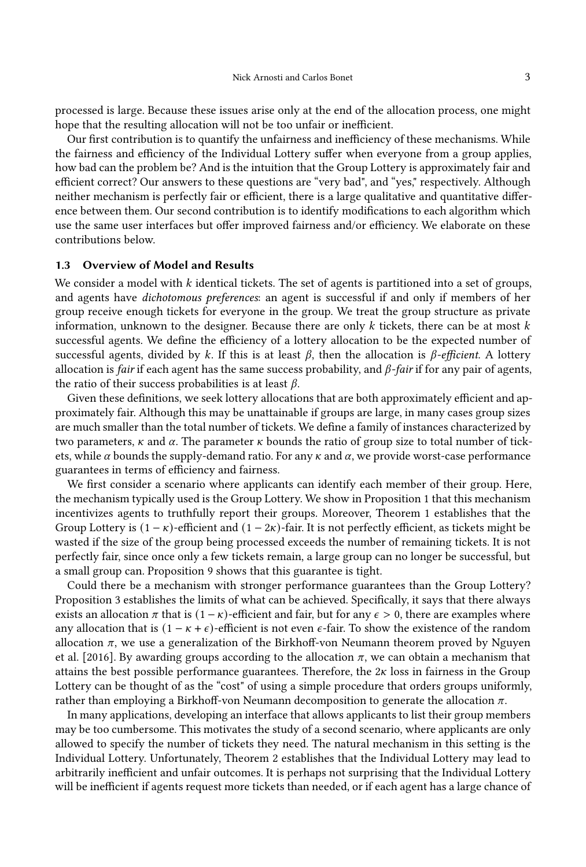processed is large. Because these issues arise only at the end of the allocation process, one might hope that the resulting allocation will not be too unfair or inefficient.

Our first contribution is to quantify the unfairness and inefficiency of these mechanisms. While the fairness and efficiency of the Individual Lottery suffer when everyone from a group applies, how bad can the problem be? And is the intuition that the Group Lottery is approximately fair and efficient correct? Our answers to these questions are "very bad", and "yes," respectively. Although neither mechanism is perfectly fair or efficient, there is a large qualitative and quantitative difference between them. Our second contribution is to identify modifications to each algorithm which use the same user interfaces but offer improved fairness and/or efficiency. We elaborate on these contributions below.

# 1.3 Overview of Model and Results

We consider a model with  $k$  identical tickets. The set of agents is partitioned into a set of groups, and agents have dichotomous preferences: an agent is successful if and only if members of her group receive enough tickets for everyone in the group. We treat the group structure as private information, unknown to the designer. Because there are only  $k$  tickets, there can be at most  $k$ successful agents. We define the efficiency of a lottery allocation to be the expected number of successful agents, divided by k. If this is at least  $\beta$ , then the allocation is  $\beta$ -efficient. A lottery allocation is fair if each agent has the same success probability, and  $\beta$ -fair if for any pair of agents, the ratio of their success probabilities is at least  $\beta$ .

Given these definitions, we seek lottery allocations that are both approximately efficient and approximately fair. Although this may be unattainable if groups are large, in many cases group sizes are much smaller than the total number of tickets. We define a family of instances characterized by two parameters,  $\kappa$  and  $\alpha$ . The parameter  $\kappa$  bounds the ratio of group size to total number of tickets, while  $\alpha$  bounds the supply-demand ratio. For any  $\kappa$  and  $\alpha$ , we provide worst-case performance guarantees in terms of efficiency and fairness.

We first consider a scenario where applicants can identify each member of their group. Here, the mechanism typically used is the Group Lottery. We show in Proposition [1](#page-8-0) that this mechanism incentivizes agents to truthfully report their groups. Moreover, Theorem [1](#page-9-0) establishes that the Group Lottery is  $(1 - \kappa)$ -efficient and  $(1 - 2\kappa)$ -fair. It is not perfectly efficient, as tickets might be wasted if the size of the group being processed exceeds the number of remaining tickets. It is not perfectly fair, since once only a few tickets remain, a large group can no longer be successful, but a small group can. Proposition [9](#page-27-0) shows that this guarantee is tight.

Could there be a mechanism with stronger performance guarantees than the Group Lottery? Proposition [3](#page-10-0) establishes the limits of what can be achieved. Specifically, it says that there always exists an allocation  $\pi$  that is  $(1 - \kappa)$ -efficient and fair, but for any  $\epsilon > 0$ , there are examples where any allocation that is  $(1 - \kappa + \epsilon)$ -efficient is not even  $\epsilon$ -fair. To show the existence of the random allocation  $\pi$ [, we use a generalization of the Birkhoff-von Neumann theorem proved by](#page-19-0) Nguyen et al. [\[2016\]](#page-19-0). By awarding groups according to the allocation  $\pi$ , we can obtain a mechanism that attains the best possible performance guarantees. Therefore, the  $2\kappa$  loss in fairness in the Group Lottery can be thought of as the "cost" of using a simple procedure that orders groups uniformly, rather than employing a Birkhoff-von Neumann decomposition to generate the allocation  $\pi$ .

In many applications, developing an interface that allows applicants to list their group members may be too cumbersome. This motivates the study of a second scenario, where applicants are only allowed to specify the number of tickets they need. The natural mechanism in this setting is the Individual Lottery. Unfortunately, Theorem [2](#page-12-0) establishes that the Individual Lottery may lead to arbitrarily inefficient and unfair outcomes. It is perhaps not surprising that the Individual Lottery will be inefficient if agents request more tickets than needed, or if each agent has a large chance of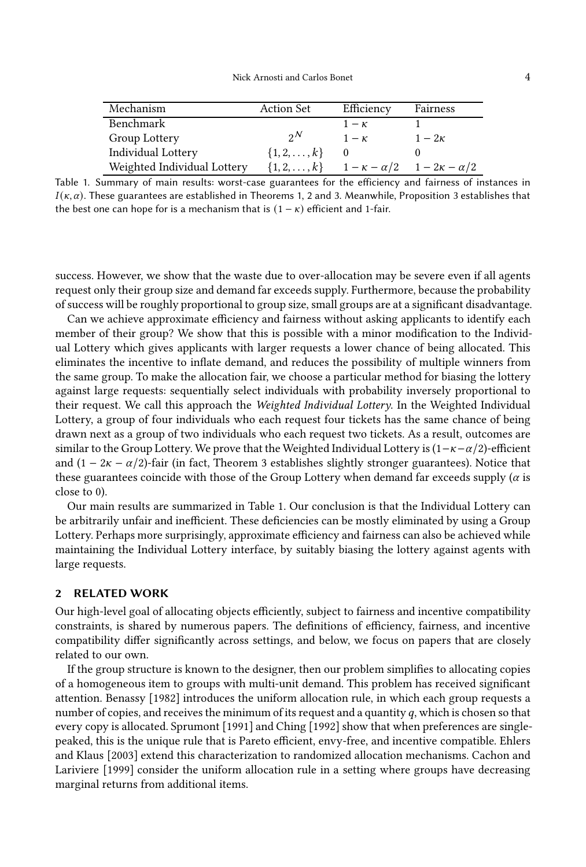<span id="page-4-0"></span>

| Mechanism                   | <b>Action Set</b>     | Efficiency | Fairness                                         |
|-----------------------------|-----------------------|------------|--------------------------------------------------|
| Benchmark                   |                       | $1-\kappa$ |                                                  |
| Group Lottery               | $2^N$                 | $1-\kappa$ | $1-2\kappa$                                      |
| Individual Lottery          | $\{1, 2, \ldots, k\}$ |            |                                                  |
| Weighted Individual Lottery | $\{1, 2, \ldots, k\}$ |            | $1 - \kappa - \alpha/2$ $1 - 2\kappa - \alpha/2$ |

Table 1. Summary of main results: worst-case guarantees for the efficiency and fairness of instances in  $I(\kappa, \alpha)$ . These guarantees are established in Theorems [1,](#page-9-0) [2](#page-12-0) and [3.](#page-16-0) Meanwhile, Proposition [3](#page-10-0) establishes that the best one can hope for is a mechanism that is  $(1 - \kappa)$  efficient and 1-fair.

success. However, we show that the waste due to over-allocation may be severe even if all agents request only their group size and demand far exceeds supply. Furthermore, because the probability of success will be roughly proportional to group size, small groups are at a significant disadvantage.

Can we achieve approximate efficiency and fairness without asking applicants to identify each member of their group? We show that this is possible with a minor modification to the Individual Lottery which gives applicants with larger requests a lower chance of being allocated. This eliminates the incentive to inflate demand, and reduces the possibility of multiple winners from the same group. To make the allocation fair, we choose a particular method for biasing the lottery against large requests: sequentially select individuals with probability inversely proportional to their request. We call this approach the Weighted Individual Lottery. In the Weighted Individual Lottery, a group of four individuals who each request four tickets has the same chance of being drawn next as a group of two individuals who each request two tickets. As a result, outcomes are similar to the Group Lottery. We prove that the Weighted Individual Lottery is  $(1 - \kappa - \alpha/2)$ -efficient and (1 − 2 $\kappa$  −  $\alpha$ /2)-fair (in fact, Theorem [3](#page-16-0) establishes slightly stronger guarantees). Notice that these guarantees coincide with those of the Group Lottery when demand far exceeds supply  $(\alpha)$  is close to 0).

Our main results are summarized in Table [1.](#page-4-0) Our conclusion is that the Individual Lottery can be arbitrarily unfair and inefficient. These deficiencies can be mostly eliminated by using a Group Lottery. Perhaps more surprisingly, approximate efficiency and fairness can also be achieved while maintaining the Individual Lottery interface, by suitably biasing the lottery against agents with large requests.

## 2 RELATED WORK

Our high-level goal of allocating objects efficiently, subject to fairness and incentive compatibility constraints, is shared by numerous papers. The definitions of efficiency, fairness, and incentive compatibility differ significantly across settings, and below, we focus on papers that are closely related to our own.

If the group structure is known to the designer, then our problem simplifies to allocating copies of a homogeneous item to groups with multi-unit demand. This problem has received significant attention. [Benassy \[1982\]](#page-19-1) introduces the uniform allocation rule, in which each group requests a number of copies, and receives the minimum of its request and a quantity  $q$ , which is chosen so that every copy is allocated. [Sprumont \[1991\]](#page-19-2) and [Ching \[1992](#page-19-3)] show that when preferences are singlepeaked, t[his is the unique rule that is Pareto efficient, envy-free, and incentive compatible.](#page-19-4) Ehlers and Kla[us](#page-19-5) [\[2003](#page-19-4)[\] extend this characterization to randomized allocation mechanisms.](#page-19-5) Cachon and Lariviere [\[1999\]](#page-19-5) consider the uniform allocation rule in a setting where groups have decreasing marginal returns from additional items.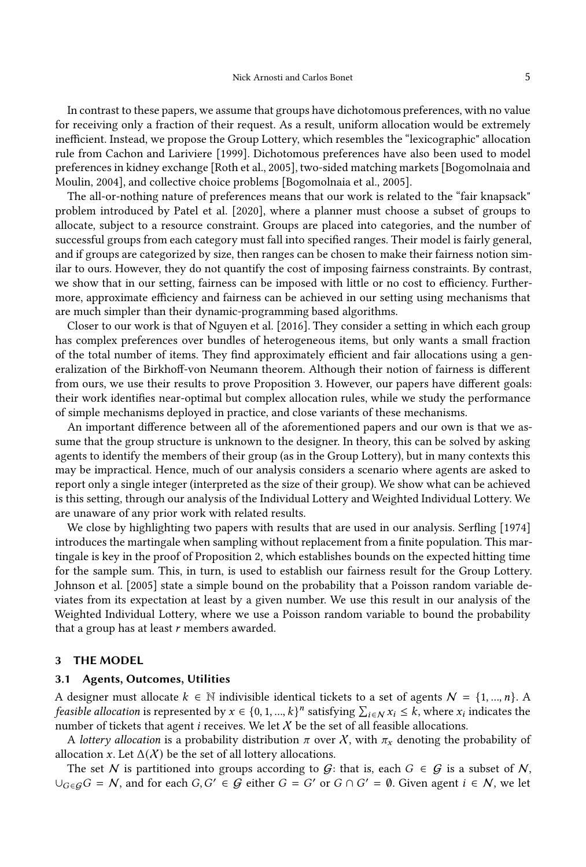In contrast to these papers, we assume that groups have dichotomous preferences, with no value for receiving only a fraction of their request. As a result, uniform allocation would be extremely inefficient. Instead, we propose the Group Lottery, which resembles the "lexicographic" allocation rule from [Cachon and Lariviere \[1999\]](#page-19-5). Dichotomous preferences have also been used to model prefere[nces in kidney exchange](#page-19-7) [\[Roth et al., 2005](#page-19-6)[\], two-sided matching markets \[](#page-19-7)Bogomolnaia and Moulin, [2004\]](#page-19-7), and collective choice problems [\[Bogomolnaia et](#page-19-8) al., [2005](#page-19-8)].

The all-or-nothing nature of preferences means that our work is related to the "fair knapsack" problem introduced by [Patel et al. \[2020\]](#page-19-9), where a planner must choose a subset of groups to allocate, subject to a resource constraint. Groups are placed into categories, and the number of successful groups from each category must fall into specified ranges. Their model is fairly general, and if groups are categorized by size, then ranges can be chosen to make their fairness notion similar to ours. However, they do not quantify the cost of imposing fairness constraints. By contrast, we show that in our setting, fairness can be imposed with little or no cost to efficiency. Furthermore, approximate efficiency and fairness can be achieved in our setting using mechanisms that are much simpler than their dynamic-programming based algorithms.

Closer to our work is that of [Nguyen et al. \[2016\]](#page-19-0). They consider a setting in which each group has complex preferences over bundles of heterogeneous items, but only wants a small fraction of the total number of items. They find approximately efficient and fair allocations using a generalization of the Birkhoff-von Neumann theorem. Although their notion of fairness is different from ours, we use their results to prove Proposition [3.](#page-10-0) However, our papers have different goals: their work identifies near-optimal but complex allocation rules, while we study the performance of simple mechanisms deployed in practice, and close variants of these mechanisms.

An important difference between all of the aforementioned papers and our own is that we assume that the group structure is unknown to the designer. In theory, this can be solved by asking agents to identify the members of their group (as in the Group Lottery), but in many contexts this may be impractical. Hence, much of our analysis considers a scenario where agents are asked to report only a single integer (interpreted as the size of their group). We show what can be achieved is this setting, through our analysis of the Individual Lottery and Weighted Individual Lottery. We are unaware of any prior work with related results.

We close by highlighting two papers with results that are used in our analysis. [Serfling \[1974\]](#page-19-10) introduces the martingale when sampling without replacement from a finite population. This martingale is key in the proof of Proposition [2,](#page-10-1) which establishes bounds on the expected hitting time for the sample sum. This, in turn, is used to establish our fairness result for the Group Lottery. [Johnson et al. \[2005](#page-19-11)] state a simple bound on the probability that a Poisson random variable deviates from its expectation at least by a given number. We use this result in our analysis of the Weighted Individual Lottery, where we use a Poisson random variable to bound the probability that a group has at least  $r$  members awarded.

#### 3 THE MODEL

#### 3.1 Agents, Outcomes, Utilities

A designer must allocate  $k \in \mathbb{N}$  indivisible identical tickets to a set of agents  $\mathcal{N} = \{1, ..., n\}$ . A feasible allocation is represented by  $x \in \{0, 1, ..., k\}^n$  satisfying  $\sum_{i \in \mathcal{N}} x_i \leq k$ , where  $x_i$  indicates the number of tickets that agent  $i$  receives. We let  $X$  be the set of all feasible allocations.

A lottery allocation is a probability distribution  $\pi$  over X, with  $\pi_x$  denoting the probability of allocation x. Let  $\Delta(X)$  be the set of all lottery allocations.

The set N is partitioned into groups according to G: that is, each  $G \in \mathcal{G}$  is a subset of N,  $\bigcup_{G\in\mathcal{G}}G=N$ , and for each  $G, G'\in\mathcal{G}$  either  $G=G'$  or  $G\cap G'=\emptyset$ . Given agent  $i\in\mathcal{N}$ , we let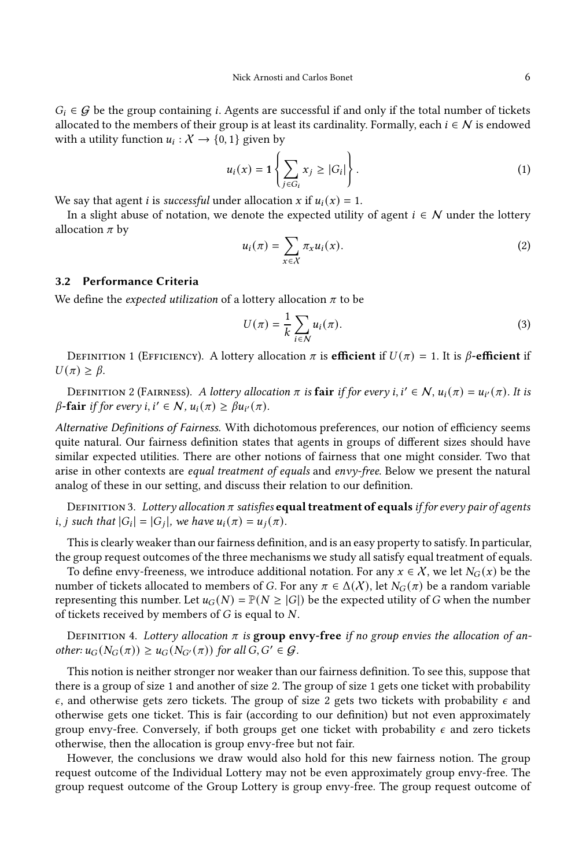$G_i \in \mathcal{G}$  be the group containing *i*. Agents are successful if and only if the total number of tickets allocated to the members of their group is at least its cardinality. Formally, each  $i \in \mathcal{N}$  is endowed with a utility function  $u_i: X \to \{0, 1\}$  given by

$$
u_i(x) = \mathbf{1} \left\{ \sum_{j \in G_i} x_j \ge |G_i| \right\}.
$$
 (1)

We say that agent *i* is *successful* under allocation *x* if  $u_i(x) = 1$ .

In a slight abuse of notation, we denote the expected utility of agent  $i \in \mathcal{N}$  under the lottery allocation  $\pi$  by

$$
u_i(\pi) = \sum_{x \in \mathcal{X}} \pi_x u_i(x). \tag{2}
$$

## 3.2 Performance Criteria

We define the *expected utilization* of a lottery allocation  $\pi$  to be

$$
U(\pi) = \frac{1}{k} \sum_{i \in \mathcal{N}} u_i(\pi).
$$
 (3)

DEFINITION 1 (EFFICIENCY). A lottery allocation  $\pi$  is **efficient** if  $U(\pi) = 1$ . It is  $\beta$ -**efficient** if  $U(\pi) \geq \beta$ .

DEFINITION 2 (FAIRNESS). A lottery allocation  $\pi$  is **fair** if for every i,  $i' \in \mathcal{N}$ ,  $u_i(\pi) = u_{i'}(\pi)$ . It is  $\beta$ -fair if for every i, i'  $\in \mathcal{N}$ ,  $u_i(\pi) \geq \beta u_{i'}(\pi)$ .

Alternative Definitions of Fairness. With dichotomous preferences, our notion of efficiency seems quite natural. Our fairness definition states that agents in groups of different sizes should have similar expected utilities. There are other notions of fairness that one might consider. Two that arise in other contexts are equal treatment of equals and envy-free. Below we present the natural analog of these in our setting, and discuss their relation to our definition.

DEFINITION 3. Lottery allocation  $\pi$  satisfies **equal treatment of equals** if for every pair of agents *i*, *j* such that  $|G_i| = |G_j|$ , we have  $u_i(\pi) = u_j(\pi)$ .

This is clearly weaker than our fairness definition, and is an easy property to satisfy. In particular, the group request outcomes of the three mechanisms we study all satisfy equal treatment of equals.

To define envy-freeness, we introduce additional notation. For any  $x \in \mathcal{X}$ , we let  $N_G(x)$  be the number of tickets allocated to members of G. For any  $\pi \in \Delta(X)$ , let  $N_G(\pi)$  be a random variable representing this number. Let  $u_G(N) = \mathbb{P}(N \geq |G|)$  be the expected utility of G when the number of tickets received by members of  $G$  is equal to  $N$ .

DEFINITION 4. Lottery allocation  $\pi$  is group envy-free if no group envies the allocation of another:  $u_G(N_G(\pi)) \geq u_G(N_{G'}(\pi))$  for all  $G, G' \in \mathcal{G}$ .

This notion is neither stronger nor weaker than our fairness definition. To see this, suppose that there is a group of size 1 and another of size 2. The group of size 1 gets one ticket with probability  $\epsilon$ , and otherwise gets zero tickets. The group of size 2 gets two tickets with probability  $\epsilon$  and otherwise gets one ticket. This is fair (according to our definition) but not even approximately group envy-free. Conversely, if both groups get one ticket with probability  $\epsilon$  and zero tickets otherwise, then the allocation is group envy-free but not fair.

However, the conclusions we draw would also hold for this new fairness notion. The group request outcome of the Individual Lottery may not be even approximately group envy-free. The group request outcome of the Group Lottery is group envy-free. The group request outcome of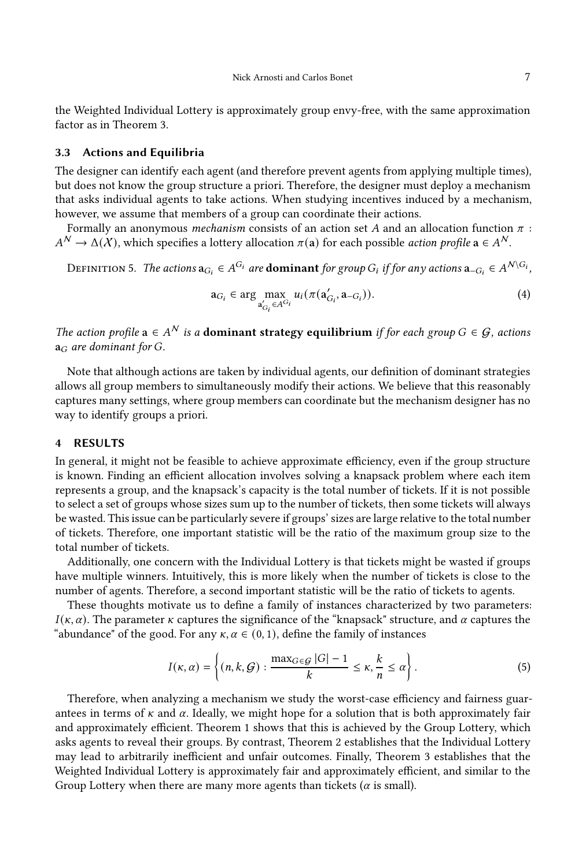the Weighted Individual Lottery is approximately group envy-free, with the same approximation factor as in Theorem [3.](#page-16-0)

#### 3.3 Actions and Equilibria

The designer can identify each agent (and therefore prevent agents from applying multiple times), but does not know the group structure a priori. Therefore, the designer must deploy a mechanism that asks individual agents to take actions. When studying incentives induced by a mechanism, however, we assume that members of a group can coordinate their actions.

Formally an anonymous *mechanism* consists of an action set A and an allocation function  $\pi$ :  $A^{\mathcal{N}} \to \Delta(\mathcal{X})$ , which specifies a lottery allocation  $\pi(\mathbf{a})$  for each possible *action profile*  $\mathbf{a} \in A^{\mathcal{N}}$ .

DEFINITION 5. The actions  $\mathbf{a}_{G_i}\in A^{G_i}$  are  $\mathbf{dominant}$  for group  $G_i$  if for any actions  $\mathbf{a}_{-G_i}\in A^{\mathcal{N}\setminus G_i}$ ,

$$
\mathbf{a}_{G_i} \in \arg\max_{\mathbf{a}'_{G_i} \in A^{G_i}} u_i(\pi(\mathbf{a}'_{G_i}, \mathbf{a}_{-G_i})).
$$
\n(4)

The action profile  $a \in A^N$  is a **dominant strategy equilibrium** if for each group  $G \in \mathcal{G}$ , actions  $a_G$  are dominant for G.

Note that although actions are taken by individual agents, our definition of dominant strategies allows all group members to simultaneously modify their actions. We believe that this reasonably captures many settings, where group members can coordinate but the mechanism designer has no way to identify groups a priori.

## 4 RESULTS

In general, it might not be feasible to achieve approximate efficiency, even if the group structure is known. Finding an efficient allocation involves solving a knapsack problem where each item represents a group, and the knapsack's capacity is the total number of tickets. If it is not possible to select a set of groups whose sizes sum up to the number of tickets, then some tickets will always be wasted. This issue can be particularly severe if groups' sizes are large relative to the total number of tickets. Therefore, one important statistic will be the ratio of the maximum group size to the total number of tickets.

Additionally, one concern with the Individual Lottery is that tickets might be wasted if groups have multiple winners. Intuitively, this is more likely when the number of tickets is close to the number of agents. Therefore, a second important statistic will be the ratio of tickets to agents.

These thoughts motivate us to define a family of instances characterized by two parameters:  $I(\kappa, \alpha)$ . The parameter  $\kappa$  captures the significance of the "knapsack" structure, and  $\alpha$  captures the "abundance" of the good. For any  $\kappa, \alpha \in (0, 1)$ , define the family of instances

<span id="page-7-0"></span>
$$
I(\kappa, \alpha) = \left\{ (n, k, \mathcal{G}) : \frac{\max_{G \in \mathcal{G}} |G| - 1}{k} \le \kappa, \frac{k}{n} \le \alpha \right\}.
$$
 (5)

Therefore, when analyzing a mechanism we study the worst-case efficiency and fairness guarantees in terms of  $\kappa$  and  $\alpha$ . Ideally, we might hope for a solution that is both approximately fair and approximately efficient. Theorem [1](#page-9-0) shows that this is achieved by the Group Lottery, which asks agents to reveal their groups. By contrast, Theorem [2](#page-12-0) establishes that the Individual Lottery may lead to arbitrarily inefficient and unfair outcomes. Finally, Theorem [3](#page-16-0) establishes that the Weighted Individual Lottery is approximately fair and approximately efficient, and similar to the Group Lottery when there are many more agents than tickets ( $\alpha$  is small).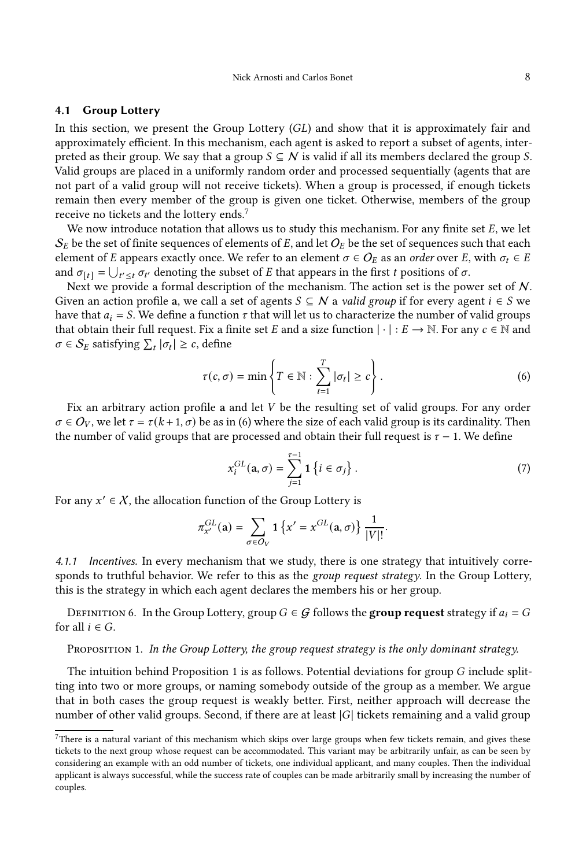## 4.1 Group Lottery

In this section, we present the Group Lottery  $(GL)$  and show that it is approximately fair and approximately efficient. In this mechanism, each agent is asked to report a subset of agents, interpreted as their group. We say that a group  $S \subseteq N$  is valid if all its members declared the group S. Valid groups are placed in a uniformly random order and processed sequentially (agents that are not part of a valid group will not receive tickets). When a group is processed, if enough tickets remain then every member of the group is given one ticket. Otherwise, members of the group receive no tickets and the lottery ends.<sup>[7](#page-8-1)</sup>

We now introduce notation that allows us to study this mechanism. For any finite set  $E$ , we let  $S_E$  be the set of finite sequences of elements of E, and let  $O_E$  be the set of sequences such that each element of E appears exactly once. We refer to an element  $\sigma \in O_E$  as an order over E, with  $\sigma_t \in E$ and  $\sigma_{[t]} = \bigcup_{t' \leq t} \sigma_{t'}$  denoting the subset of E that appears in the first t positions of  $\sigma$ .

Next we provide a formal description of the mechanism. The action set is the power set of N. Given an action profile a, we call a set of agents  $S \subseteq N$  a valid group if for every agent  $i \in S$  we have that  $a_i = S$ . We define a function  $\tau$  that will let us to characterize the number of valid groups that obtain their full request. Fix a finite set E and a size function  $|\cdot|: E \to \mathbb{N}$ . For any  $c \in \mathbb{N}$  and  $\sigma \in S_E$  satisfying  $\sum_t |\sigma_t| \geq c$ , define

<span id="page-8-2"></span>
$$
\tau(c,\sigma) = \min\left\{T \in \mathbb{N} : \sum_{t=1}^{T} |\sigma_t| \ge c\right\}.
$$
 (6)

Fix an arbitrary action profile a and let  $V$  be the resulting set of valid groups. For any order  $\sigma \in O_V$ , we let  $\tau = \tau(k+1, \sigma)$  be as in [\(6\)](#page-8-2) where the size of each valid group is its cardinality. Then the number of valid groups that are processed and obtain their full request is  $\tau - 1$ . We define

<span id="page-8-3"></span>
$$
x_i^{GL}(\mathbf{a}, \sigma) = \sum_{j=1}^{\tau-1} \mathbf{1} \left\{ i \in \sigma_j \right\}.
$$
 (7)

For any  $x' \in \mathcal{X}$ , the allocation function of the Group Lottery is

$$
\pi_{x'}^{GL}(\mathbf{a}) = \sum_{\sigma \in O_V} \mathbf{1} \left\{ x' = x^{GL}(\mathbf{a}, \sigma) \right\} \frac{1}{|V|!}.
$$

4.1.1 Incentives. In every mechanism that we study, there is one strategy that intuitively corresponds to truthful behavior. We refer to this as the *group request strategy*. In the Group Lottery, this is the strategy in which each agent declares the members his or her group.

DEFINITION 6. In the Group Lottery, group  $G \in \mathcal{G}$  follows the **group request** strategy if  $a_i = G$ for all  $i \in G$ .

<span id="page-8-0"></span>PROPOSITION 1. In the Group Lottery, the group request strategy is the only dominant strategy.

The intuition behind Proposition [1](#page-8-0) is as follows. Potential deviations for group  $G$  include splitting into two or more groups, or naming somebody outside of the group as a member. We argue that in both cases the group request is weakly better. First, neither approach will decrease the number of other valid groups. Second, if there are at least  $|G|$  tickets remaining and a valid group

<span id="page-8-1"></span> $7$ There is a natural variant of this mechanism which skips over large groups when few tickets remain, and gives these tickets to the next group whose request can be accommodated. This variant may be arbitrarily unfair, as can be seen by considering an example with an odd number of tickets, one individual applicant, and many couples. Then the individual applicant is always successful, while the success rate of couples can be made arbitrarily small by increasing the number of couples.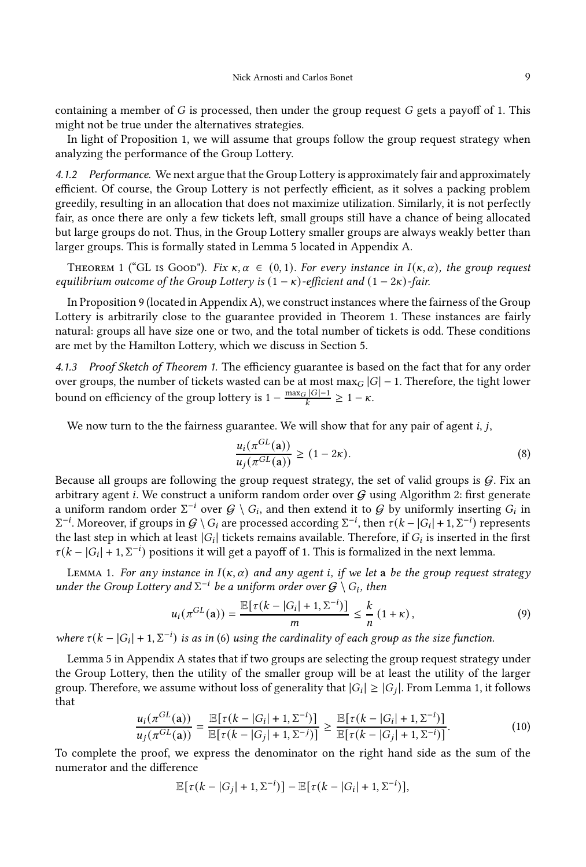containing a member of  $G$  is processed, then under the group request  $G$  gets a payoff of 1. This might not be true under the alternatives strategies.

In light of Proposition [1,](#page-8-0) we will assume that groups follow the group request strategy when analyzing the performance of the Group Lottery.

4.1.2 Performance. We next argue that the Group Lottery is approximately fair and approximately efficient. Of course, the Group Lottery is not perfectly efficient, as it solves a packing problem greedily, resulting in an allocation that does not maximize utilization. Similarly, it is not perfectly fair, as once there are only a few tickets left, small groups still have a chance of being allocated but large groups do not. Thus, in the Group Lottery smaller groups are always weakly better than larger groups. This is formally stated in Lemma [5](#page-21-0) located in Appendix [A.](#page-20-0)

<span id="page-9-0"></span>THEOREM 1 ("GL IS GOOD"). Fix  $\kappa, \alpha \in (0, 1)$ . For every instance in  $I(\kappa, \alpha)$ , the group request equilibrium outcome of the Group Lottery is  $(1 - \kappa)$ -efficient and  $(1 - 2\kappa)$ -fair.

In Proposition [9](#page-27-0) (located in Appendix [A\)](#page-20-0), we construct instances where the fairness of the Group Lottery is arbitrarily close to the guarantee provided in Theorem [1.](#page-9-0) These instances are fairly natural: groups all have size one or two, and the total number of tickets is odd. These conditions are met by the Hamilton Lottery, which we discuss in Section [5.](#page-18-0)

4.1.3 Proof Sketch of Theorem [1.](#page-9-0) The efficiency guarantee is based on the fact that for any order over groups, the number of tickets wasted can be at most max $_G |G| - 1$ . Therefore, the tight lower bound on efficiency of the group lottery is  $1 - \frac{\max_G |G| - 1}{k} \geq 1 - \kappa$ .

We now turn to the the fairness guarantee. We will show that for any pair of agent  $i, j$ ,

$$
\frac{u_i(\pi^{GL}(\mathbf{a}))}{u_j(\pi^{GL}(\mathbf{a}))} \ge (1 - 2\kappa). \tag{8}
$$

Because all groups are following the group request strategy, the set of valid groups is  $G$ . Fix an arbitrary agent *i*. We construct a uniform random order over  $G$  using Algorithm [2:](#page-20-1) first generate a uniform random order  $\Sigma^{-i}$  over  $G \setminus G_i$ , and then extend it to  $G$  by uniformly inserting  $G_i$  in  $Σ^{-i}$ . Moreover, if groups in  $G \setminus G_i$  are processed according  $Σ^{-i}$ , then  $τ(k - |G_i| + 1, Σ^{-i})$  represents the last step in which at least  $|G_i|$  tickets remains available. Therefore, if  $G_i$  is inserted in the first  $\tau(k - |G_i| + 1, \Sigma^{-i})$  positions it will get a payoff of 1. This is formalized in the next lemma.

<span id="page-9-1"></span>LEMMA 1. For any instance in  $I(\kappa, \alpha)$  and any agent i, if we let a be the group request strategy under the Group Lottery and  $\Sigma^{-i}$  be a uniform order over  $\mathcal{G} \setminus G_i$ , then

$$
u_i(\pi^{GL}(\mathbf{a})) = \frac{\mathbb{E}[\tau(k - |G_i| + 1, \Sigma^{-i})]}{m} \le \frac{k}{n} (1 + \kappa), \tag{9}
$$

where  $\tau(k - |G_i| + 1, \Sigma^{-i})$  is as in [\(6\)](#page-8-2) using the cardinality of each group as the size function.

Lemma [5](#page-21-0) in Appendix [A](#page-20-0) states that if two groups are selecting the group request strategy under the Group Lottery, then the utility of the smaller group will be at least the utility of the larger group. Therefore, we assume without loss of generality that  $|G_i|\ge |G_j|$ . From Lemma [1,](#page-9-1) it follows that

$$
\frac{u_i(\pi^{GL}(\mathbf{a}))}{u_j(\pi^{GL}(\mathbf{a}))} = \frac{\mathbb{E}[\tau(k - |G_i| + 1, \Sigma^{-i})]}{\mathbb{E}[\tau(k - |G_j| + 1, \Sigma^{-j})]} \ge \frac{\mathbb{E}[\tau(k - |G_i| + 1, \Sigma^{-i})]}{\mathbb{E}[\tau(k - |G_j| + 1, \Sigma^{-i})]}.
$$
\n(10)

To complete the proof, we express the denominator on the right hand side as the sum of the numerator and the difference

$$
\mathbb{E}[\tau(k-|G_j|+1,\Sigma^{-i})] - \mathbb{E}[\tau(k-|G_i|+1,\Sigma^{-i})],
$$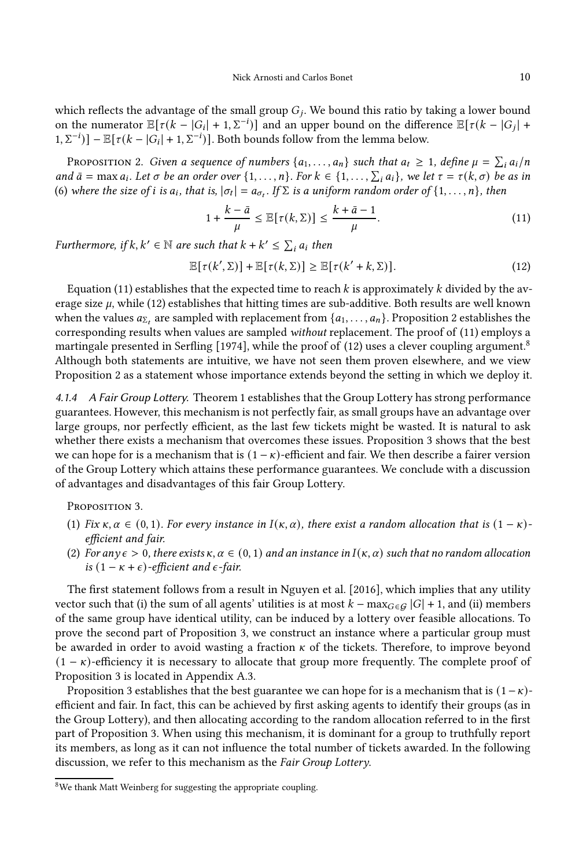which reflects the advantage of the small group  $G_j$ . We bound this ratio by taking a lower bound on the numerator  $\mathbb{E}[\tau(k-|G_i|+1,\Sigma^{-i})]$  and an upper bound on the difference  $\mathbb{E}[\tau(k-|G_j|+1,\Sigma^{-i})]$  $[1, \Sigma^{-i}]$ ] –  $\mathbb{E}[\tau(k - |G_i| + 1, \Sigma^{-i})]$ . Both bounds follow from the lemma below.

<span id="page-10-1"></span>PROPOSITION 2. Given a sequence of numbers  $\{a_1, \ldots, a_n\}$  such that  $a_t \geq 1$ , define  $\mu = \sum_i a_i/n$ and  $\bar{a} = \max a_i$ . Let  $\sigma$  be an order over  $\{1, \ldots, n\}$ . For  $k \in \{1, \ldots, \sum_i a_i\}$ , we let  $\tau = \tau(k, \sigma)$  be as in [\(6\)](#page-8-2) where the size of *i* is  $a_i$ , that is,  $|\sigma_t| = a_{\sigma_t}$ . If  $\Sigma$  is a uniform random order of  $\{1, \ldots, n\}$ , then

<span id="page-10-2"></span>
$$
1 + \frac{k - \bar{a}}{\mu} \le \mathbb{E}[\tau(k, \Sigma)] \le \frac{k + \bar{a} - 1}{\mu}.\tag{11}
$$

Furthermore, if  $k, k' \in \mathbb{N}$  are such that  $k + k' \leq \sum_i a_i$  then

<span id="page-10-3"></span>
$$
\mathbb{E}[\tau(k',\Sigma)] + \mathbb{E}[\tau(k,\Sigma)] \ge \mathbb{E}[\tau(k'+k,\Sigma)].
$$
\n(12)

Equation [\(11\)](#page-10-2) establishes that the expected time to reach  $k$  is approximately  $k$  divided by the average size  $\mu$ , while [\(12\)](#page-10-3) establishes that hitting times are sub-additive. Both results are well known when the values  $a_{\Sigma_t}$  are sampled with replacement from  $\{a_1, \ldots, a_n\}$ . Proposition [2](#page-10-1) establishes the corresponding results when values are sampled without replacement. The proof of [\(11\)](#page-10-2) employs a martingale presented in [Serfling \[1974](#page-19-10)], while the proof of [\(12\)](#page-10-3) uses a clever coupling argument.[8](#page-10-4) Although both statements are intuitive, we have not seen them proven elsewhere, and we view Proposition [2](#page-10-1) as a statement whose importance extends beyond the setting in which we deploy it.

4.1.4 A Fair Group Lottery. Theorem [1](#page-9-0) establishes that the Group Lottery has strong performance guarantees. However, this mechanism is not perfectly fair, as small groups have an advantage over large groups, nor perfectly efficient, as the last few tickets might be wasted. It is natural to ask whether there exists a mechanism that overcomes these issues. Proposition [3](#page-10-0) shows that the best we can hope for is a mechanism that is  $(1 - \kappa)$ -efficient and fair. We then describe a fairer version of the Group Lottery which attains these performance guarantees. We conclude with a discussion of advantages and disadvantages of this fair Group Lottery.

<span id="page-10-0"></span>PROPOSITION 3.

- (1) Fix  $\kappa, \alpha \in (0, 1)$ . For every instance in  $I(\kappa, \alpha)$ , there exist a random allocation that is  $(1 \kappa)$ efficient and fair.
- (2) For any  $\epsilon > 0$ , there exists  $\kappa, \alpha \in (0, 1)$  and an instance in  $I(\kappa, \alpha)$  such that no random allocation is  $(1 - \kappa + \epsilon)$ -efficient and  $\epsilon$ -fair.

The first statement follows from a result in [Nguyen et al. \[2016\]](#page-19-0), which implies that any utility vector such that (i) the sum of all agents' utilities is at most  $k - \max_{G \in \mathcal{G}} |G| + 1$ , and (ii) members of the same group have identical utility, can be induced by a lottery over feasible allocations. To prove the second part of Proposition [3,](#page-10-0) we construct an instance where a particular group must be awarded in order to avoid wasting a fraction  $\kappa$  of the tickets. Therefore, to improve beyond  $(1 - \kappa)$ -efficiency it is necessary to allocate that group more frequently. The complete proof of Proposition [3](#page-10-0) is located in Appendix [A.3.](#page-27-1)

Proposition [3](#page-10-0) establishes that the best guarantee we can hope for is a mechanism that is  $(1-\kappa)$ efficient and fair. In fact, this can be achieved by first asking agents to identify their groups (as in the Group Lottery), and then allocating according to the random allocation referred to in the first part of Proposition [3.](#page-10-0) When using this mechanism, it is dominant for a group to truthfully report its members, as long as it can not influence the total number of tickets awarded. In the following discussion, we refer to this mechanism as the Fair Group Lottery.

<span id="page-10-4"></span> ${}^{8}$  We thank Matt Weinberg for suggesting the appropriate coupling.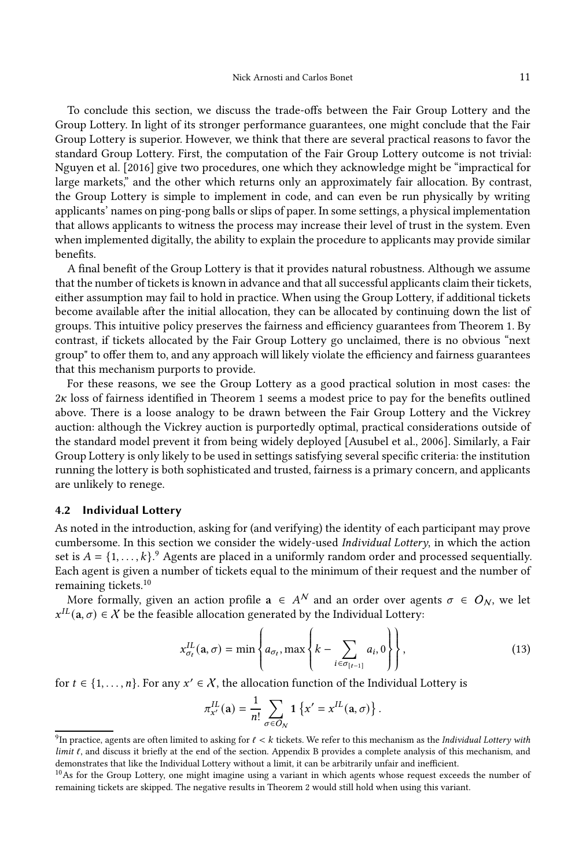To conclude this section, we discuss the trade-offs between the Fair Group Lottery and the Group Lottery. In light of its stronger performance guarantees, one might conclude that the Fair Group Lottery is superior. However, we think that there are several practical reasons to favor the standard Group Lottery. First, the computation of the Fair Group Lottery outcome is not trivial: [Nguyen et al. \[2016\]](#page-19-0) give two procedures, one which they acknowledge might be "impractical for large markets," and the other which returns only an approximately fair allocation. By contrast, the Group Lottery is simple to implement in code, and can even be run physically by writing applicants' names on ping-pong balls or slips of paper. In some settings, a physical implementation that allows applicants to witness the process may increase their level of trust in the system. Even when implemented digitally, the ability to explain the procedure to applicants may provide similar benefits.

A final benefit of the Group Lottery is that it provides natural robustness. Although we assume that the number of tickets is known in advance and that all successful applicants claim their tickets, either assumption may fail to hold in practice. When using the Group Lottery, if additional tickets become available after the initial allocation, they can be allocated by continuing down the list of groups. This intuitive policy preserves the fairness and efficiency guarantees from Theorem [1.](#page-9-0) By contrast, if tickets allocated by the Fair Group Lottery go unclaimed, there is no obvious "next group" to offer them to, and any approach will likely violate the efficiency and fairness guarantees that this mechanism purports to provide.

For these reasons, we see the Group Lottery as a good practical solution in most cases: the  $2\kappa$  loss of fairness identified in Theorem [1](#page-9-0) seems a modest price to pay for the benefits outlined above. There is a loose analogy to be drawn between the Fair Group Lottery and the Vickrey auction: although the Vickrey auction is purportedly optimal, practical considerations outside of the standard model prevent it from being widely deployed [\[Ausubel et al., 2006](#page-19-12)]. Similarly, a Fair Group Lottery is only likely to be used in settings satisfying several specific criteria: the institution running the lottery is both sophisticated and trusted, fairness is a primary concern, and applicants are unlikely to renege.

## 4.2 Individual Lottery

As noted in the introduction, asking for (and verifying) the identity of each participant may prove cumbersome. In this section we consider the widely-used Individual Lottery, in which the action set is  $A = \{1, ..., k\}$ . Agents are placed in a uniformly random order and processed sequentially. Each agent is given a number of tickets equal to the minimum of their request and the number of remaining tickets.[10](#page-11-1)

More formally, given an action profile  $\mathbf{a} \in A^N$  and an order over agents  $\sigma \in O_N$ , we let  $x^{IL}$ (a,  $\sigma$ )  $\in$  X be the feasible allocation generated by the Individual Lottery:

<span id="page-11-2"></span>
$$
x_{\sigma_t}^{IL}(\mathbf{a}, \sigma) = \min \left\{ a_{\sigma_t}, \max \left\{ k - \sum_{i \in \sigma_{[t-1]}} a_i, 0 \right\} \right\},\tag{13}
$$

for  $t \in \{1, ..., n\}$ . For any  $x' \in \mathcal{X}$ , the allocation function of the Individual Lottery is

$$
\pi^{IL}_{x'}(\mathbf{a}) = \frac{1}{n!} \sum_{\sigma \in O_N} \mathbf{1} \left\{ x' = x^{IL}(\mathbf{a}, \sigma) \right\}.
$$

<span id="page-11-0"></span> $^9$ In practice, agents are often limited to asking for  $\ell < k$  tickets. We refer to this mechanism as the Individual Lottery with  $limit \ell$ , and discuss it briefly at the end of the section. Appendix [B](#page-29-0) provides a complete analysis of this mechanism, and demonstrates that like the Individual Lottery without a limit, it can be arbitrarily unfair and inefficient.

<span id="page-11-1"></span> $10$ As for the Group Lottery, one might imagine using a variant in which agents whose request exceeds the number of remaining tickets are skipped. The negative results in Theorem [2](#page-12-0) would still hold when using this variant.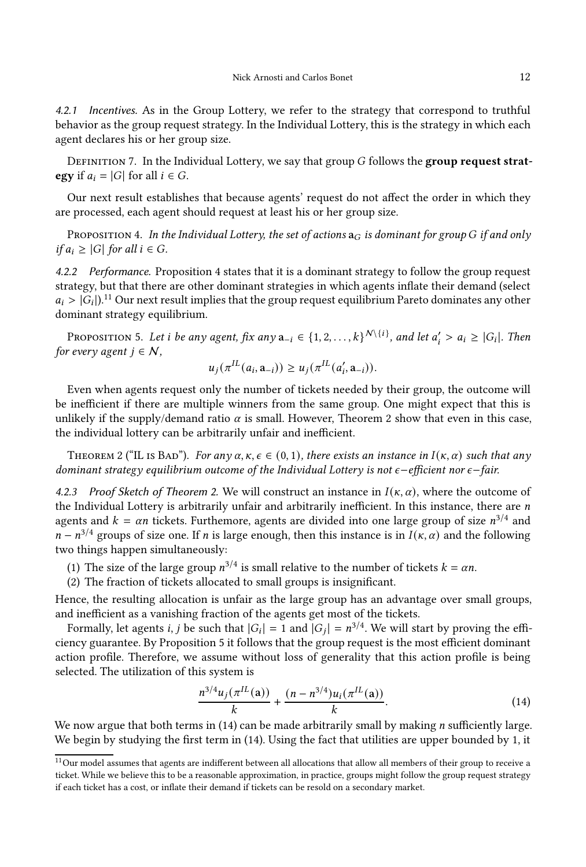4.2.1 Incentives. As in the Group Lottery, we refer to the strategy that correspond to truthful behavior as the group request strategy. In the Individual Lottery, this is the strategy in which each agent declares his or her group size.

<span id="page-12-5"></span>DEFINITION 7. In the Individual Lottery, we say that group  $G$  follows the group request strategy if  $a_i = |G|$  for all  $i \in G$ .

Our next result establishes that because agents' request do not affect the order in which they are processed, each agent should request at least his or her group size.

<span id="page-12-1"></span>PROPOSITION 4. In the Individual Lottery, the set of actions  $a_G$  is dominant for group G if and only  $if a_i \geq |G|$  for all  $i \in G$ .

4.2.2 Performance. Proposition [4](#page-12-1) states that it is a dominant strategy to follow the group request strategy, but that there are other dominant strategies in which agents inflate their demand (select  $a_i > |G_i|$ ).<sup>[11](#page-12-2)</sup> Our next result implies that the group request equilibrium Pareto dominates any other dominant strategy equilibrium.

<span id="page-12-3"></span>Proposition 5. Let *i* be any agent, fix any  $a_{-i} \in \{1, 2, ..., k\}^{N \setminus \{i\}}$ , and let  $a'_i > a_i \geq |G_i|$ . Then for every agent  $j \in \mathcal{N}$ ,

$$
u_j(\pi^{IL}(a_i, \mathbf{a}_{-i})) \geq u_j(\pi^{IL}(a'_i, \mathbf{a}_{-i})).
$$

Even when agents request only the number of tickets needed by their group, the outcome will be inefficient if there are multiple winners from the same group. One might expect that this is unlikely if the supply/demand ratio  $\alpha$  is small. However, Theorem [2](#page-12-0) show that even in this case, the individual lottery can be arbitrarily unfair and inefficient.

<span id="page-12-0"></span>THEOREM 2 ("IL IS BAD"). For any  $\alpha, \kappa, \epsilon \in (0, 1)$ , there exists an instance in  $I(\kappa, \alpha)$  such that any dominant strategy equilibrium outcome of the Individual Lottery is not  $\epsilon$ −efficient nor  $\epsilon$ −fair.

4.2.3 Proof Sketch of Theorem [2.](#page-12-0) We will construct an instance in  $I(\kappa, \alpha)$ , where the outcome of the Individual Lottery is arbitrarily unfair and arbitrarily inefficient. In this instance, there are  $n$ agents and  $k = \alpha n$  tickets. Furthemore, agents are divided into one large group of size  $n^{3/4}$  and  $n - n^{3/4}$  groups of size one. If *n* is large enough, then this instance is in  $I(\kappa, \alpha)$  and the following two things happen simultaneously:

- (1) The size of the large group  $n^{3/4}$  is small relative to the number of tickets  $k = \alpha n$ .
- (2) The fraction of tickets allocated to small groups is insignificant.

Hence, the resulting allocation is unfair as the large group has an advantage over small groups, and inefficient as a vanishing fraction of the agents get most of the tickets.

Formally, let agents *i*, *j* be such that  $|G_i| = 1$  and  $|G_j| = n^{3/4}$ . We will start by proving the efficiency guarantee. By Proposition [5](#page-12-3) it follows that the group request is the most efficient dominant action profile. Therefore, we assume without loss of generality that this action profile is being selected. The utilization of this system is

<span id="page-12-4"></span>
$$
\frac{n^{3/4}u_j(\pi^{IL}(a))}{k} + \frac{(n - n^{3/4})u_i(\pi^{IL}(a))}{k}.
$$
 (14)

We now argue that both terms in  $(14)$  can be made arbitrarily small by making *n* sufficiently large. We begin by studying the first term in [\(14\)](#page-12-4). Using the fact that utilities are upper bounded by 1, it

<span id="page-12-2"></span> $11$ Our model assumes that agents are indifferent between all allocations that allow all members of their group to receive a ticket. While we believe this to be a reasonable approximation, in practice, groups might follow the group request strategy if each ticket has a cost, or inflate their demand if tickets can be resold on a secondary market.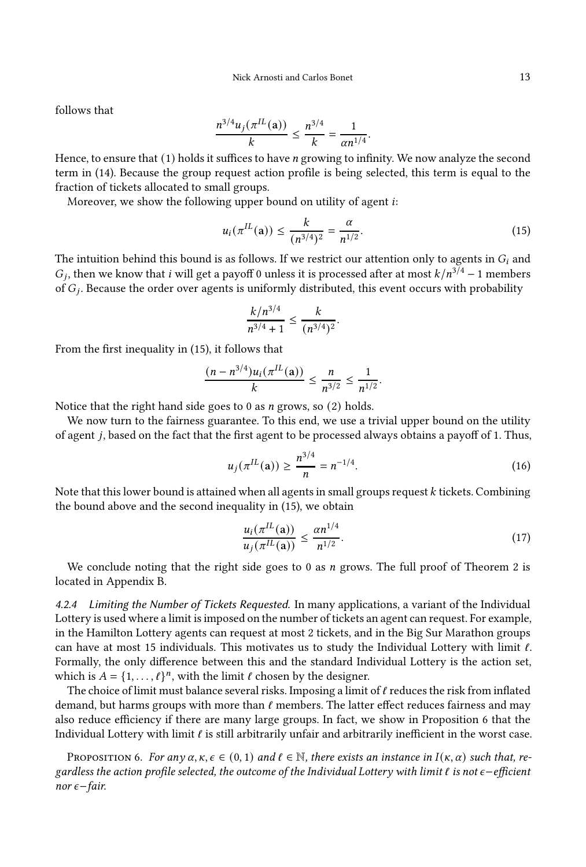follows that

$$
\frac{n^{3/4}u_j(\pi^{IL}(\mathbf{a}))}{k} \le \frac{n^{3/4}}{k} = \frac{1}{\alpha n^{1/4}}.
$$

Hence, to ensure that  $(1)$  holds it suffices to have *n* growing to infinity. We now analyze the second term in [\(14\)](#page-12-4). Because the group request action profile is being selected, this term is equal to the fraction of tickets allocated to small groups.

Moreover, we show the following upper bound on utility of agent  $i$ :

<span id="page-13-0"></span>
$$
u_i(\pi^{IL}(\mathbf{a})) \le \frac{k}{(n^{3/4})^2} = \frac{\alpha}{n^{1/2}}.\tag{15}
$$

The intuition behind this bound is as follows. If we restrict our attention only to agents in  $G_i$  and  $G_j$ , then we know that *i* will get a payoff 0 unless it is processed after at most  $k/n^{3/4} - 1$  members of  $G_j$ . Because the order over agents is uniformly distributed, this event occurs with probability

$$
\frac{k/n^{3/4}}{n^{3/4}+1} \leq \frac{k}{(n^{3/4})^2}.
$$

From the first inequality in [\(15\)](#page-13-0), it follows that

$$
\frac{(n - n^{3/4})u_i(\pi^{IL}(\mathbf{a}))}{k} \le \frac{n}{n^{3/2}} \le \frac{1}{n^{1/2}}.
$$

Notice that the right hand side goes to 0 as  $n$  grows, so (2) holds.

We now turn to the fairness guarantee. To this end, we use a trivial upper bound on the utility of agent *j*, based on the fact that the first agent to be processed always obtains a payoff of 1. Thus,

$$
u_j(\pi^{IL}(\mathbf{a})) \ge \frac{n^{3/4}}{n} = n^{-1/4}.\tag{16}
$$

Note that this lower bound is attained when all agents in small groups request  $k$  tickets. Combining the bound above and the second inequality in [\(15\)](#page-13-0), we obtain

$$
\frac{u_i(\pi^{IL}(\mathbf{a}))}{u_j(\pi^{IL}(\mathbf{a}))} \le \frac{\alpha n^{1/4}}{n^{1/2}}.\tag{17}
$$

We conclude noting that the right side goes to 0 as  $n$  grows. The full proof of Theorem [2](#page-12-0) is located in Appendix [B.](#page-29-0)

4.2.4 Limiting the Number of Tickets Requested. In many applications, a variant of the Individual Lottery is used where a limit is imposed on the number of tickets an agent can request. For example, in the Hamilton Lottery agents can request at most 2 tickets, and in the Big Sur Marathon groups can have at most 15 individuals. This motivates us to study the Individual Lottery with limit  $\ell$ . Formally, the only difference between this and the standard Individual Lottery is the action set, which is  $A = \{1, ..., \ell\}^n$ , with the limit  $\ell$  chosen by the designer.

The choice of limit must balance several risks. Imposing a limit of  $\ell$  reduces the risk from inflated demand, but harms groups with more than  $\ell$  members. The latter effect reduces fairness and may also reduce efficiency if there are many large groups. In fact, we show in Proposition [6](#page-13-1) that the Individual Lottery with limit  $\ell$  is still arbitrarily unfair and arbitrarily inefficient in the worst case.

<span id="page-13-1"></span>PROPOSITION 6. For any  $\alpha, \kappa, \epsilon \in (0, 1)$  and  $\ell \in \mathbb{N}$ , there exists an instance in  $I(\kappa, \alpha)$  such that, regardless the action profile selected, the outcome of the Individual Lottery with limit  $\ell$  is not  $\epsilon$ −efficient nor  $\epsilon$ −fair.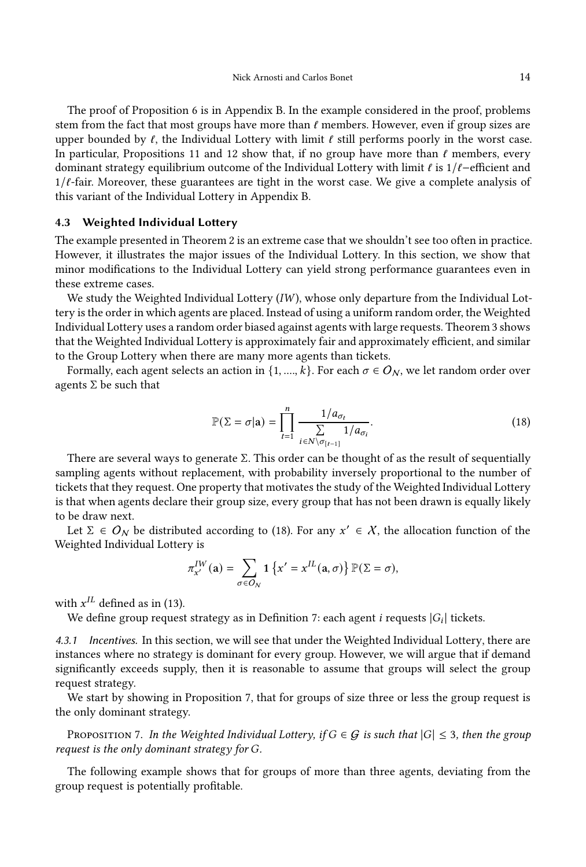The proof of Proposition [6](#page-13-1) is in Appendix [B.](#page-29-0) In the example considered in the proof, problems stem from the fact that most groups have more than  $\ell$  members. However, even if group sizes are upper bounded by  $\ell$ , the Individual Lottery with limit  $\ell$  still performs poorly in the worst case. In particular, Propositions [11](#page-32-0) and [12](#page-32-1) show that, if no group have more than  $\ell$  members, every dominant strategy equilibrium outcome of the Individual Lottery with limit  $\ell$  is 1/ $\ell$ –efficient and  $1/\ell$ -fair. Moreover, these guarantees are tight in the worst case. We give a complete analysis of this variant of the Individual Lottery in Appendix [B.](#page-29-0)

## 4.3 Weighted Individual Lottery

The example presented in Theorem [2](#page-12-0) is an extreme case that we shouldn't see too often in practice. However, it illustrates the major issues of the Individual Lottery. In this section, we show that minor modifications to the Individual Lottery can yield strong performance guarantees even in these extreme cases.

We study the Weighted Individual Lottery  $(IW)$ , whose only departure from the Individual Lottery is the order in which agents are placed. Instead of using a uniform random order, the Weighted Individual Lottery uses a random order biased against agents with large requests. Theorem [3](#page-16-0) shows that the Weighted Individual Lottery is approximately fair and approximately efficient, and similar to the Group Lottery when there are many more agents than tickets.

Formally, each agent selects an action in  $\{1, ..., k\}$ . For each  $\sigma \in O_N$ , we let random order over agents  $\Sigma$  be such that

<span id="page-14-0"></span>
$$
\mathbb{P}(\Sigma = \sigma | \mathbf{a}) = \prod_{t=1}^{n} \frac{1/a_{\sigma_t}}{\sum\limits_{i \in N \setminus \sigma_{[t-1]}} 1/a_{\sigma_i}}.
$$
\n(18)

There are several ways to generate  $\Sigma$ . This order can be thought of as the result of sequentially sampling agents without replacement, with probability inversely proportional to the number of tickets that they request. One property that motivates the study of the Weighted Individual Lottery is that when agents declare their group size, every group that has not been drawn is equally likely to be draw next.

Let  $\Sigma \in O_N$  be distributed according to [\(18\)](#page-14-0). For any  $x' \in X$ , the allocation function of the Weighted Individual Lottery is

$$
\pi^{IW}_{x'}(\mathbf{a}) = \sum_{\sigma \in O_N} \mathbf{1} \left\{ x' = x^{IL}(\mathbf{a}, \sigma) \right\} \mathbb{P}(\Sigma = \sigma),
$$

with  $x^{IL}$  defined as in [\(13\)](#page-11-2).

We define group request strategy as in Definition [7:](#page-12-5) each agent  $i$  requests  $\left|G_{i}\right|$  tickets.

4.3.1 Incentives. In this section, we will see that under the Weighted Individual Lottery, there are instances where no strategy is dominant for every group. However, we will argue that if demand significantly exceeds supply, then it is reasonable to assume that groups will select the group request strategy.

We start by showing in Proposition [7,](#page-14-1) that for groups of size three or less the group request is the only dominant strategy.

<span id="page-14-1"></span>PROPOSITION 7. In the Weighted Individual Lottery, if  $G \in \mathcal{G}$  is such that  $|G| \leq 3$ , then the group request is the only dominant strategy for G.

The following example shows that for groups of more than three agents, deviating from the group request is potentially profitable.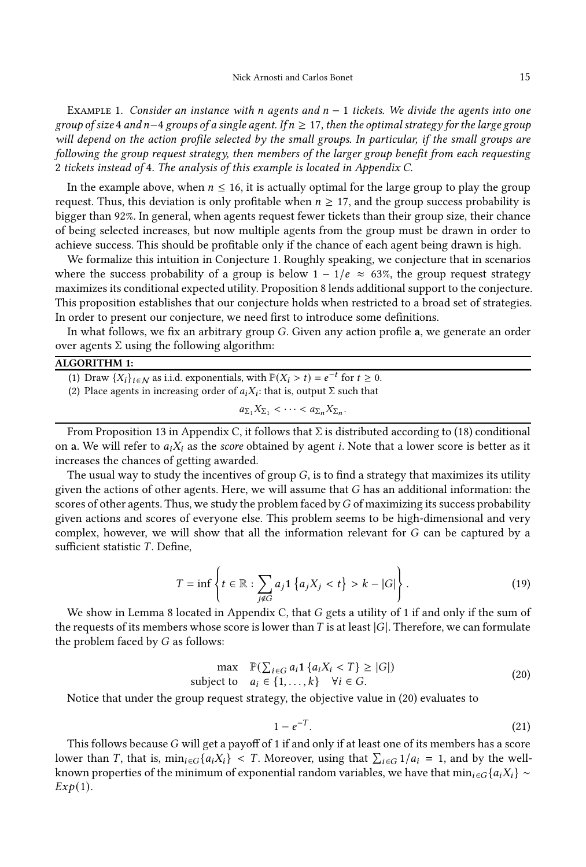<span id="page-15-4"></span>EXAMPLE 1. Consider an instance with n agents and  $n-1$  tickets. We divide the agents into one group of size 4 and n-4 groups of a single agent. If  $n \geq 17$ , then the optimal strategy for the large group will depend on the action profile selected by the small groups. In particular, if the small groups are following the group request strategy, then members of the larger group benefit from each requesting 2 tickets instead of 4. The analysis of this example is located in Appendix [C.](#page-35-0)

In the example above, when  $n \leq 16$ , it is actually optimal for the large group to play the group request. Thus, this deviation is only profitable when  $n \geq 17$ , and the group success probability is bigger than 92%. In general, when agents request fewer tickets than their group size, their chance of being selected increases, but now multiple agents from the group must be drawn in order to achieve success. This should be profitable only if the chance of each agent being drawn is high.

We formalize this intuition in Conjecture [1.](#page-16-1) Roughly speaking, we conjecture that in scenarios where the success probability of a group is below  $1 - 1/e \approx 63\%$ , the group request strategy maximizes its conditional expected utility. Proposition [8](#page-16-2) lends additional support to the conjecture. This proposition establishes that our conjecture holds when restricted to a broad set of strategies. In order to present our conjecture, we need first to introduce some definitions.

In what follows, we fix an arbitrary group  $G$ . Given any action profile a, we generate an order over agents Σ using the following algorithm:

## <span id="page-15-2"></span>ALGORITHM 1:

(1) Draw  $\{X_i\}_{i \in \mathbb{N}}$  as i.i.d. exponentials, with  $\mathbb{P}(X_i > t) = e^{-t}$  for  $t \ge 0$ .

(2) Place agents in increasing order of  $a_iX_i$ : that is, output  $\Sigma$  such that

$$
a_{\Sigma_1}X_{\Sigma_1} < \cdots < a_{\Sigma_n}X_{\Sigma_n}.
$$

From Proposition [13](#page-35-1) in Appendix [C,](#page-35-0) it follows that  $\Sigma$  is distributed according to [\(18\)](#page-14-0) conditional on a. We will refer to  $a_iX_i$  as the *score* obtained by agent *i*. Note that a lower score is better as it increases the chances of getting awarded.

The usual way to study the incentives of group  $G$ , is to find a strategy that maximizes its utility given the actions of other agents. Here, we will assume that  $G$  has an additional information: the scores of other agents. Thus, we study the problem faced by G of maximizing its success probability given actions and scores of everyone else. This problem seems to be high-dimensional and very complex, however, we will show that all the information relevant for  $G$  can be captured by a sufficient statistic  $T$ . Define,

<span id="page-15-3"></span>
$$
T = \inf \left\{ t \in \mathbb{R} : \sum_{j \notin G} a_j \mathbf{1} \left\{ a_j X_j < t \right\} > k - |G| \right\}. \tag{19}
$$

We show in Lemma [8](#page-37-0) located in Appendix [C,](#page-35-0) that  $G$  gets a utility of 1 if and only if the sum of the requests of its members whose score is lower than  $T$  is at least  $|G|$ . Therefore, we can formulate the problem faced by  $G$  as follows:

<span id="page-15-0"></span>
$$
\max \quad \mathbb{P}(\sum_{i \in G} a_i \mathbf{1} \{ a_i X_i < T \} \ge |G|)
$$
\n
$$
\text{subject to} \quad a_i \in \{1, \dots, k\} \quad \forall i \in G. \tag{20}
$$

Notice that under the group request strategy, the objective value in [\(20\)](#page-15-0) evaluates to

<span id="page-15-1"></span>
$$
1 - e^{-T}.\tag{21}
$$

This follows because  $G$  will get a payoff of 1 if and only if at least one of its members has a score lower than *T*, that is,  $\min_{i \in G} \{a_i X_i\} < T$ . Moreover, using that  $\sum_{i \in G} 1/a_i = 1$ , and by the wellknown properties of the minimum of exponential random variables, we have that  $\min_{i \in G} \{a_i X_i\} \sim$  $Exp(1)$ .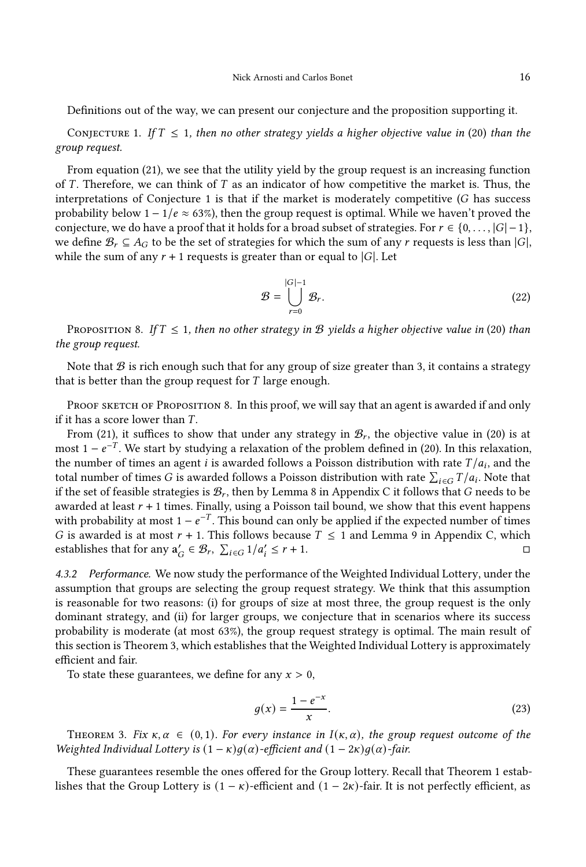Definitions out of the way, we can present our conjecture and the proposition supporting it.

<span id="page-16-1"></span>CONJECTURE 1. If  $T \leq 1$ , then no other strategy yields a higher objective value in [\(20\)](#page-15-0) than the group request.

From equation [\(21\)](#page-15-1), we see that the utility yield by the group request is an increasing function of  $T$ . Therefore, we can think of  $T$  as an indicator of how competitive the market is. Thus, the interpretations of Conjecture [1](#page-16-1) is that if the market is moderately competitive  $(G$  has success probability below  $1 - 1/e \approx 63\%$ ), then the group request is optimal. While we haven't proved the conjecture, we do have a proof that it holds for a broad subset of strategies. For  $r \in \{0, \ldots, |G|-1\}$ , we define  $\mathcal{B}_r \subseteq A_G$  to be the set of strategies for which the sum of any r requests is less than  $|G|$ , while the sum of any  $r + 1$  requests is greater than or equal to  $|G|$ . Let

$$
\mathcal{B} = \bigcup_{r=0}^{|G|-1} \mathcal{B}_r.
$$
 (22)

<span id="page-16-2"></span>PROPOSITION 8. If  $T \leq 1$ , then no other strategy in B yields a higher objective value in [\(20\)](#page-15-0) than the group request.

Note that  $\mathcal B$  is rich enough such that for any group of size greater than 3, it contains a strategy that is better than the group request for  $T$  large enough.

PROOF SKETCH OF PROPOSITION [8.](#page-16-2) In this proof, we will say that an agent is awarded if and only if it has a score lower than  $T$ .

From [\(21\)](#page-15-1), it suffices to show that under any strategy in  $\mathcal{B}_r$ , the objective value in [\(20\)](#page-15-0) is at most 1 –  $e^{-T}$ . We start by studying a relaxation of the problem defined in [\(20\)](#page-15-0). In this relaxation, the number of times an agent  $i$  is awarded follows a Poisson distribution with rate  $T/a_i$ , and the total number of times  $G$  is awarded follows a Poisson distribution with rate  $\sum_{i \in G} T/a_i$ . Note that if the set of feasible strategies is  $\mathcal{B}_r$ , then by Lemma [8](#page-37-0) in Appendix [C](#page-35-0) it follows that  $G$  needs to be awarded at least  $r + 1$  times. Finally, using a Poisson tail bound, we show that this event happens with probability at most  $1 - e^{-T}$ . This bound can only be applied if the expected number of times G is awarded is at most  $r + 1$ . This follows because  $T \le 1$  and Lemma [9](#page-37-1) in Appendix [C,](#page-35-0) which establishes that for any  $a'_G \in \mathcal{B}_r$ ,  $\sum_{i \in G} 1/a'_i \leq r + 1$ .

4.3.2 Performance. We now study the performance of the Weighted Individual Lottery, under the assumption that groups are selecting the group request strategy. We think that this assumption is reasonable for two reasons: (i) for groups of size at most three, the group request is the only dominant strategy, and (ii) for larger groups, we conjecture that in scenarios where its success probability is moderate (at most 63%), the group request strategy is optimal. The main result of this section is Theorem [3,](#page-16-0) which establishes that the Weighted Individual Lottery is approximately efficient and fair.

To state these guarantees, we define for any  $x > 0$ ,

$$
g(x) = \frac{1 - e^{-x}}{x}.
$$
 (23)

<span id="page-16-0"></span>THEOREM 3. Fix  $\kappa, \alpha \in (0, 1)$ . For every instance in  $I(\kappa, \alpha)$ , the group request outcome of the Weighted Individual Lottery is  $(1 - \kappa)q(\alpha)$ -efficient and  $(1 - 2\kappa)q(\alpha)$ -fair.

These guarantees resemble the ones offered for the Group lottery. Recall that Theorem [1](#page-9-0) establishes that the Group Lottery is  $(1 - \kappa)$ -efficient and  $(1 - 2\kappa)$ -fair. It is not perfectly efficient, as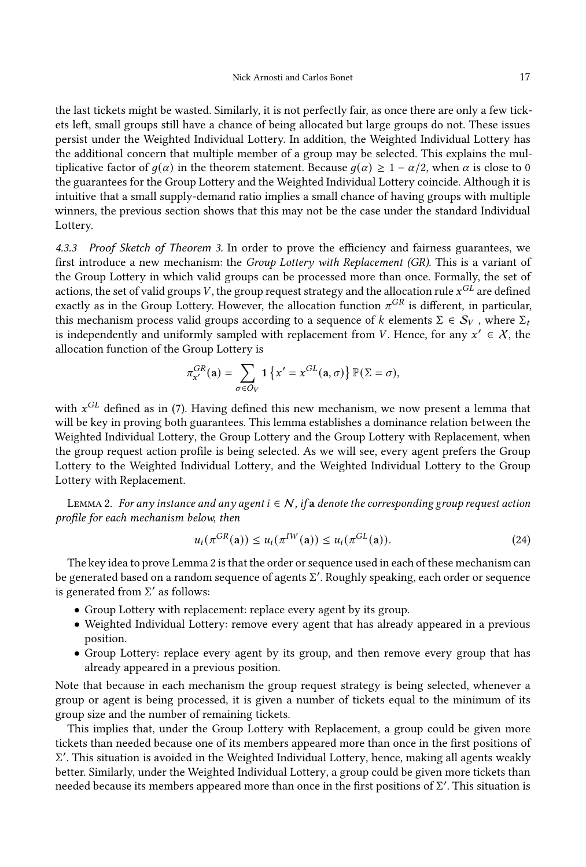the last tickets might be wasted. Similarly, it is not perfectly fair, as once there are only a few tickets left, small groups still have a chance of being allocated but large groups do not. These issues persist under the Weighted Individual Lottery. In addition, the Weighted Individual Lottery has the additional concern that multiple member of a group may be selected. This explains the multiplicative factor of  $q(\alpha)$  in the theorem statement. Because  $q(\alpha) \geq 1 - \alpha/2$ , when  $\alpha$  is close to 0 the guarantees for the Group Lottery and the Weighted Individual Lottery coincide. Although it is intuitive that a small supply-demand ratio implies a small chance of having groups with multiple winners, the previous section shows that this may not be the case under the standard Individual Lottery.

4.3.3 Proof Sketch of Theorem [3.](#page-16-0) In order to prove the efficiency and fairness guarantees, we first introduce a new mechanism: the Group Lottery with Replacement (GR). This is a variant of the Group Lottery in which valid groups can be processed more than once. Formally, the set of actions, the set of valid groups V, the group request strategy and the allocation rule  $x^{GL}$  are defined exactly as in the Group Lottery. However, the allocation function  $\pi^{GR}$  is different, in particular, this mechanism process valid groups according to a sequence of k elements  $\Sigma \in S_V$ , where  $\Sigma_t$ is independently and uniformly sampled with replacement from *V*. Hence, for any  $x' \in X$ , the allocation function of the Group Lottery is

$$
\pi_{x'}^{GR}(\mathbf{a}) = \sum_{\sigma \in O_V} \mathbf{1} \left\{ x' = x^{GL}(\mathbf{a}, \sigma) \right\} \mathbb{P}(\Sigma = \sigma),
$$

with  $x^{GL}$  defined as in [\(7\)](#page-8-3). Having defined this new mechanism, we now present a lemma that will be key in proving both guarantees. This lemma establishes a dominance relation between the Weighted Individual Lottery, the Group Lottery and the Group Lottery with Replacement, when the group request action profile is being selected. As we will see, every agent prefers the Group Lottery to the Weighted Individual Lottery, and the Weighted Individual Lottery to the Group Lottery with Replacement.

<span id="page-17-0"></span>LEMMA 2. For any instance and any agent  $i \in \mathcal{N}$ , if a denote the corresponding group request action profile for each mechanism below, then

<span id="page-17-1"></span>
$$
u_i(\pi^{GR}(\mathbf{a})) \le u_i(\pi^{IW}(\mathbf{a})) \le u_i(\pi^{GL}(\mathbf{a})).
$$
\n(24)

The key idea to prove Lemma [2](#page-17-0) is that the order or sequence used in each of these mechanism can be generated based on a random sequence of agents Σ ′ . Roughly speaking, each order or sequence is generated from  $\Sigma'$  as follows:

- Group Lottery with replacement: replace every agent by its group.
- Weighted Individual Lottery: remove every agent that has already appeared in a previous position.
- Group Lottery: replace every agent by its group, and then remove every group that has already appeared in a previous position.

Note that because in each mechanism the group request strategy is being selected, whenever a group or agent is being processed, it is given a number of tickets equal to the minimum of its group size and the number of remaining tickets.

This implies that, under the Group Lottery with Replacement, a group could be given more tickets than needed because one of its members appeared more than once in the first positions of Σ ′ . This situation is avoided in the Weighted Individual Lottery, hence, making all agents weakly better. Similarly, under the Weighted Individual Lottery, a group could be given more tickets than needed because its members appeared more than once in the first positions of Σ ′ . This situation is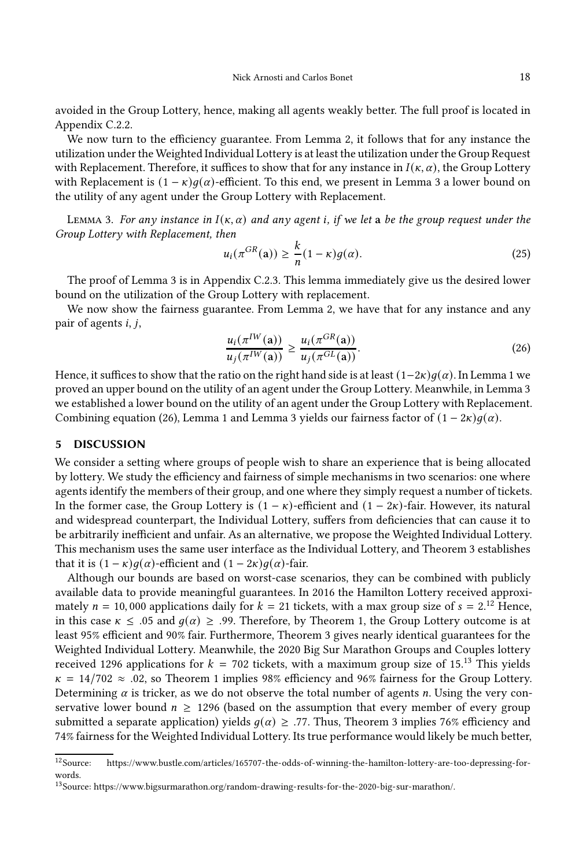avoided in the Group Lottery, hence, making all agents weakly better. The full proof is located in Appendix [C.2.2.](#page-40-0)

We now turn to the efficiency guarantee. From Lemma [2,](#page-17-0) it follows that for any instance the utilization under the Weighted Individual Lottery is at least the utilization under the Group Request with Replacement. Therefore, it suffices to show that for any instance in  $I(\kappa, \alpha)$ , the Group Lottery with Replacement is  $(1 - \kappa)q(\alpha)$ -efficient. To this end, we present in Lemma [3](#page-18-1) a lower bound on the utility of any agent under the Group Lottery with Replacement.

<span id="page-18-1"></span>LEMMA 3. For any instance in  $I(\kappa, \alpha)$  and any agent i, if we let a be the group request under the Group Lottery with Replacement, then

<span id="page-18-5"></span>
$$
u_i(\pi^{GR}(\mathbf{a})) \ge \frac{k}{n}(1-\kappa)g(\alpha). \tag{25}
$$

The proof of Lemma [3](#page-18-1) is in Appendix [C.2.3.](#page-41-0) This lemma immediately give us the desired lower bound on the utilization of the Group Lottery with replacement.

We now show the fairness guarantee. From Lemma [2,](#page-17-0) we have that for any instance and any pair of agents  $i, j$ ,

<span id="page-18-2"></span>
$$
\frac{u_i(\pi^{IW}(\mathbf{a}))}{u_j(\pi^{IW}(\mathbf{a}))} \ge \frac{u_i(\pi^{GR}(\mathbf{a}))}{u_j(\pi^{GL}(\mathbf{a}))}.\tag{26}
$$

Hence, it suffices to show that the ratio on the right hand side is at least  $(1-2\kappa)q(\alpha)$ . In Lemma [1](#page-9-1) we proved an upper bound on the utility of an agent under the Group Lottery. Meanwhile, in Lemma [3](#page-18-1) we established a lower bound on the utility of an agent under the Group Lottery with Replacement. Combining equation [\(26\)](#page-18-2), Lemma [1](#page-9-1) and Lemma [3](#page-18-1) yields our fairness factor of  $(1 - 2\kappa)q(\alpha)$ .

## <span id="page-18-0"></span>5 DISCUSSION

We consider a setting where groups of people wish to share an experience that is being allocated by lottery. We study the efficiency and fairness of simple mechanisms in two scenarios: one where agents identify the members of their group, and one where they simply request a number of tickets. In the former case, the Group Lottery is  $(1 - \kappa)$ -efficient and  $(1 - 2\kappa)$ -fair. However, its natural and widespread counterpart, the Individual Lottery, suffers from deficiencies that can cause it to be arbitrarily inefficient and unfair. As an alternative, we propose the Weighted Individual Lottery. This mechanism uses the same user interface as the Individual Lottery, and Theorem [3](#page-16-0) establishes that it is  $(1 - \kappa)q(\alpha)$ -efficient and  $(1 - 2\kappa)q(\alpha)$ -fair.

Although our bounds are based on worst-case scenarios, they can be combined with publicly available data to provide meaningful guarantees. In 2016 the Hamilton Lottery received approximately  $n = 10,000$  applications daily for  $k = 21$  tickets, with a max group size of  $s = 2^{12}$  $s = 2^{12}$  $s = 2^{12}$  Hence, in this case  $\kappa \leq 0.05$  and  $q(\alpha) \geq 0.99$ . Therefore, by Theorem [1,](#page-9-0) the Group Lottery outcome is at least 95% efficient and 90% fair. Furthermore, Theorem [3](#page-16-0) gives nearly identical guarantees for the Weighted Individual Lottery. Meanwhile, the 2020 Big Sur Marathon Groups and Couples lottery received 1296 applications for  $k = 702$  tickets, with a maximum group size of 15.<sup>[13](#page-18-4)</sup> This yields  $\kappa = 14/702 \approx .02$  $\kappa = 14/702 \approx .02$  $\kappa = 14/702 \approx .02$ , so Theorem 1 implies 98% efficiency and 96% fairness for the Group Lottery. Determining  $\alpha$  is tricker, as we do not observe the total number of agents *n*. Using the very conservative lower bound  $n \geq 1296$  (based on the assumption that every member of every group submitted a separate application) yields  $q(\alpha) \geq .77$ . Thus, Theorem [3](#page-16-0) implies 76% efficiency and 74% fairness for the Weighted Individual Lottery. Its true performance would likely be much better,

<span id="page-18-3"></span><sup>12</sup>Source: [https://www.bustle.com/articles/165707-the-odds-of-winning-the-hamilton-lottery-are-too-depressing-for](https://www.bustle.com/articles/165707-the-odds-of-winning-the-hamilton-lottery-are-too-depressing-for-words)[words.](https://www.bustle.com/articles/165707-the-odds-of-winning-the-hamilton-lottery-are-too-depressing-for-words)

<span id="page-18-4"></span> $^{13}\rm{Source: \text{ https://www.bigsurmarathon.org/random-drawing-results-for-the-2020-big-sur-marathon/.}$  $^{13}\rm{Source: \text{ https://www.bigsurmarathon.org/random-drawing-results-for-the-2020-big-sur-marathon/.}$  $^{13}\rm{Source: \text{ https://www.bigsurmarathon.org/random-drawing-results-for-the-2020-big-sur-marathon/.}$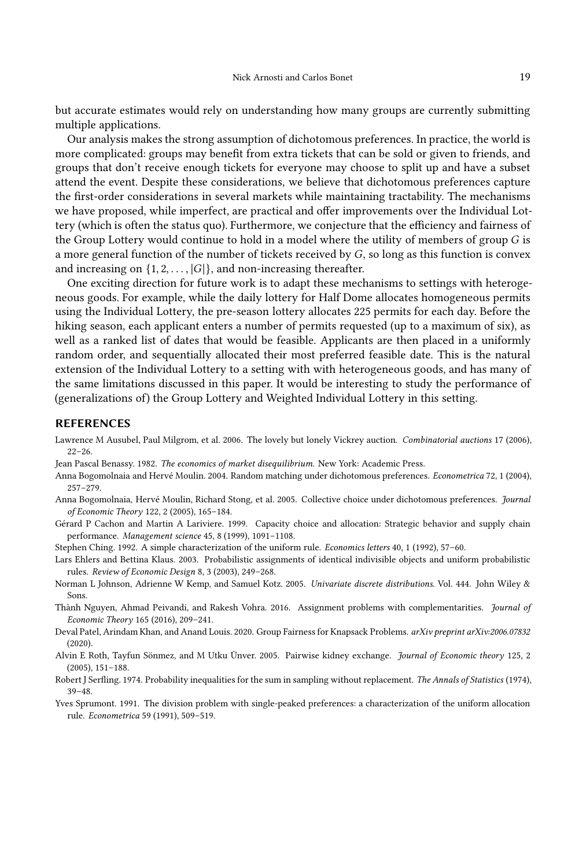but accurate estimates would rely on understanding how many groups are currently submitting multiple applications.

Our analysis makes the strong assumption of dichotomous preferences. In practice, the world is more complicated: groups may benefit from extra tickets that can be sold or given to friends, and groups that don't receive enough tickets for everyone may choose to split up and have a subset attend the event. Despite these considerations, we believe that dichotomous preferences capture the first-order considerations in several markets while maintaining tractability. The mechanisms we have proposed, while imperfect, are practical and offer improvements over the Individual Lottery (which is often the status quo). Furthermore, we conjecture that the efficiency and fairness of the Group Lottery would continue to hold in a model where the utility of members of group  $G$  is a more general function of the number of tickets received by  $G$ , so long as this function is convex and increasing on  $\{1, 2, \ldots, |G|\}$ , and non-increasing thereafter.

One exciting direction for future work is to adapt these mechanisms to settings with heterogeneous goods. For example, while the daily lottery for Half Dome allocates homogeneous permits using the Individual Lottery, the pre-season lottery allocates 225 permits for each day. Before the hiking season, each applicant enters a number of permits requested (up to a maximum of six), as well as a ranked list of dates that would be feasible. Applicants are then placed in a uniformly random order, and sequentially allocated their most preferred feasible date. This is the natural extension of the Individual Lottery to a setting with with heterogeneous goods, and has many of the same limitations discussed in this paper. It would be interesting to study the performance of (generalizations of) the Group Lottery and Weighted Individual Lottery in this setting.

#### REFERENCES

- <span id="page-19-12"></span>Lawrence M Ausubel, Paul Milgrom, et al. 2006. The lovely but lonely Vickrey auction. Combinatorial auctions 17 (2006), 22–26.
- <span id="page-19-1"></span>Jean Pascal Benassy. 1982. The economics of market disequilibrium. New York: Academic Press.
- <span id="page-19-7"></span>Anna Bogomolnaia and Hervé Moulin. 2004. Random matching under dichotomous preferences. Econometrica 72, 1 (2004), 257–279.
- <span id="page-19-8"></span>Anna Bogomolnaia, Hervé Moulin, Richard Stong, et al. 2005. Collective choice under dichotomous preferences. Journal of Economic Theory 122, 2 (2005), 165–184.
- <span id="page-19-5"></span>Gérard P Cachon and Martin A Lariviere. 1999. Capacity choice and allocation: Strategic behavior and supply chain performance. Management science 45, 8 (1999), 1091–1108.
- <span id="page-19-3"></span>Stephen Ching. 1992. A simple characterization of the uniform rule. Economics letters 40, 1 (1992), 57–60.
- <span id="page-19-4"></span>Lars Ehlers and Bettina Klaus. 2003. Probabilistic assignments of identical indivisible objects and uniform probabilistic rules. Review of Economic Design 8, 3 (2003), 249–268.
- <span id="page-19-11"></span>Norman L Johnson, Adrienne W Kemp, and Samuel Kotz. 2005. Univariate discrete distributions. Vol. 444. John Wiley & Sons.
- <span id="page-19-0"></span>Thành Nguyen, Ahmad Peivandi, and Rakesh Vohra. 2016. Assignment problems with complementarities. Journal of Economic Theory 165 (2016), 209–241.
- <span id="page-19-9"></span>Deval Patel, Arindam Khan, and Anand Louis. 2020. Group Fairness for Knapsack Problems. arXiv preprint arXiv:2006.07832 (2020).
- <span id="page-19-6"></span>Alvin E Roth, Tayfun Sönmez, and M Utku Ünver. 2005. Pairwise kidney exchange. Journal of Economic theory 125, 2 (2005), 151–188.
- <span id="page-19-10"></span>Robert J Serfling. 1974. Probability inequalities for the sum in sampling without replacement. The Annals of Statistics (1974), 39–48.
- <span id="page-19-2"></span>Yves Sprumont. 1991. The division problem with single-peaked preferences: a characterization of the uniform allocation rule. Econometrica 59 (1991), 509–519.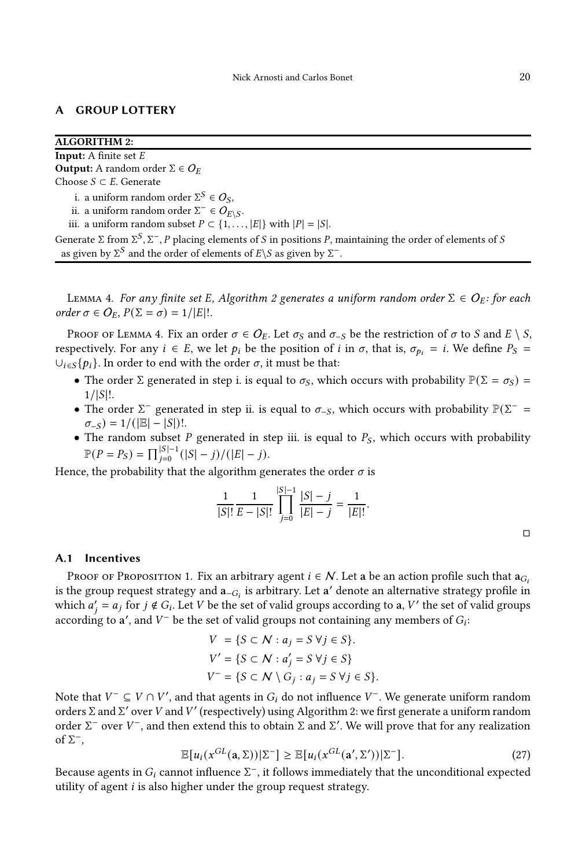## <span id="page-20-0"></span>A GROUP LOTTERY

<span id="page-20-1"></span>

| <b>ALGORITHM 2:</b>                                                                                                                                                                                                    |
|------------------------------------------------------------------------------------------------------------------------------------------------------------------------------------------------------------------------|
| <b>Input:</b> A finite set $E$                                                                                                                                                                                         |
| <b>Output:</b> A random order $\Sigma \in O_F$                                                                                                                                                                         |
| Choose $S \subset E$ . Generate                                                                                                                                                                                        |
| i. a uniform random order $\Sigma^S \in O_S$ ,                                                                                                                                                                         |
| ii. a uniform random order $\Sigma^- \in O_{E \setminus S}$ .                                                                                                                                                          |
| iii. a uniform random subset $P \subset \{1, ,  E \}$ with $ P  =  S $ .                                                                                                                                               |
| Generate $\Sigma$ from $\Sigma^S$ , $\Sigma^-$ , P placing elements of S in positions P, maintaining the order of elements of S<br>as given by $\Sigma^S$ and the order of elements of $E\ S$ as given by $\Sigma^-$ . |

<span id="page-20-2"></span>LEMMA 4. For any finite set E, Algorithm [2](#page-20-1) generates a uniform random order  $\Sigma \in O_E$ : for each order  $\sigma \in O_E$ ,  $P(\Sigma = \sigma) = 1/|E|!$ .

PROOF OF LEMMA [4.](#page-20-2) Fix an order  $\sigma \in O_F$ . Let  $\sigma_S$  and  $\sigma_{-S}$  be the restriction of  $\sigma$  to S and  $E \setminus S$ , respectively. For any  $i \in E$ , we let  $p_i$  be the position of  $i$  in  $\sigma$ , that is,  $\sigma_{p_i} = i$ . We define  $P_S =$  $\bigcup_{i \in S} \{p_i\}$ . In order to end with the order  $\sigma$ , it must be that:

- The order  $\Sigma$  generated in step i. is equal to  $\sigma_S$ , which occurs with probability  $\mathbb{P}(\Sigma = \sigma_S)$  =  $1/|S|!$ .
- The order  $\Sigma^-$  generated in step ii. is equal to  $\sigma_{-S}$ , which occurs with probability  $\mathbb{P}(\Sigma^-$  =  $\sigma_{-S}$ ) = 1/( $|\mathbb{E}| - |S|$ )!.
- The random subset  $P$  generated in step iii. is equal to  $P_S$ , which occurs with probability  $\mathbb{P}(P = P_S) = \prod_{j=0}^{|S|-1} (|S|-j) / (|E|-j).$

Hence, the probability that the algorithm generates the order  $\sigma$  is

$$
\frac{1}{|S|!}\frac{1}{E-|S|!}\prod_{j=0}^{|S|-1}\frac{|S|-j}{|E|-j}=\frac{1}{|E|!}.
$$

## A.1 Incentives

Proof of Proposition [1.](#page-8-0) Fix an arbitrary agent  $i \in \mathcal{N}$ . Let a be an action profile such that  $a_{G_i}$ is the group request strategy and  $a_{-G_i}$  is arbitrary. Let a' denote an alternative strategy profile in which  $a'_j = a_j$  for  $j \notin G_i$ . Let V be the set of valid groups according to a, V' the set of valid groups according to  $\mathbf{a}'$ , and  $V^-$  be the set of valid groups not containing any members of  $G_i$ :

$$
V = \{S \subset \mathcal{N} : a_j = S \,\forall j \in S\}.
$$
  
\n
$$
V' = \{S \subset \mathcal{N} : a'_j = S \,\forall j \in S\}
$$
  
\n
$$
V^- = \{S \subset \mathcal{N} \setminus G_j : a_j = S \,\forall j \in S\}.
$$

Note that  $V^-\subseteq V\cap V'$ , and that agents in  $G_i$  do not influence  $V^+$ . We generate uniform random orders Σ and Σ' over *V* and *V'* (respectively) using Algorithm [2:](#page-20-1) we first generate a uniform random order  $\Sigma^-$  over  $V^-$ , and then extend this to obtain  $\Sigma$  and  $\Sigma'$ . We will prove that for any realization of  $\Sigma^-,$ 

$$
\mathbb{E}[u_i(x^{GL}(\mathbf{a}, \Sigma))|\Sigma^{-}] \geq \mathbb{E}[u_i(x^{GL}(\mathbf{a}', \Sigma'))|\Sigma^{-}].
$$
\n(27)

Because agents in  $G_i$  cannot influence  $\Sigma^+$ , it follows immediately that the unconditional expected utility of agent  $i$  is also higher under the group request strategy.

 $\Box$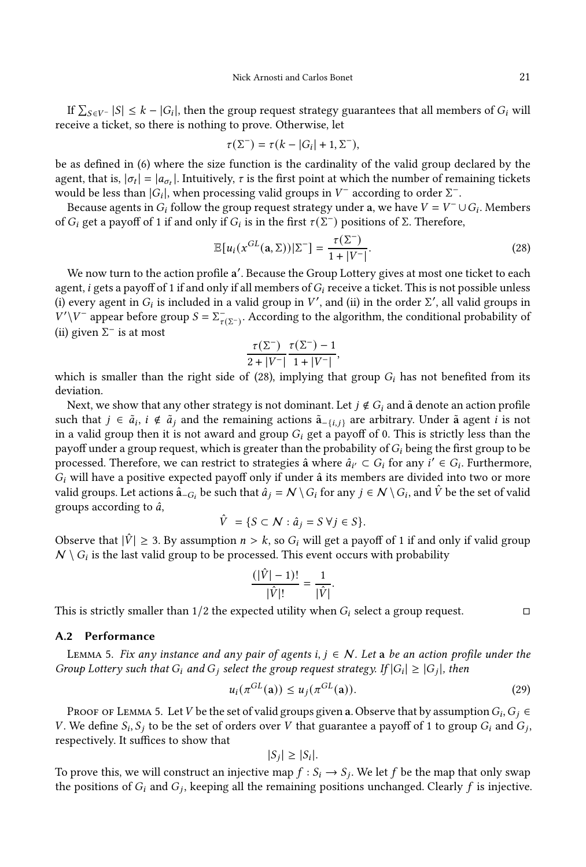If  $\sum_{S \in V^-} |S| \leq k - |G_i|$ , then the group request strategy guarantees that all members of  $G_i$  will receive a ticket, so there is nothing to prove. Otherwise, let

$$
\tau(\Sigma^-) = \tau(k - |G_i| + 1, \Sigma^-),
$$

be as defined in [\(6\)](#page-8-2) where the size function is the cardinality of the valid group declared by the agent, that is,  $|\sigma_t| = |a_{\sigma_t}|$ . Intuitively,  $\tau$  is the first point at which the number of remaining tickets would be less than  $|G_i|$ , when processing valid groups in  $V^-$  according to order  $\Sigma^-$ .

Because agents in  $G_i$  follow the group request strategy under a, we have  $V = V^- \cup G_i$ . Members of  $G_i$  get a payoff of 1 if and only if  $G_i$  is in the first  $\tau(\Sigma^-)$  positions of Σ. Therefore,

<span id="page-21-1"></span>
$$
\mathbb{E}[u_i(x^{GL}(\mathbf{a}, \Sigma))|\Sigma^{-}] = \frac{\tau(\Sigma^{-})}{1+|V^{-}|}.
$$
\n(28)

We now turn to the action profile a'. Because the Group Lottery gives at most one ticket to each agent, *i* gets a payoff of 1 if and only if all members of  $G_i$  receive a ticket. This is not possible unless (i) every agent in  $G_i$  is included in a valid group in  $V'$ , and (ii) in the order  $\Sigma'$ , all valid groups in  $V'\V^{-}$  appear before group  $S = \sum_{\tau(\Sigma^-)}$ . According to the algorithm, the conditional probability of (ii) given  $\Sigma^-$  is at most

$$
\frac{\tau(\Sigma^-)}{2+|V^-|} \frac{\tau(\Sigma^-) - 1}{1 + |V^-|},
$$

which is smaller than the right side of [\(28\)](#page-21-1), implying that group  $G_i$  has not benefited from its deviation.

Next, we show that any other strategy is not dominant. Let  $j \notin G_i$  and  $\tilde{\mathbf{a}}$  denote an action profile such that  $j \in \tilde{a}_i$ ,  $i \notin \tilde{a}_j$  and the remaining actions  $\tilde{a}_{-\{i,j\}}$  are arbitrary. Under  $\tilde{a}$  agent  $i$  is not in a valid group then it is not award and group  $G_i$  get a payoff of 0. This is strictly less than the payoff under a group request, which is greater than the probability of  $G_i$  being the first group to be processed. Therefore, we can restrict to strategies  $\hat{a}$  where  $\hat{a}_{i'} \subset G_i$  for any  $i' \in G_i$ . Furthermore,  $G_i$  will have a positive expected payoff only if under  $\hat{a}$  its members are divided into two or more valid groups. Let actions  $\hat{\mathsf{a}}_{-G_i}$  be such that  $\hat{a}_j = \mathcal{N} \setminus G_i$  for any  $j \in \mathcal{N} \setminus G_i$ , and  $\hat{V}$  be the set of valid groups according to  $\hat{a}$ ,

$$
\hat{V} = \{ S \subset \mathcal{N} : \hat{a}_j = S \ \forall j \in S \}.
$$

Observe that  $|\hat{V}| \geq 3$ . By assumption  $n > k$ , so  $G_i$  will get a payoff of 1 if and only if valid group  $\mathcal{N} \setminus G_i$  is the last valid group to be processed. This event occurs with probability

$$
\frac{(|\hat{V}|-1)!}{|\hat{V}|!} = \frac{1}{|\hat{V}|}.
$$

This is strictly smaller than  $1/2$  the expected utility when  $G_i$  select a group request.

#### A.2 Performance

<span id="page-21-0"></span>LEMMA 5. Fix any instance and any pair of agents  $i, j \in \mathcal{N}$ . Let a be an action profile under the Group Lottery such that  $G_i$  and  $G_j$  select the group request strategy. If  $|G_i| \geq |G_j|$ , then

$$
u_i(\pi^{GL}(\mathbf{a})) \le u_j(\pi^{GL}(\mathbf{a})).
$$
\n(29)

Proof of Lemma [5.](#page-21-0) Let V be the set of valid groups given a. Observe that by assumption  $G_i, G_j \in$ V. We define  $S_i$ ,  $S_j$  to be the set of orders over V that guarantee a payoff of 1 to group  $G_i$  and  $G_j$ , respectively. It suffices to show that

$$
|S_j| \ge |S_i|.
$$

To prove this, we will construct an injective map  $f : S_i \to S_j$ . We let f be the map that only swap the positions of  $G_i$  and  $G_j$ , keeping all the remaining positions unchanged. Clearly  $f$  is injective.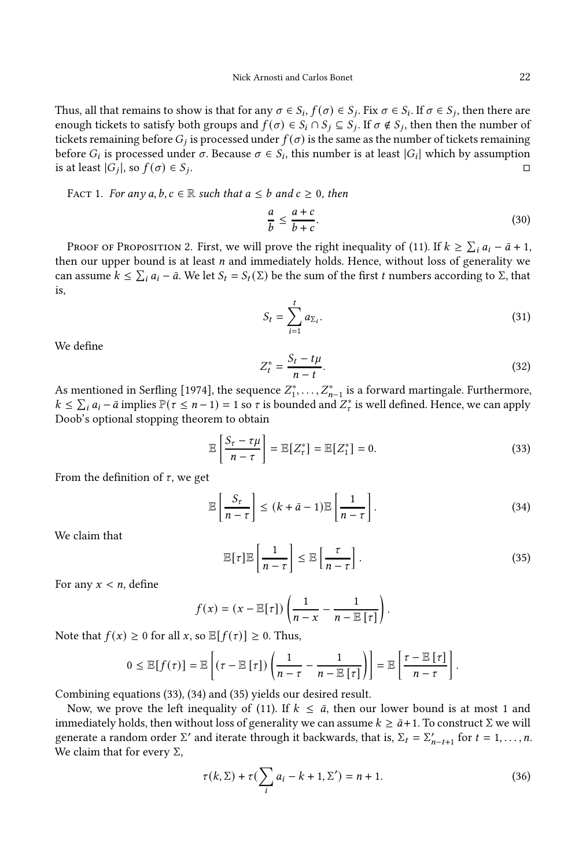Thus, all that remains to show is that for any  $\sigma \in S_i$ ,  $f(\sigma) \in S_j$ . Fix  $\sigma \in S_i$ . If  $\sigma \in S_j$ , then there are enough tickets to satisfy both groups and  $f(\sigma) \in S_i \cap S_j \subseteq S_j$ . If  $\sigma \notin S_j$ , then then the number of tickets remaining before  $G_j$  is processed under  $f(\sigma)$  is the same as the number of tickets remaining before  $G_i$  is processed under  $\sigma$ . Because  $\sigma \in S_i$ , this number is at least  $|G_i|$  which by assumption is at least  $|G_j|$ , so  $f(\sigma) \in S_j$ .

<span id="page-22-4"></span>FACT 1. For any  $a, b, c \in \mathbb{R}$  such that  $a \leq b$  and  $c \geq 0$ , then

$$
\frac{a}{b} \le \frac{a+c}{b+c}.\tag{30}
$$

Proof of Proposition [2.](#page-10-1) First, we will prove the right inequality of [\(11\)](#page-10-2). If  $k \geq \sum_i a_i - \bar{a} + 1$ , then our upper bound is at least  $n$  and immediately holds. Hence, without loss of generality we can assume  $k \leq \sum_i a_i - \bar{a}$ . We let  $S_t = S_t(\Sigma)$  be the sum of the first t numbers according to  $\Sigma$ , that is,

$$
S_t = \sum_{i=1}^t a_{\Sigma_i}.\tag{31}
$$

We define

$$
Z_t^* = \frac{S_t - t\mu}{n - t}.\tag{32}
$$

As mentioned in [Serfling \[1974](#page-19-10)], the sequence  $Z_1^*, \ldots, Z_{n-1}^*$  is a forward martingale. Furthermore,  $k \leq \sum_i a_i - \bar{a}$  implies  $\mathbb{P}(\tau \leq n-1) = 1$  so  $\tau$  is bounded and  $Z^*$  is well defined. Hence, we can apply Doob's optional stopping theorem to obtain

<span id="page-22-0"></span>
$$
\mathbb{E}\left[\frac{S_{\tau}-\tau\mu}{n-\tau}\right]=\mathbb{E}[Z_{\tau}^*]=\mathbb{E}[Z_1^*]=0.
$$
\n(33)

From the definition of  $\tau$ , we get

<span id="page-22-1"></span>
$$
\mathbb{E}\left[\frac{S_{\tau}}{n-\tau}\right] \le (k+\bar{a}-1)\mathbb{E}\left[\frac{1}{n-\tau}\right].\tag{34}
$$

We claim that

<span id="page-22-2"></span>
$$
\mathbb{E}[\tau]\mathbb{E}\left[\frac{1}{n-\tau}\right] \leq \mathbb{E}\left[\frac{\tau}{n-\tau}\right].\tag{35}
$$

For any  $x < n$ , define

$$
f(x) = (x - \mathbb{E}[\tau]) \left( \frac{1}{n-x} - \frac{1}{n - \mathbb{E}[\tau]} \right).
$$

Note that  $f(x) \geq 0$  for all  $x$ , so  $\mathbb{E}[f(\tau)] \geq 0$ . Thus,

$$
0 \leq \mathbb{E}[f(\tau)] = \mathbb{E}\left[(\tau - \mathbb{E}[\tau])\left(\frac{1}{n-\tau} - \frac{1}{n-\mathbb{E}[\tau]}\right)\right] = \mathbb{E}\left[\frac{\tau - \mathbb{E}[\tau]}{n-\tau}\right].
$$

Combining equations [\(33\)](#page-22-0), [\(34\)](#page-22-1) and [\(35\)](#page-22-2) yields our desired result.

Now, we prove the left inequality of [\(11\)](#page-10-2). If  $k \leq \bar{a}$ , then our lower bound is at most 1 and immediately holds, then without loss of generality we can assume  $k \geq \bar{a}+1$ . To construct Σ we will generate a random order  $\Sigma'$  and iterate through it backwards, that is,  $\Sigma_t = \Sigma'_{n-t+1}$  for  $t = 1, ..., n$ . We claim that for every  $Σ$ ,

<span id="page-22-3"></span>
$$
\tau(k,\Sigma) + \tau(\sum_{i} a_i - k + 1, \Sigma') = n + 1.
$$
 (36)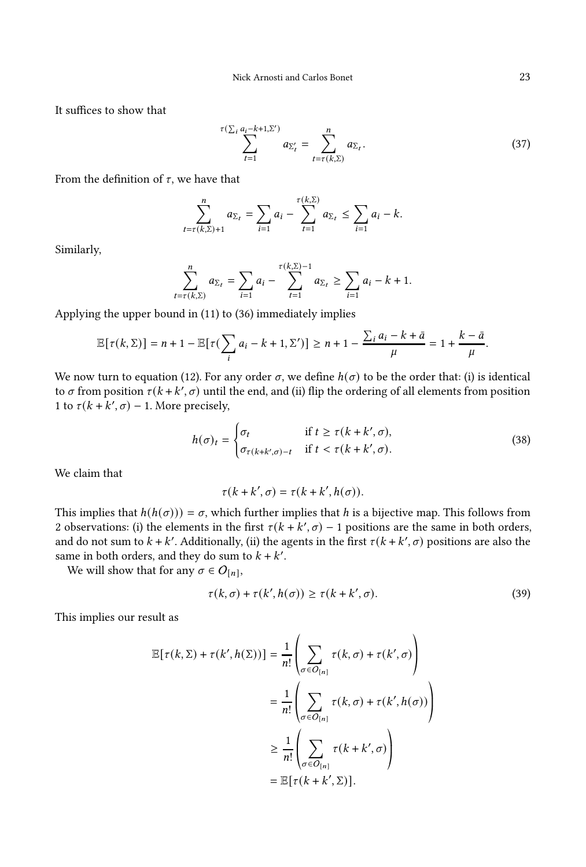It suffices to show that

$$
\sum_{t=1}^{\tau(\sum_{i} a_i - k + 1, \Sigma')} a_{\Sigma'_t} = \sum_{t=\tau(k, \Sigma)}^n a_{\Sigma_t}.
$$
 (37)

From the definition of  $\tau$ , we have that

$$
\sum_{t=\tau(k,\Sigma)+1}^{n} a_{\Sigma_{t}} = \sum_{i=1}^{n} a_{i} - \sum_{t=1}^{\tau(k,\Sigma)} a_{\Sigma_{t}} \leq \sum_{i=1}^{n} a_{i} - k.
$$

Similarly,

$$
\sum_{t=\tau(k,\Sigma)}^{n} a_{\Sigma_{t}} = \sum_{i=1}^{n} a_{i} - \sum_{t=1}^{\tau(k,\Sigma)-1} a_{\Sigma_{t}} \ge \sum_{i=1}^{n} a_{i} - k + 1.
$$

Applying the upper bound in [\(11\)](#page-10-2) to [\(36\)](#page-22-3) immediately implies

$$
\mathbb{E}[\tau(k,\Sigma)] = n+1-\mathbb{E}[\tau(\sum_{i} a_i - k + 1,\Sigma')] \ge n+1-\frac{\sum_{i} a_i - k + \bar{a}}{\mu} = 1+\frac{k-\bar{a}}{\mu}.
$$

We now turn to equation [\(12\)](#page-10-3). For any order  $\sigma$ , we define  $h(\sigma)$  to be the order that: (i) is identical to  $\sigma$  from position  $\tau$ ( $k$  +  $k'$ ,  $\sigma$ ) until the end, and (ii) flip the ordering of all elements from position 1 to  $\tau(k + k', \sigma) - 1$ . More precisely,

<span id="page-23-1"></span>
$$
h(\sigma)_t = \begin{cases} \sigma_t & \text{if } t \ge \tau(k + k', \sigma), \\ \sigma_{\tau(k + k', \sigma) - t} & \text{if } t < \tau(k + k', \sigma). \end{cases}
$$
 (38)

We claim that

$$
\tau(k+k',\sigma)=\tau(k+k',h(\sigma)).
$$

This implies that  $h(h(\sigma))) = \sigma$ , which further implies that h is a bijective map. This follows from 2 observations: (i) the elements in the first  $\tau(k + k', \sigma) - 1$  positions are the same in both orders, and do not sum to  $k + k'$ . Additionally, (ii) the agents in the first  $\tau(k + k', \sigma)$  positions are also the same in both orders, and they do sum to  $k + k'$ .

We will show that for any  $\sigma \in O_{[n]},$ 

<span id="page-23-0"></span>
$$
\tau(k,\sigma) + \tau(k',h(\sigma)) \ge \tau(k+k',\sigma). \tag{39}
$$

This implies our result as

$$
\mathbb{E}[\tau(k,\Sigma) + \tau(k',h(\Sigma))] = \frac{1}{n!} \left( \sum_{\sigma \in O_{[n]}} \tau(k,\sigma) + \tau(k',\sigma) \right)
$$

$$
= \frac{1}{n!} \left( \sum_{\sigma \in O_{[n]}} \tau(k,\sigma) + \tau(k',h(\sigma)) \right)
$$

$$
\geq \frac{1}{n!} \left( \sum_{\sigma \in O_{[n]}} \tau(k+k',\sigma) \right)
$$

$$
= \mathbb{E}[\tau(k+k',\Sigma)].
$$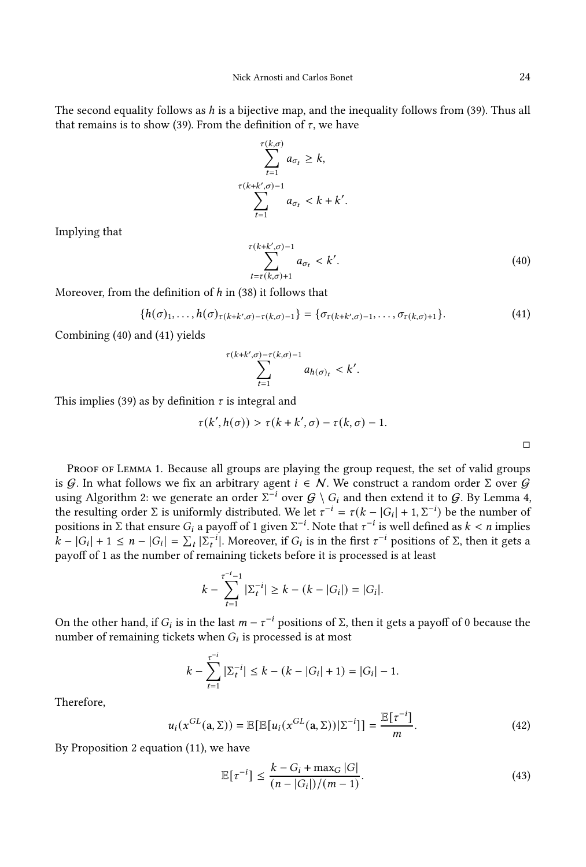The second equality follows as  $h$  is a bijective map, and the inequality follows from [\(39\)](#page-23-0). Thus all that remains is to show [\(39\)](#page-23-0). From the definition of  $\tau$ , we have

$$
\sum_{t=1}^{\tau(k,\sigma)} a_{\sigma_t} \ge k,
$$
  

$$
\sum_{t=1}^{\tau(k+k',\sigma)-1} a_{\sigma_t} < k+k'
$$

Implying that

<span id="page-24-0"></span>
$$
\sum_{t=\tau(k,\sigma)+1}^{\tau(k+k',\sigma)-1} a_{\sigma_t} < k'.\tag{40}
$$

Moreover, from the definition of  $h$  in [\(38\)](#page-23-1) it follows that

<span id="page-24-1"></span>
$$
\{h(\sigma)_1,\ldots,h(\sigma)_{\tau(k+k',\sigma)-\tau(k,\sigma)-1}\}=\{\sigma_{\tau(k+k',\sigma)-1},\ldots,\sigma_{\tau(k,\sigma)+1}\}.
$$
\n(41)

.

Combining [\(40\)](#page-24-0) and [\(41\)](#page-24-1) yields

$$
\sum_{t=1}^{\tau(k+k',\sigma)-\tau(k,\sigma)-1}a_{h(\sigma)_t} < k'
$$

This implies [\(39\)](#page-23-0) as by definition  $\tau$  is integral and

$$
\tau(k',h(\sigma)) > \tau(k+k',\sigma) - \tau(k,\sigma) - 1.
$$

.

PROOF OF LEMMA [1.](#page-9-1) Because all groups are playing the group request, the set of valid groups is G. In what follows we fix an arbitrary agent  $i \in \mathcal{N}$ . We construct a random order  $\Sigma$  over G using Algorithm [2:](#page-20-1) we generate an order  $\Sigma^{-i}$  over  $\mathcal{G} \setminus G_i$  and then extend it to  $\mathcal{G}.$  By Lemma [4,](#page-20-2) the resulting order  $\Sigma$  is uniformly distributed. We let  $\tau^{-i} = \tau(k - |G_i| + 1, \Sigma^{-i})$  be the number of positions in Σ that ensure  $G_i$  a payoff of 1 given  $\Sigma^{-i}.$  Note that  $\tau^{-i}$  is well defined as  $k < n$  implies  $\hat{k} - |G_i| + 1 \leq n - |G_i| = \sum_t |\sum_t^{i}$ . Moreover, if  $G_i$  is in the first  $\tau^{-i}$  positions of  $\Sigma$ , then it gets a payoff of 1 as the number of remaining tickets before it is processed is at least

$$
k - \sum_{t=1}^{\tau^{-i}-1} |\Sigma_t^{-i}| \ge k - (k - |G_i|) = |G_i|.
$$

On the other hand, if  $G_i$  is in the last  $m - \tau^{-i}$  positions of Σ, then it gets a payoff of 0 because the number of remaining tickets when  $G_i$  is processed is at most

$$
k - \sum_{t=1}^{\tau^{-i}} |\Sigma_t^{-i}| \le k - (k - |G_i| + 1) = |G_i| - 1.
$$

Therefore,

<span id="page-24-2"></span>
$$
u_i(x^{GL}(\mathbf{a}, \Sigma)) = \mathbb{E}[\mathbb{E}[u_i(x^{GL}(\mathbf{a}, \Sigma))|\Sigma^{-i}]] = \frac{\mathbb{E}[\tau^{-i}]}{m}.
$$
 (42)

By Proposition [2](#page-10-1) equation [\(11\)](#page-10-2), we have

$$
\mathbb{E}[\tau^{-i}] \le \frac{k - G_i + \max_G |G|}{(n - |G_i|)/(m - 1)}.
$$
\n(43)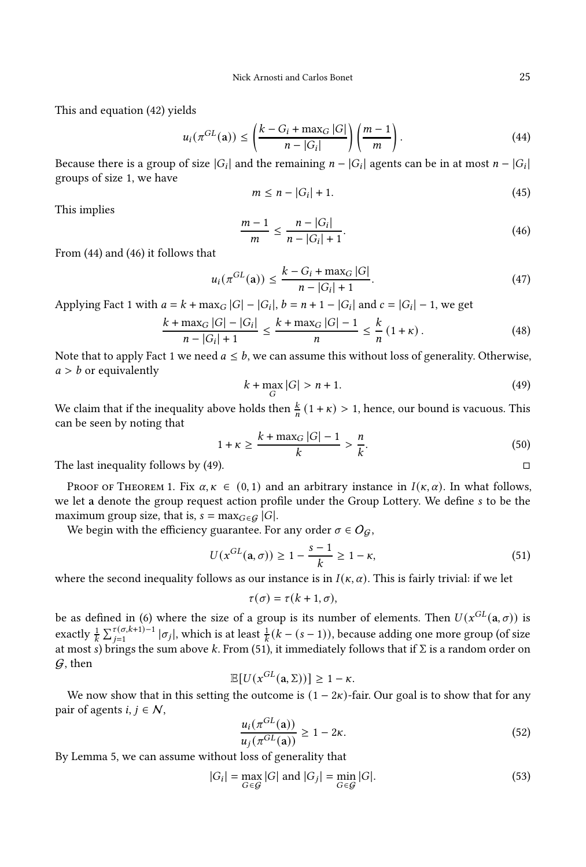This and equation [\(42\)](#page-24-2) yields

$$
u_i(\pi^{GL}(\mathbf{a})) \le \left(\frac{k - G_i + \max_G |G|}{n - |G_i|}\right) \left(\frac{m - 1}{m}\right). \tag{44}
$$

Because there is a group of size  $|G_i|$  and the remaining  $n - |G_i|$  agents can be in at most  $n - |G_i|$ groups of size 1, we have

<span id="page-25-0"></span>
$$
m \leq n - |G_i| + 1. \tag{45}
$$

This implies

<span id="page-25-1"></span>
$$
\frac{m-1}{m} \le \frac{n - |G_i|}{n - |G_i| + 1}.\tag{46}
$$

From [\(44\)](#page-25-0) and [\(46\)](#page-25-1) it follows that

$$
u_i(\pi^{GL}(\mathbf{a})) \le \frac{k - G_i + \max_G |G|}{n - |G_i| + 1}.\tag{47}
$$

Applying Fact [1](#page-22-4) with  $a = k + \max_G |G| - |G_i|$ ,  $b = n + 1 - |G_i|$  and  $c = |G_i| - 1$ , we get

$$
\frac{k + \max_{G} |G| - |G_{i}|}{n - |G_{i}| + 1} \le \frac{k + \max_{G} |G| - 1}{n} \le \frac{k}{n} (1 + \kappa).
$$
 (48)

Note that to apply Fact [1](#page-22-4) we need  $a \leq b$ , we can assume this without loss of generality. Otherwise,  $a > b$  or equivalently

<span id="page-25-2"></span>
$$
k + \max_G |G| > n + 1. \tag{49}
$$

We claim that if the inequality above holds then  $\frac{k}{n}(1 + \kappa) > 1$ , hence, our bound is vacuous. This can be seen by noting that

$$
1 + \kappa \ge \frac{k + \max_{G} |G| - 1}{k} > \frac{n}{k}.
$$
 (50)

The last inequality follows by [\(49\)](#page-25-2).  $\square$ 

PROOF OF THEOREM [1.](#page-9-0) Fix  $\alpha, \kappa \in (0, 1)$  and an arbitrary instance in  $I(\kappa, \alpha)$ . In what follows, we let a denote the group request action profile under the Group Lottery. We define s to be the maximum group size, that is,  $s = \max_{G \in \mathcal{G}} |G|$ .

We begin with the efficiency guarantee. For any order  $\sigma \in O_G$ ,

<span id="page-25-3"></span>
$$
U(x^{GL}(\mathbf{a}, \sigma)) \ge 1 - \frac{s-1}{k} \ge 1 - \kappa,\tag{51}
$$

where the second inequality follows as our instance is in  $I(\kappa, \alpha)$ . This is fairly trivial: if we let

$$
\tau(\sigma)=\tau(k+1,\sigma),
$$

be as defined in [\(6\)](#page-8-2) where the size of a group is its number of elements. Then  $U(x^{GL}(\mathbf{a}, \sigma))$  is exactly  $\frac{1}{k}\sum_{j=1}^{\tau(\sigma,k+1)-1}|\sigma_j|$ , which is at least  $\frac{1}{k}(k-(s-1))$ , because adding one more group (of size at most s) brings the sum above k. From [\(51\)](#page-25-3), it immediately follows that if  $\Sigma$  is a random order on  $G$ , then

$$
\mathbb{E}[U(x^{GL}(\mathbf{a},\Sigma))]\geq 1-\kappa.
$$

We now show that in this setting the outcome is  $(1 - 2\kappa)$ -fair. Our goal is to show that for any pair of agents  $i, j \in \mathcal{N}$ ,

$$
\frac{u_i(\pi^{GL}(\mathbf{a}))}{u_j(\pi^{GL}(\mathbf{a}))} \ge 1 - 2\kappa.
$$
\n(52)

By Lemma [5,](#page-21-0) we can assume without loss of generality that

$$
|G_i| = \max_{G \in \mathcal{G}} |G| \text{ and } |G_j| = \min_{G \in \mathcal{G}} |G|.
$$
 (53)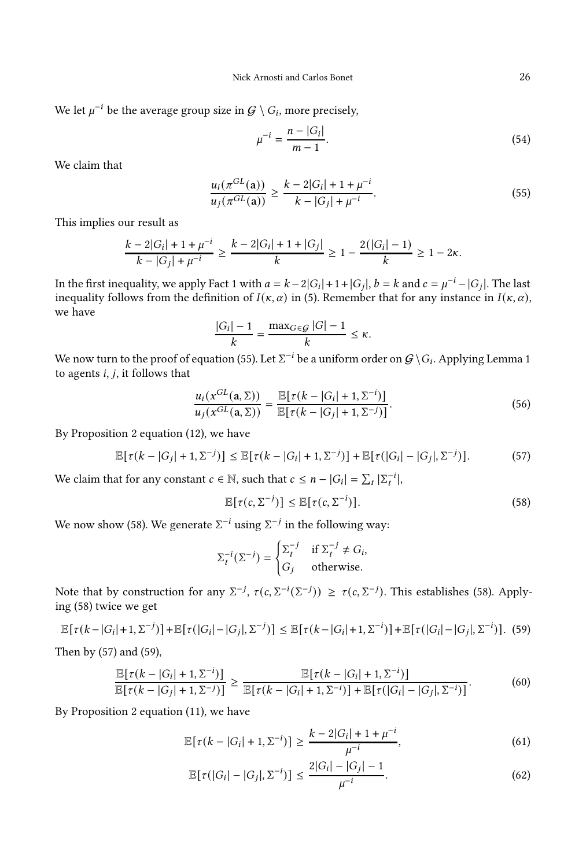We let  $\mu^{-i}$  be the average group size in  $\mathcal{G} \setminus G_i$ , more precisely,

<span id="page-26-0"></span>
$$
\mu^{-i} = \frac{n - |G_i|}{m - 1}.
$$
\n(54)

We claim that

$$
\frac{u_i(\pi^{GL}(\mathbf{a}))}{u_j(\pi^{GL}(\mathbf{a}))} \ge \frac{k - 2|G_i| + 1 + \mu^{-i}}{k - |G_j| + \mu^{-i}}.\tag{55}
$$

This implies our result as

$$
\frac{k-2|G_i|+1+\mu^{-i}}{k-|G_j|+\mu^{-i}} \ge \frac{k-2|G_i|+1+|G_j|}{k} \ge 1-\frac{2(|G_i|-1)}{k} \ge 1-2\kappa.
$$

In the first inequality, we apply Fact [1](#page-22-4) with  $a = k - 2|G_i| + 1 + |G_j|$ ,  $b = k$  and  $c = \mu^{-i} - |G_j|$ . The last inequality follows from the definition of  $I(\kappa, \alpha)$  in [\(5\)](#page-7-0). Remember that for any instance in  $I(\kappa, \alpha)$ , we have

$$
\frac{|G_i| - 1}{k} = \frac{\max_{G \in \mathcal{G}} |G| - 1}{k} \le \kappa.
$$

We now turn to the proof of equation [\(55\)](#page-26-0). Let  $\Sigma^{-i}$  be a uniform order on  $\mathcal{G}\setminus G_i$ . Applying Lemma [1](#page-9-1) to agents  $i, j$ , it follows that

$$
\frac{u_i(x^{GL}(\mathbf{a}, \Sigma))}{u_j(x^{GL}(\mathbf{a}, \Sigma))} = \frac{\mathbb{E}[\tau(k - |G_i| + 1, \Sigma^{-i})]}{\mathbb{E}[\tau(k - |G_j| + 1, \Sigma^{-j})]}.
$$
\n(56)

By Proposition [2](#page-10-1) equation [\(12\)](#page-10-3), we have

<span id="page-26-2"></span>
$$
\mathbb{E}[\tau(k-|G_j|+1,\Sigma^{-j})] \leq \mathbb{E}[\tau(k-|G_i|+1,\Sigma^{-j})] + \mathbb{E}[\tau(|G_i|-|G_j|,\Sigma^{-j})].
$$
 (57)

We claim that for any constant  $c \in \mathbb{N}$ , such that  $c \leq n - |G_i| = \sum_t |\sum_t^{-i}|$ ,

<span id="page-26-1"></span>
$$
\mathbb{E}[\tau(c,\Sigma^{-j})] \leq \mathbb{E}[\tau(c,\Sigma^{-i})]. \tag{58}
$$

We now show [\(58\)](#page-26-1). We generate  $\Sigma^{-i}$  using  $\Sigma^{-j}$  in the following way:

$$
\Sigma_t^{-i}(\Sigma^{-j}) = \begin{cases} \Sigma_t^{-j} & \text{if } \Sigma_t^{-j} \neq G_i, \\ G_j & \text{otherwise.} \end{cases}
$$

Note that by construction for any  $\Sigma^{-j}$ ,  $\tau(c, \Sigma^{-i}(\Sigma^{-j})) \geq \tau(c, \Sigma^{-j})$ . This establishes [\(58\)](#page-26-1). Applying [\(58\)](#page-26-1) twice we get

<span id="page-26-3"></span>
$$
\mathbb{E}[\tau(k-|G_i|+1,\Sigma^{-j})] + \mathbb{E}[\tau(|G_i|-|G_j|,\Sigma^{-j})] \leq \mathbb{E}[\tau(k-|G_i|+1,\Sigma^{-i})] + \mathbb{E}[\tau(|G_i|-|G_j|,\Sigma^{-i})].
$$
 (59)

Then by [\(57\)](#page-26-2) and [\(59\)](#page-26-3),

$$
\frac{\mathbb{E}[\tau(k-|G_i|+1,\Sigma^{-i})]}{\mathbb{E}[\tau(k-|G_j|+1,\Sigma^{-j})]} \ge \frac{\mathbb{E}[\tau(k-|G_i|+1,\Sigma^{-i})]}{\mathbb{E}[\tau(k-|G_i|+1,\Sigma^{-i})] + \mathbb{E}[\tau(|G_i|-|G_j|,\Sigma^{-i})]}.
$$
(60)

By Proposition [2](#page-10-1) equation [\(11\)](#page-10-2), we have

$$
\mathbb{E}[\tau(k-|G_i|+1,\Sigma^{-i})] \ge \frac{k-2|G_i|+1+\mu^{-i}}{\mu^{-i}},\tag{61}
$$

<span id="page-26-5"></span><span id="page-26-4"></span>
$$
\mathbb{E}[\tau(|G_i| - |G_j|, \Sigma^{-i})] \le \frac{2|G_i| - |G_j| - 1}{\mu^{-i}}.
$$
\n(62)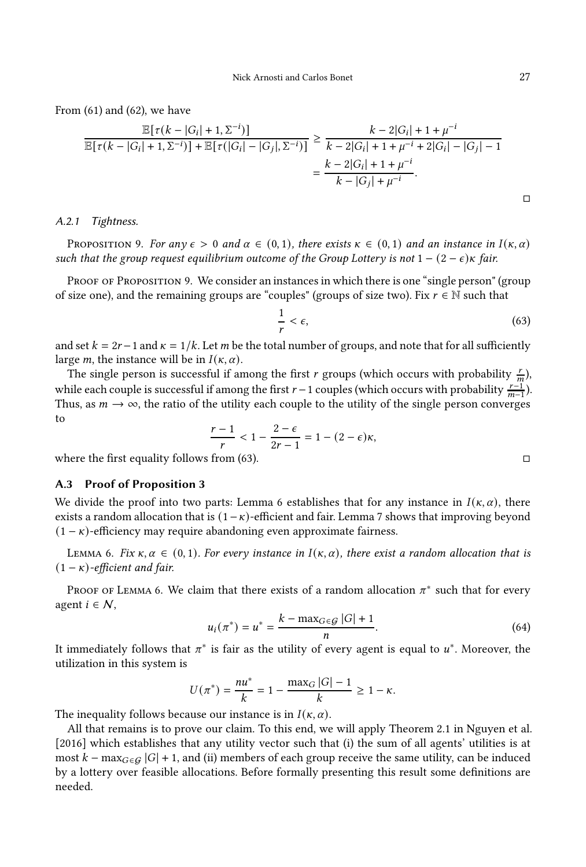From [\(61\)](#page-26-4) and [\(62\)](#page-26-5), we have

$$
\frac{\mathbb{E}[\tau(k-|G_i|+1,\Sigma^{-i})]}{\mathbb{E}[\tau(k-|G_i|+1,\Sigma^{-i})]+\mathbb{E}[\tau(|G_i|-|G_j|,\Sigma^{-i})]} \ge \frac{k-2|G_i|+1+\mu^{-i}}{k-2|G_i|+1+\mu^{-i}+2|G_i|-|G_j|-1}
$$

$$
=\frac{k-2|G_i|+1+\mu^{-i}}{k-|G_j|+\mu^{-i}}.
$$

A.2.1 Tightness.

<span id="page-27-0"></span>PROPOSITION 9. For any  $\epsilon > 0$  and  $\alpha \in (0,1)$ , there exists  $\kappa \in (0,1)$  and an instance in  $I(\kappa, \alpha)$ such that the group request equilibrium outcome of the Group Lottery is not  $1 - (2 - \epsilon)\kappa$  fair.

PROOF OF PROPOSITION [9.](#page-27-0) We consider an instances in which there is one "single person" (group of size one), and the remaining groups are "couples" (groups of size two). Fix  $r \in \mathbb{N}$  such that

<span id="page-27-2"></span>
$$
\frac{1}{r} < \epsilon,\tag{63}
$$

and set  $k = 2r - 1$  and  $\kappa = 1/k$ . Let m be the total number of groups, and note that for all sufficiently large *m*, the instance will be in  $I(\kappa, \alpha)$ .

The single person is successful if among the first r groups (which occurs with probability  $\frac{r}{m}$ ), while each couple is successful if among the first  $r-1$  couples (which occurs with probability  $\frac{r-1}{m-1}$ ). Thus, as  $m \to \infty$ , the ratio of the utility each couple to the utility of the single person converges to

$$
\frac{r-1}{r} < 1 - \frac{2-\epsilon}{2r-1} = 1 - (2-\epsilon)\kappa,
$$

<span id="page-27-1"></span>where the first equality follows from [\(63\)](#page-27-2).  $\square$ 

## A.3 Proof of Proposition [3](#page-10-0)

We divide the proof into two parts: Lemma [6](#page-27-3) establishes that for any instance in  $I(\kappa, \alpha)$ , there exists a random allocation that is  $(1 - \kappa)$ -efficient and fair. Lemma [7](#page-28-0) shows that improving beyond  $(1 - \kappa)$ -efficiency may require abandoning even approximate fairness.

<span id="page-27-3"></span>LEMMA 6. Fix  $\kappa, \alpha \in (0, 1)$ . For every instance in  $I(\kappa, \alpha)$ , there exist a random allocation that is  $(1 - \kappa)$ -efficient and fair.

Proof of Lemma [6.](#page-27-3) We claim that there exists of a random allocation  $\pi^*$  such that for every agent  $i \in \mathcal{N}$ ,

<span id="page-27-4"></span>
$$
u_i(\pi^*) = u^* = \frac{k - \max_{G \in \mathcal{G}} |G| + 1}{n}.
$$
 (64)

It immediately follows that  $\pi^*$  is fair as the utility of every agent is equal to  $u^*$ . Moreover, the utilization in this system is

$$
U(\pi^*) = \frac{nu^*}{k} = 1 - \frac{\max_G |G| - 1}{k} \ge 1 - \kappa.
$$

The inequality follows because our instance is in  $I(\kappa, \alpha)$ .

All that remains is to prove our claim. To this end, we will apply Theorem 2.1 in [Nguyen et al.](#page-19-0) [\[2016](#page-19-0)] which establishes that any utility vector such that (i) the sum of all agents' utilities is at most  $k - \max_{G \in \mathcal{G}} |G| + 1$ , and (ii) members of each group receive the same utility, can be induced by a lottery over feasible allocations. Before formally presenting this result some definitions are needed.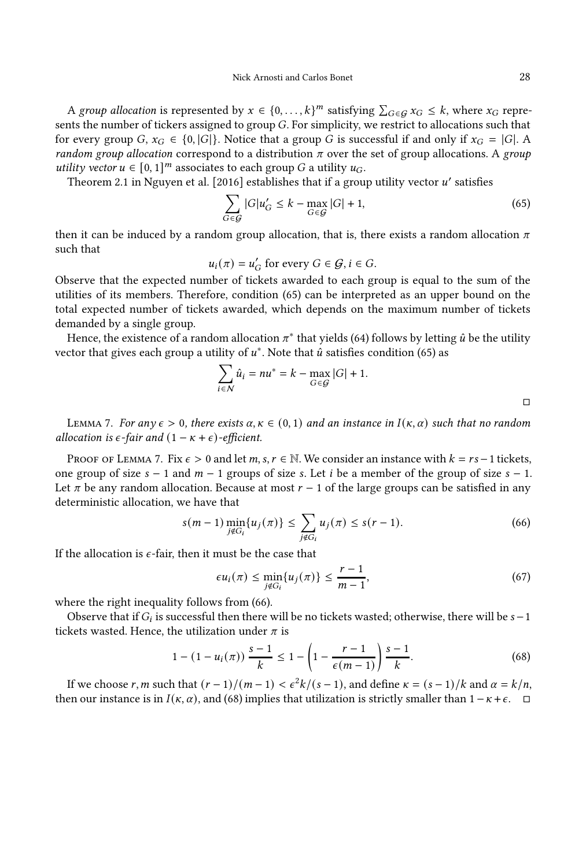A group allocation is represented by  $x \in \{0, ..., k\}^m$  satisfying  $\sum_{G \in \mathcal{G}} x_G \leq k$ , where  $x_G$  represents the number of tickers assigned to group  $G$ . For simplicity, we restrict to allocations such that for every group G,  $x_G \in \{0, |G|\}$ . Notice that a group G is successful if and only if  $x_G = |G|$ . A random group allocation correspond to a distribution  $\pi$  over the set of group allocations. A group utility vector  $u \in [0, 1]^m$  associates to each group G a utility  $u_G$ .

Theorem 2.1 in [Nguyen et al. \[2016](#page-19-0)] establishes that if a group utility vector  $u'$  satisfies

<span id="page-28-1"></span>
$$
\sum_{G \in \mathcal{G}} |G| u'_G \le k - \max_{G \in \mathcal{G}} |G| + 1,\tag{65}
$$

then it can be induced by a random group allocation, that is, there exists a random allocation  $\pi$ such that

 $u_i(\pi) = u'_G$  for every  $G \in \mathcal{G}, i \in G$ .

Observe that the expected number of tickets awarded to each group is equal to the sum of the utilities of its members. Therefore, condition [\(65\)](#page-28-1) can be interpreted as an upper bound on the total expected number of tickets awarded, which depends on the maximum number of tickets demanded by a single group.

Hence, the existence of a random allocation  $\pi^*$  that yields [\(64\)](#page-27-4) follows by letting  $\hat{u}$  be the utility vector that gives each group a utility of  $u^*$ . Note that  $\hat{u}$  satisfies condition [\(65\)](#page-28-1) as

$$
\sum_{i \in \mathcal{N}} \hat{u}_i = nu^* = k - \max_{G \in \mathcal{G}} |G| + 1.
$$

<span id="page-28-0"></span>LEMMA 7. For any  $\epsilon > 0$ , there exists  $\alpha, \kappa \in (0, 1)$  and an instance in  $I(\kappa, \alpha)$  such that no random allocation is  $\epsilon$ -fair and  $(1 - \kappa + \epsilon)$ -efficient.

PROOF OF LEMMA [7.](#page-28-0) Fix  $\epsilon > 0$  and let m, s,  $r \in \mathbb{N}$ . We consider an instance with  $k = rs - 1$  tickets, one group of size  $s - 1$  and  $m - 1$  groups of size s. Let i be a member of the group of size  $s - 1$ . Let  $\pi$  be any random allocation. Because at most  $r - 1$  of the large groups can be satisfied in any deterministic allocation, we have that

<span id="page-28-2"></span>
$$
s(m-1)\min_{j \notin G_i} \{u_j(\pi)\} \le \sum_{j \notin G_i} u_j(\pi) \le s(r-1). \tag{66}
$$

If the allocation is  $\epsilon$ -fair, then it must be the case that

$$
\epsilon u_i(\pi) \le \min_{j \notin G_i} \{u_j(\pi)\} \le \frac{r-1}{m-1},\tag{67}
$$

where the right inequality follows from [\(66\)](#page-28-2).

Observe that if  $G_i$  is successful then there will be no tickets wasted; otherwise, there will be  $s-1$ tickets wasted. Hence, the utilization under  $\pi$  is

<span id="page-28-3"></span>
$$
1 - (1 - u_i(\pi)) \frac{s - 1}{k} \le 1 - \left(1 - \frac{r - 1}{\epsilon(m - 1)}\right) \frac{s - 1}{k}.
$$
 (68)

If we choose r, m such that  $(r-1)/(m-1) < \frac{\varepsilon^2 k}{(s-1)}$ , and define  $\kappa = (s-1)/k$  and  $\alpha = \frac{k}{n}$ , then our instance is in  $I(\kappa, \alpha)$ , and [\(68\)](#page-28-3) implies that utilization is strictly smaller than  $1 - \kappa + \epsilon$ .  $\Box$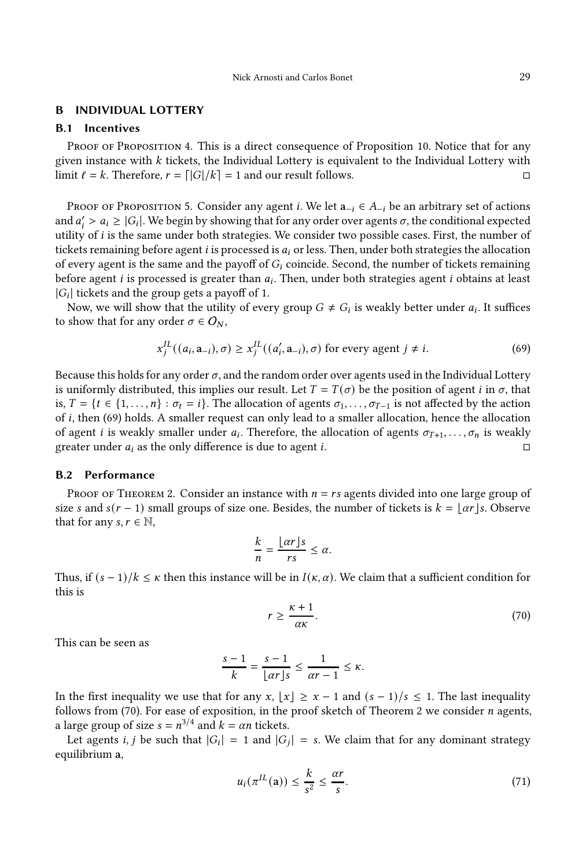#### <span id="page-29-0"></span>B INDIVIDUAL LOTTERY

## B.1 Incentives

PROOF OF PROPOSITION [4.](#page-12-1) This is a direct consequence of Proposition [10.](#page-30-0) Notice that for any given instance with  $k$  tickets, the Individual Lottery is equivalent to the Individual Lottery with limit  $\ell = k$ . Therefore,  $r = \lfloor |G|/k \rfloor = 1$  and our result follows.

PROOF OF PROPOSITION [5.](#page-12-3) Consider any agent *i*. We let  $a_{-i} \in A_{-i}$  be an arbitrary set of actions and  $a'_i > a_i \ge |G_i|$ . We begin by showing that for any order over agents  $\sigma$ , the conditional expected utility of *i* is the same under both strategies. We consider two possible cases. First, the number of tickets remaining before agent  $i$  is processed is  $a_i$  or less. Then, under both strategies the allocation of every agent is the same and the payoff of  $G_i$  coincide. Second, the number of tickets remaining before agent  $i$  is processed is greater than  $a_i$ . Then, under both strategies agent  $i$  obtains at least  $|G_i|$  tickets and the group gets a payoff of 1.

Now, we will show that the utility of every group  $G \neq G_i$  is weakly better under  $a_i$ . It suffices to show that for any order  $\sigma \in O_N$ ,

<span id="page-29-1"></span>
$$
x_j^{IL}((a_i, \mathbf{a}_{-i}), \sigma) \ge x_j^{IL}((a'_i, \mathbf{a}_{-i}), \sigma)
$$
 for every agent  $j \ne i$ . (69)

Because this holds for any order  $\sigma$ , and the random order over agents used in the Individual Lottery is uniformly distributed, this implies our result. Let  $T = T(\sigma)$  be the position of agent *i* in  $\sigma$ , that is,  $T = \{t \in \{1, \ldots, n\} : \sigma_t = i\}$ . The allocation of agents  $\sigma_1, \ldots, \sigma_{T-1}$  is not affected by the action of  $i$ , then [\(69\)](#page-29-1) holds. A smaller request can only lead to a smaller allocation, hence the allocation of agent *i* is weakly smaller under  $a_i$ . Therefore, the allocation of agents  $\sigma_{T+1}, \ldots, \sigma_n$  is weakly greater under  $a_i$  as the only difference is due to agent *i*.

## B.2 Performance

PROOF OF THEOREM [2.](#page-12-0) Consider an instance with  $n = rs$  agents divided into one large group of size s and  $s(r - 1)$  small groups of size one. Besides, the number of tickets is  $k = | \alpha r | s$ . Observe that for any  $s, r \in \mathbb{N}$ ,

$$
\frac{k}{n} = \frac{\lfloor \alpha r \rfloor s}{rs} \le \alpha.
$$

Thus, if  $(s-1)/k \leq \kappa$  then this instance will be in  $I(\kappa, \alpha)$ . We claim that a sufficient condition for this is

<span id="page-29-2"></span>
$$
r \ge \frac{\kappa + 1}{\alpha \kappa}.\tag{70}
$$

This can be seen as

$$
\frac{s-1}{k} = \frac{s-1}{\lfloor \alpha r \rfloor s} \le \frac{1}{\alpha r - 1} \le \kappa.
$$

In the first inequality we use that for any x,  $\lfloor x \rfloor \geq x - 1$  and  $(s - 1)/s \leq 1$ . The last inequality follows from [\(70\)](#page-29-2). For ease of exposition, in the proof sketch of Theorem [2](#page-12-0) we consider  $n$  agents, a large group of size  $s = n^{3/4}$  and  $k = \alpha n$  tickets.

Let agents *i*, *j* be such that  $|G_i| = 1$  and  $|G_j| = s$ . We claim that for any dominant strategy equilibrium a,

<span id="page-29-3"></span>
$$
u_i(\pi^{IL}(\mathbf{a})) \le \frac{k}{s^2} \le \frac{\alpha r}{s}.\tag{71}
$$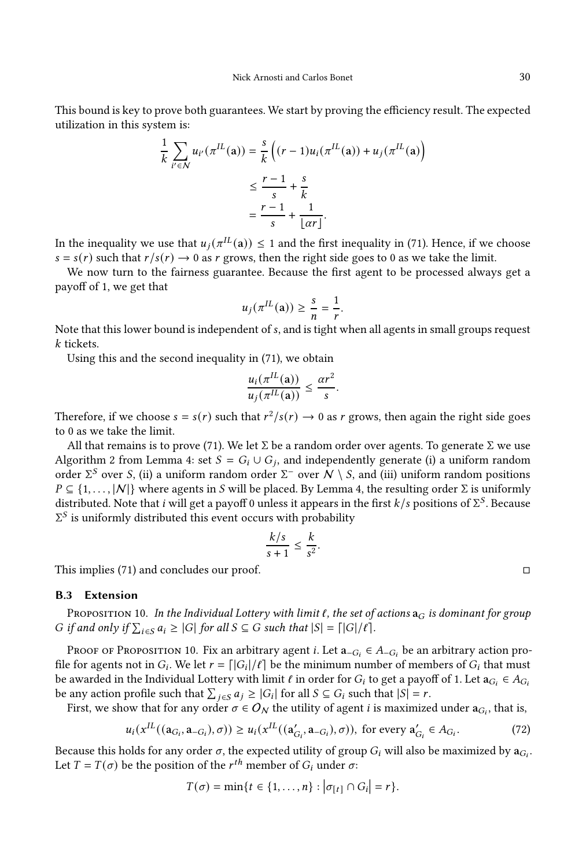This bound is key to prove both guarantees. We start by proving the efficiency result. The expected utilization in this system is:

$$
\frac{1}{k} \sum_{i' \in \mathcal{N}} u_{i'}(\pi^{IL}(\mathbf{a})) = \frac{s}{k} \left( (r-1)u_i(\pi^{IL}(\mathbf{a})) + u_j(\pi^{IL}(\mathbf{a}) \right)
$$

$$
\leq \frac{r-1}{s} + \frac{s}{k}
$$

$$
= \frac{r-1}{s} + \frac{1}{\lfloor \alpha r \rfloor}.
$$

In the inequality we use that  $u_j(\pi^{IL}(\mathbf{a})) \leq 1$  and the first inequality in [\(71\)](#page-29-3). Hence, if we choose  $s = s(r)$  such that  $r/s(r) \rightarrow 0$  as r grows, then the right side goes to 0 as we take the limit.

We now turn to the fairness guarantee. Because the first agent to be processed always get a payoff of 1, we get that

$$
u_j(\pi^{IL}(\mathbf{a})) \ge \frac{s}{n} = \frac{1}{r}.
$$

Note that this lower bound is independent of s, and is tight when all agents in small groups request k tickets.

Using this and the second inequality in [\(71\)](#page-29-3), we obtain

$$
\frac{u_i(\pi^{IL}(\mathbf{a}))}{u_j(\pi^{IL}(\mathbf{a}))} \le \frac{\alpha r^2}{s}
$$

.

Therefore, if we choose  $s = s(r)$  such that  $r^2/s(r) \rightarrow 0$  as r grows, then again the right side goes to 0 as we take the limit.

All that remains is to prove [\(71\)](#page-29-3). We let  $\Sigma$  be a random order over agents. To generate  $\Sigma$  we use Algorithm [2](#page-20-1) from Lemma [4:](#page-20-2) set  $S = G_i \cup G_j$ , and independently generate (i) a uniform random order Σ<sup>S</sup> over S, (ii) a uniform random order Σ<sup>-</sup> over  $N \setminus S$ , and (iii) uniform random positions  $P \subseteq \{1, \ldots, |\mathcal{N}|\}$  where agents in S will be placed. By Lemma [4,](#page-20-2) the resulting order  $\Sigma$  is uniformly distributed. Note that i will get a payoff 0 unless it appears in the first  $k/s$  positions of  $\Sigma^S$ . Because  $\Sigma^S$  is uniformly distributed this event occurs with probability

$$
\frac{k/s}{s+1} \leq \frac{k}{s^2}.
$$

This implies [\(71\)](#page-29-3) and concludes our proof.

#### B.3 Extension

<span id="page-30-0"></span>PROPOSITION 10. In the Individual Lottery with limit  $\ell$ , the set of actions  $a_G$  is dominant for group G if and only if  $\sum_{i \in S} a_i \ge |G|$  for all  $S \subseteq G$  such that  $|S| = \lceil |G| / \ell \rceil$ .

Proof of Proposition [10.](#page-30-0) Fix an arbitrary agent *i*. Let  $a_{-G_i} \in A_{-G_i}$  be an arbitrary action profile for agents not in  $G_i$ . We let  $r = \lfloor |G_i|/|\ell| \rfloor$  be the minimum number of members of  $G_i$  that must be awarded in the Individual Lottery with limit  $\ell$  in order for  $G_i$  to get a payoff of 1. Let  $a_{G_i} \in A_{G_i}$ be any action profile such that  $\sum_{j \in S} a_j \ge |G_i|$  for all  $S \subseteq G_i$  such that  $|S| = r$ .

First, we show that for any order  $\sigma \in O_N$  the utility of agent *i* is maximized under  $\mathbf{a}_{G_i}$ , that is,

<span id="page-30-1"></span>
$$
u_i(x^{IL}((\mathbf{a}_{G_i}, \mathbf{a}_{-G_i}), \sigma)) \ge u_i(x^{IL}((\mathbf{a}'_{G_i}, \mathbf{a}_{-G_i}), \sigma)), \text{ for every } \mathbf{a}'_{G_i} \in A_{G_i}.\tag{72}
$$

Because this holds for any order  $\sigma$ , the expected utility of group  $G_i$  will also be maximized by  $\mathbf{a}_{G_i}$ . Let  $T = T(\sigma)$  be the position of the  $r^{th}$  member of  $G_i$  under  $\sigma$ :

$$
T(\sigma) = \min\{t \in \{1,\ldots,n\} : \big|\sigma_{[t]}\cap G_i\big|=r\}.
$$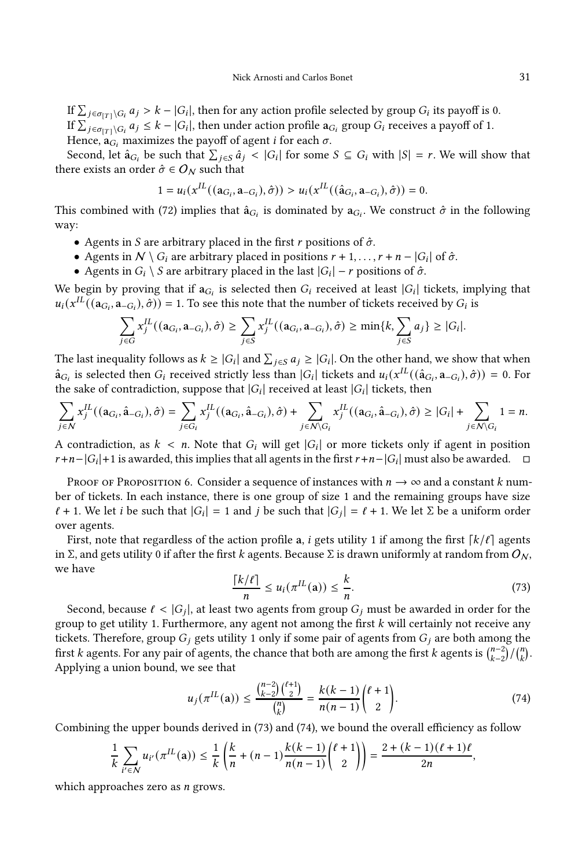If  $\sum_{j \in \sigma_{[T]} \backslash G_i} a_j > k - |G_i|$ , then for any action profile selected by group  $G_i$  its payoff is 0. If  $\sum_{j \in \sigma_{[T]}\setminus G_i} a_j \leq k - |G_i|$ , then under action profile  $a_{G_i}$  group  $G_i$  receives a payoff of 1. Hence,  $\mathbf{a}_{G_i}$  maximizes the payoff of agent *i* for each  $\sigma$ .

Second, let  $\hat{a}_{G_i}$  be such that  $\sum_{j \in S} \hat{a}_j < |G_i|$  for some  $S \subseteq G_i$  with  $|S| = r$ . We will show that there exists an order  $\hat{\sigma} \in O_N$  such that

$$
1 = u_i(x^{IL}((\mathbf{a}_{G_i}, \mathbf{a}_{-G_i}), \hat{\sigma})) > u_i(x^{IL}((\hat{\mathbf{a}}_{G_i}, \mathbf{a}_{-G_i}), \hat{\sigma})) = 0.
$$

This combined with [\(72\)](#page-30-1) implies that  $\hat{a}_{G_i}$  is dominated by  $a_{G_i}$ . We construct  $\hat{\sigma}$  in the following way:

- Agents in S are arbitrary placed in the first  $r$  positions of  $\hat{\sigma}$ .
- Agents in  $N \setminus G_i$  are arbitrary placed in positions  $r + 1, \ldots, r + n |G_i|$  of  $\hat{\sigma}$ .
- Agents in  $G_i \setminus S$  are arbitrary placed in the last  $|G_i| r$  positions of  $\hat{\sigma}$ .

We begin by proving that if  $a_{G_i}$  is selected then  $G_i$  received at least  $|G_i|$  tickets, implying that  $u_i(x^{\text{IL}}((a_{G_i}, a_{-G_i}), \hat{\sigma})) = 1$ . To see this note that the number of tickets received by  $G_i$  is

$$
\sum_{j\in G} x_j^{IL}((\mathbf{a}_{G_i}, \mathbf{a}_{-G_i}), \hat{\sigma}) \ge \sum_{j\in S} x_j^{IL}((\mathbf{a}_{G_i}, \mathbf{a}_{-G_i}), \hat{\sigma}) \ge \min\{k, \sum_{j\in S} a_j\} \ge |G_i|.
$$

The last inequality follows as  $k \ge |G_i|$  and  $\sum_{j \in S} a_j \ge |G_i|$ . On the other hand, we show that when  $\hat{a}_{G_i}$  is selected then  $G_i$  received strictly less than  $|G_i|$  tickets and  $u_i(x^{IL}((\hat{a}_{G_i}, a_{-G_i}), \hat{\sigma})) = 0$ . For the sake of contradiction, suppose that  $|G_i|$  received at least  $|G_i|$  tickets, then

$$
\sum_{j\in\mathcal{N}}x_j^{IL}((\mathbf{a}_{G_i},\hat{\mathbf{a}}_{-G_i}),\hat{\sigma})=\sum_{j\in G_i}x_j^{IL}((\mathbf{a}_{G_i},\hat{\mathbf{a}}_{-G_i}),\hat{\sigma})+\sum_{j\in\mathcal{N}\backslash G_i}x_j^{IL}((\mathbf{a}_{G_i},\hat{\mathbf{a}}_{-G_i}),\hat{\sigma})\geq |G_i|+\sum_{j\in\mathcal{N}\backslash G_i}1=n.
$$

A contradiction, as  $k < n$ . Note that  $G_i$  will get  $|G_i|$  or more tickets only if agent in position  $r+n-|G_i|+1$  is awarded, this implies that all agents in the first  $r+n-|G_i|$  must also be awarded.  $\Box$ 

Proof of Proposition [6.](#page-13-1) Consider a sequence of instances with  $n \to \infty$  and a constant k number of tickets. In each instance, there is one group of size 1 and the remaining groups have size  $\ell + 1$ . We let *i* be such that  $|G_i| = 1$  and *j* be such that  $|G_j| = \ell + 1$ . We let  $\Sigma$  be a uniform order over agents.

First, note that regardless of the action profile a, *i* gets utility 1 if among the first  $\lceil k/\ell \rceil$  agents in Σ, and gets utility 0 if after the first k agents. Because Σ is drawn uniformly at random from  $O_N$ , we have

<span id="page-31-0"></span>
$$
\frac{\lceil k/\ell \rceil}{n} \le u_i(\pi^{IL}(\mathbf{a})) \le \frac{k}{n}.\tag{73}
$$

Second, because  $\ell < |G_j|$ , at least two agents from group  $G_j$  must be awarded in order for the group to get utility 1. Furthermore, any agent not among the first  $k$  will certainly not receive any tickets. Therefore, group  $G_j$  gets utility 1 only if some pair of agents from  $G_j$  are both among the first  $k$  agents. For any pair of agents, the chance that both are among the first  $k$  agents is  $\binom{n-2}{k-2}/\binom{n}{k}$ . Applying a union bound, we see that

<span id="page-31-1"></span>
$$
u_j(\pi^{IL}(\mathbf{a})) \le \frac{{n-2 \choose k-2}{\ell+1 \choose 2}}{{n \choose k}} = \frac{k(k-1)}{n(n-1)} {\ell+1 \choose 2}.
$$
 (74)

Combining the upper bounds derived in [\(73\)](#page-31-0) and [\(74\)](#page-31-1), we bound the overall efficiency as follow

$$
\frac{1}{k}\sum_{i'\in\mathcal{N}}u_{i'}(\pi^{IL}(\mathbf{a}))\leq \frac{1}{k}\left(\frac{k}{n}+(n-1)\frac{k(k-1)}{n(n-1)}\binom{\ell+1}{2}\right)=\frac{2+(k-1)(\ell+1)\ell}{2n},
$$

which approaches zero as  $n$  grows.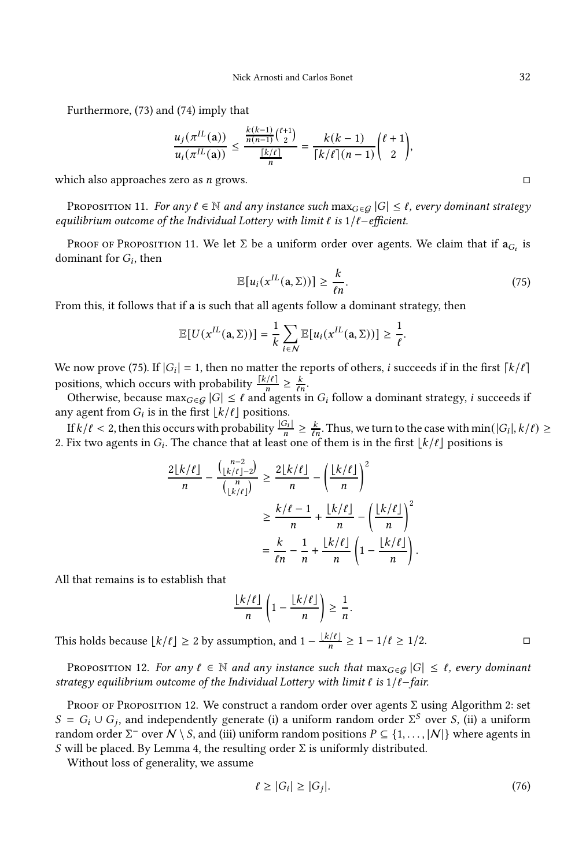Furthermore, [\(73\)](#page-31-0) and [\(74\)](#page-31-1) imply that

$$
\frac{u_j(\pi^{IL}(\mathbf{a}))}{u_i(\pi^{IL}(\mathbf{a}))} \le \frac{\frac{k(k-1)}{n(n-1)} {\ell_2 \choose 2}}{\frac{\lceil k/\ell \rceil}{n}} = \frac{k(k-1)}{\lceil k/\ell \rceil (n-1)} {\ell+1 \choose 2},
$$

which also approaches zero as  $n$  grows.

<span id="page-32-0"></span>PROPOSITION 11. For any  $\ell \in \mathbb{N}$  and any instance such  $\max_{G \in \mathcal{G}} |G| \leq \ell$ , every dominant strategy equilibrium outcome of the Individual Lottery with limit  $\ell$  is  $1/\ell$ -efficient.

Proof of Proposition [11.](#page-32-0) We let  $\Sigma$  be a uniform order over agents. We claim that if  $\mathbf{a}_{G_i}$  is dominant for  $G_i$ , then

<span id="page-32-2"></span>
$$
\mathbb{E}[u_i(x^{IL}(\mathbf{a}, \Sigma))] \ge \frac{k}{\ell n}.\tag{75}
$$

From this, it follows that if a is such that all agents follow a dominant strategy, then

$$
\mathbb{E}[U(x^{IL}(\mathbf{a},\Sigma))] = \frac{1}{k} \sum_{i \in \mathcal{N}} \mathbb{E}[u_i(x^{IL}(\mathbf{a},\Sigma))] \geq \frac{1}{\ell}.
$$

We now prove [\(75\)](#page-32-2). If  $|G_i| = 1$ , then no matter the reports of others, *i* succeeds if in the first  $\lceil k / \ell \rceil$ positions, which occurs with probability  $\frac{\lceil k/\ell \rceil}{n} \geq \frac{k}{\ell n}$ .

Otherwise, because max $_{G \in \mathcal{G}} |G| \leq \ell$  and agents in  $G_i$  follow a dominant strategy, *i* succeeds if any agent from  $G_i$  is in the first  $\lfloor k/\ell \rfloor$  positions.

If  $k/\ell < 2$ , then this occurs with probability  $\frac{|G_i|}{n} \ge \frac{k}{\ell n}$ . Thus, we turn to the case with  $\min(|G_i|, k/\ell) \ge$ | 2. Fix two agents in  $G_i$ . The chance that at least one of them is in the first  $\lfloor k / \ell \rfloor$  positions is

$$
\frac{2\lfloor k/\ell \rfloor}{n} - \frac{\binom{n-2}{\lfloor k/\ell \rfloor - 2}}{\binom{n}{\lfloor k/\ell \rfloor}} \ge \frac{2\lfloor k/\ell \rfloor}{n} - \left(\frac{\lfloor k/\ell \rfloor}{n}\right)^2
$$

$$
\ge \frac{k/\ell - 1}{n} + \frac{\lfloor k/\ell \rfloor}{n} - \left(\frac{\lfloor k/\ell \rfloor}{n}\right)^2
$$

$$
= \frac{k}{\ell n} - \frac{1}{n} + \frac{\lfloor k/\ell \rfloor}{n} \left(1 - \frac{\lfloor k/\ell \rfloor}{n}\right).
$$

All that remains is to establish that

$$
\frac{\lfloor k/\ell \rfloor}{n}\left(1-\frac{\lfloor k/\ell \rfloor}{n}\right) \geq \frac{1}{n}.
$$

This holds because  $\lfloor k/\ell \rfloor \geq 2$  by assumption, and  $1 - \frac{\lfloor k/\ell \rfloor}{n}$  $\frac{f(\ell)}{n} \geq 1 - 1/\ell \geq 1/2.$ 

<span id="page-32-1"></span>PROPOSITION 12. For any  $\ell \in \mathbb{N}$  and any instance such that  $\max_{G \in \mathcal{G}} |G| \leq \ell$ , every dominant strategy equilibrium outcome of the Individual Lottery with limit  $\ell$  is  $1/\ell$ -fair.

PROOF OF PROPOSITION [12.](#page-32-1) We construct a random order over agents  $\Sigma$  using Algorithm [2:](#page-20-1) set  $S = G_i \cup G_j$ , and independently generate (i) a uniform random order  $\Sigma^S$  over S, (ii) a uniform random order Σ $^-$  over  $\bar{\cal N} \setminus {\cal S}$ , and (iii) uniform random positions  $P \subseteq \{1,\ldots,|{\cal N}|\}$  where agents in S will be placed. By Lemma [4,](#page-20-2) the resulting order  $Σ$  is uniformly distributed.

Without loss of generality, we assume

<span id="page-32-3"></span>
$$
\ell \ge |G_i| \ge |G_j|.\tag{76}
$$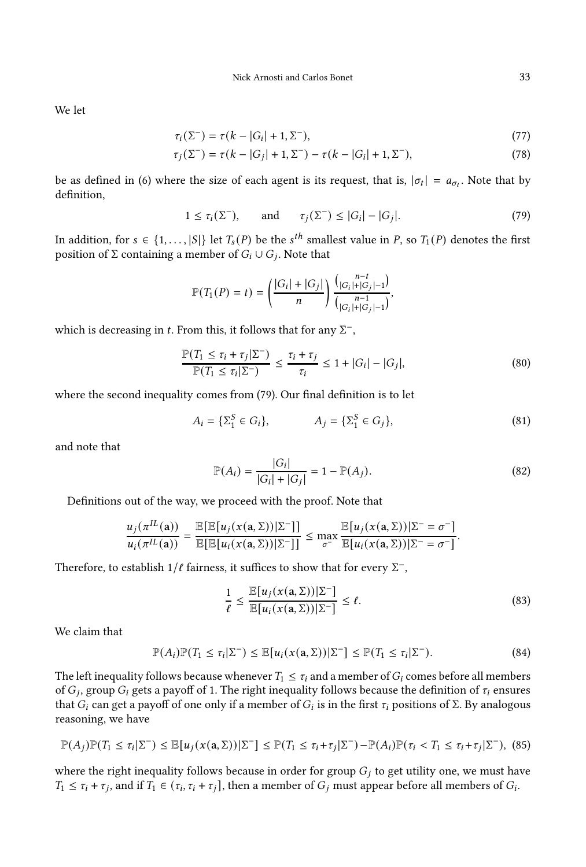We let

$$
\tau_i(\Sigma^-) = \tau(k - |G_i| + 1, \Sigma^-),\tag{77}
$$

$$
\tau_j(\Sigma^-) = \tau(k - |G_j| + 1, \Sigma^-) - \tau(k - |G_i| + 1, \Sigma^-),\tag{78}
$$

be as defined in [\(6\)](#page-8-2) where the size of each agent is its request, that is,  $|\sigma_t| = a_{\sigma_t}$ . Note that by definition,

<span id="page-33-0"></span>
$$
1 \leq \tau_i(\Sigma^-), \quad \text{and} \quad \tau_j(\Sigma^-) \leq |G_i| - |G_j|.
$$
 (79)

In addition, for  $s \in \{1, \ldots, |S|\}$  let  $T_s(P)$  be the  $s^{th}$  smallest value in P, so  $T_1(P)$  denotes the first position of  $\Sigma$  containing a member of  $G_i \cup G_j$ . Note that

$$
\mathbb{P}(T_1(P) = t) = \left(\frac{|G_i| + |G_j|}{n}\right) \frac{{n-t \choose |G_i| + |G_j| - 1}}{{n-1 \choose |G_i| + |G_j| - 1}},
$$

which is decreasing in t. From this, it follows that for any  $\Sigma^-$ ,

<span id="page-33-4"></span>
$$
\frac{\mathbb{P}(T_1 \le \tau_i + \tau_j | \Sigma^-)}{\mathbb{P}(T_1 \le \tau_i | \Sigma^-)} \le \frac{\tau_i + \tau_j}{\tau_i} \le 1 + |G_i| - |G_j|,\tag{80}
$$

where the second inequality comes from [\(79\)](#page-33-0). Our final definition is to let

$$
A_i = \{\Sigma_1^S \in G_i\}, \qquad A_j = \{\Sigma_1^S \in G_j\},\tag{81}
$$

and note that

$$
\mathbb{P}(A_i) = \frac{|G_i|}{|G_i| + |G_j|} = 1 - \mathbb{P}(A_j).
$$
\n(82)

Definitions out of the way, we proceed with the proof. Note that

$$
\frac{u_j(\pi^{IL}(\mathbf{a}))}{u_i(\pi^{IL}(\mathbf{a}))} = \frac{\mathbb{E}[\mathbb{E}[u_j(x(\mathbf{a},\Sigma))|\Sigma^-]]}{\mathbb{E}[\mathbb{E}[u_i(x(\mathbf{a},\Sigma))|\Sigma^-]]} \le \max_{\sigma^-} \frac{\mathbb{E}[u_j(x(\mathbf{a},\Sigma))|\Sigma^- = \sigma^-]}{\mathbb{E}[u_i(x(\mathbf{a},\Sigma))|\Sigma^- = \sigma^-]}.
$$

Therefore, to establish  $1/\ell$  fairness, it suffices to show that for every  $\Sigma^-$ ,

<span id="page-33-1"></span>
$$
\frac{1}{\ell} \le \frac{\mathbb{E}[u_j(x(a,\Sigma))|\Sigma^-]}{\mathbb{E}[u_i(x(a,\Sigma))|\Sigma^-]} \le \ell.
$$
\n(83)

We claim that

<span id="page-33-2"></span>
$$
\mathbb{P}(A_i)\mathbb{P}(T_1 \leq \tau_i|\Sigma^-) \leq \mathbb{E}[u_i(x(a,\Sigma))|\Sigma^-] \leq \mathbb{P}(T_1 \leq \tau_i|\Sigma^-). \tag{84}
$$

The left inequality follows because whenever  $T_1 \leq \tau_i$  and a member of  $G_i$  comes before all members of  $G_j,$  group  $G_i$  gets a payoff of 1. The right inequality follows because the definition of  $\tau_i$  ensures that  $G_i$  can get a payoff of one only if a member of  $G_i$  is in the first  $\tau_i$  positions of  $\Sigma$ . By analogous reasoning, we have

<span id="page-33-3"></span>
$$
\mathbb{P}(A_j)\mathbb{P}(T_1 \leq \tau_i|\Sigma^-) \leq \mathbb{E}[u_j(x(a,\Sigma))|\Sigma^-] \leq \mathbb{P}(T_1 \leq \tau_i+\tau_j|\Sigma^-)-\mathbb{P}(A_i)\mathbb{P}(\tau_i < T_1 \leq \tau_i+\tau_j|\Sigma^-),\tag{85}
$$

where the right inequality follows because in order for group  $G_j$  to get utility one, we must have  $T_1 \leq \tau_i + \tau_j$ , and if  $T_1 \in (\tau_i, \tau_i + \tau_j]$ , then a member of  $G_j$  must appear before all members of  $G_i$ .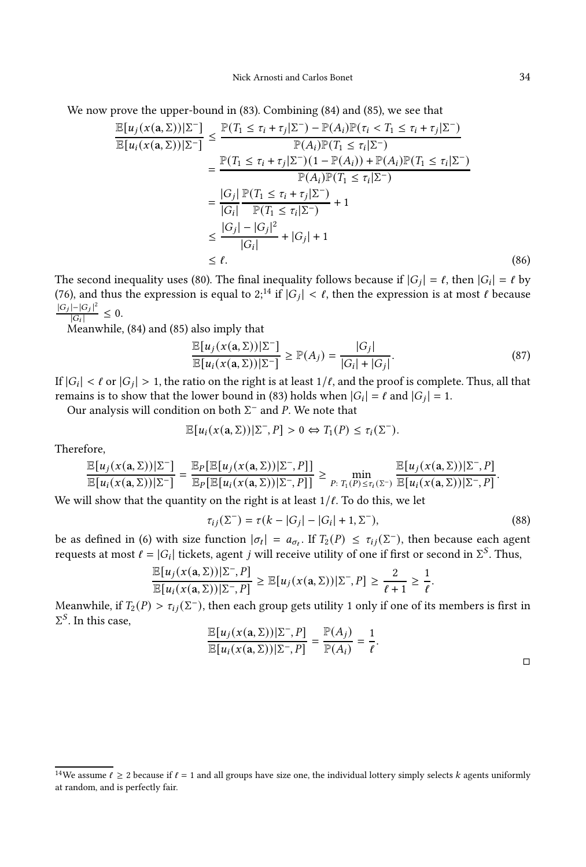We now prove the upper-bound in [\(83\)](#page-33-1). Combining [\(84\)](#page-33-2) and [\(85\)](#page-33-3), we see that

$$
\frac{\mathbb{E}[u_j(x(\mathbf{a}, \Sigma))|\Sigma^-]}{\mathbb{E}[u_i(x(\mathbf{a}, \Sigma))|\Sigma^-]} \le \frac{\mathbb{P}(T_1 \le \tau_i + \tau_j|\Sigma^-) - \mathbb{P}(A_i)\mathbb{P}(\tau_i < T_1 \le \tau_i + \tau_j|\Sigma^-)}{\mathbb{P}(A_i)\mathbb{P}(T_1 \le \tau_i|\Sigma^-)} \\
= \frac{\mathbb{P}(T_1 \le \tau_i + \tau_j|\Sigma^-)(1 - \mathbb{P}(A_i)) + \mathbb{P}(A_i)\mathbb{P}(T_1 \le \tau_i|\Sigma^-)}{\mathbb{P}(A_i)\mathbb{P}(T_1 \le \tau_i|\Sigma^-)} \\
= \frac{|G_j|}{|G_i|} \frac{\mathbb{P}(T_1 \le \tau_i + \tau_j|\Sigma^-)}{\mathbb{P}(T_1 \le \tau_i|\Sigma^-)} + 1 \\
\le \frac{|G_j| - |G_j|^2}{|G_i|} + |G_j| + 1 \\
\le \ell. \tag{86}
$$

The second inequality uses [\(80\)](#page-33-4). The final inequality follows because if  $|G_j| = \ell$ , then  $|G_i| = \ell$  by [\(76\)](#page-32-3), and thus the expression is equal to 2<sup>[14](#page-34-0)</sup> if  $|G_j| < \ell$ , then the expression is at most  $\ell$  because  $|G_j|$ – $|G_j|^2$  $\frac{|g(-|G_j)|}{|G_i|} \leq 0.$ 

Meanwhile, [\(84\)](#page-33-2) and [\(85\)](#page-33-3) also imply that

$$
\frac{\mathbb{E}[u_j(x(\mathbf{a}, \Sigma))|\Sigma^-]}{\mathbb{E}[u_i(x(\mathbf{a}, \Sigma))|\Sigma^-]} \ge \mathbb{P}(A_j) = \frac{|G_j|}{|G_i| + |G_j|}.
$$
\n(87)

If  $|G_i| < \ell$  or  $|G_j| > 1$ , the ratio on the right is at least  $1/\ell$ , and the proof is complete. Thus, all that remains is to show that the lower bound in [\(83\)](#page-33-1) holds when  $|G_i| = \ell$  and  $|G_j| = 1$ .

Our analysis will condition on both  $\Sigma^-$  and P. We note that

$$
\mathbb{E}[u_i(x(\mathbf{a},\Sigma))|\Sigma^-,P] > 0 \Leftrightarrow T_1(P) \leq \tau_i(\Sigma^-).
$$

Therefore,

$$
\frac{\mathbb{E}[u_j(x(\mathbf{a},\Sigma))|\Sigma^-]}{\mathbb{E}[u_i(x(\mathbf{a},\Sigma))|\Sigma^-]} = \frac{\mathbb{E}_P[\mathbb{E}[u_j(x(\mathbf{a},\Sigma))|\Sigma^-,P]]}{\mathbb{E}_P[\mathbb{E}[u_i(x(\mathbf{a},\Sigma))|\Sigma^-,P]]} \ge \min_{P:\;T_1(P)\le\tau_i(\Sigma^-)} \frac{\mathbb{E}[u_j(x(\mathbf{a},\Sigma))|\Sigma^-,P]}{\mathbb{E}[u_i(x(\mathbf{a},\Sigma))|\Sigma^-,P]}.
$$

We will show that the quantity on the right is at least  $1/\ell$ . To do this, we let

$$
\tau_{ij}(\Sigma^-) = \tau(k - |G_j| - |G_i| + 1, \Sigma^-),
$$
\n(88)

be as defined in [\(6\)](#page-8-2) with size function  $|\sigma_t| = a_{\sigma_t}$ . If  $T_2(P) \leq \tau_{ij}(\Sigma^-)$ , then because each agent requests at most  $\ell = |G_i|$  tickets, agent  $j$  will receive utility of one if first or second in  $\Sigma^S$ . Thus,

$$
\frac{\mathbb{E}[u_j(x(\mathbf{a},\Sigma))|\Sigma^-,P]}{\mathbb{E}[u_i(x(\mathbf{a},\Sigma))|\Sigma^-,P]} \geq \mathbb{E}[u_j(x(\mathbf{a},\Sigma))|\Sigma^-,P] \geq \frac{2}{\ell+1} \geq \frac{1}{\ell}.
$$

Meanwhile, if  $T_2(P) > \tau_{ij}(\Sigma^-)$ , then each group gets utility 1 only if one of its members is first in  $\Sigma^S$ . In this case,

$$
\frac{\mathbb{E}[u_j(x(a,\Sigma))|\Sigma^-,P]}{\mathbb{E}[u_i(x(a,\Sigma))|\Sigma^-,P]} = \frac{\mathbb{P}(A_j)}{\mathbb{P}(A_i)} = \frac{1}{\ell}.
$$

<span id="page-34-0"></span>

|                                   | <sup>14</sup> We assume $\ell \geq 2$ because if $\ell = 1$ and all groups have size one, the individual lottery simply selects k agents uniformly |  |  |
|-----------------------------------|----------------------------------------------------------------------------------------------------------------------------------------------------|--|--|
| at random, and is perfectly fair. |                                                                                                                                                    |  |  |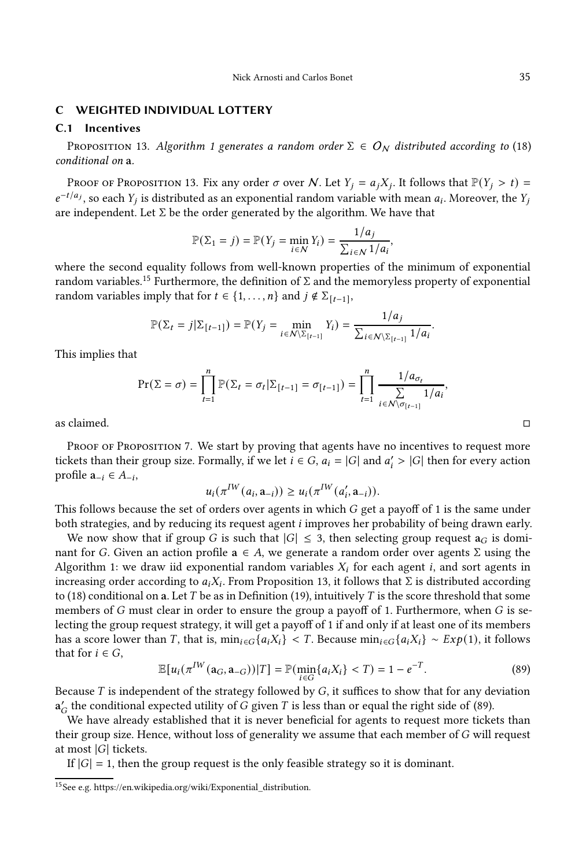#### <span id="page-35-0"></span>C WEIGHTED INDIVIDUAL LOTTERY

## C.1 Incentives

<span id="page-35-1"></span>PROPOSITION [1](#page-15-2)3. Algorithm 1 generates a random order  $\Sigma \in O_N$  distributed according to [\(18\)](#page-14-0) conditional on a.

Proof of Proposition [13.](#page-35-1) Fix any order  $\sigma$  over N. Let  $Y_j = a_j X_j$ . It follows that  $\mathbb{P}(Y_j > t) =$  $e^{-t/a_j}$ , so each  $Y_j$  is distributed as an exponential random variable with mean  $a_i$ . Moreover, the  $Y_j$ are independent. Let  $\Sigma$  be the order generated by the algorithm. We have that

$$
\mathbb{P}(\Sigma_1 = j) = \mathbb{P}(Y_j = \min_{i \in \mathcal{N}} Y_i) = \frac{1/a_j}{\sum_{i \in \mathcal{N}} 1/a_i},
$$

where the second equality follows from well-known properties of the minimum of exponential random variables.<sup>[15](#page-35-2)</sup> Furthermore, the definition of Σ and the memoryless property of exponential random variables imply that for  $t \in \{1, ..., n\}$  and  $j \notin \Sigma_{[t-1]},$ 

$$
\mathbb{P}(\Sigma_t = j | \Sigma_{[t-1]}) = \mathbb{P}(Y_j = \min_{i \in \mathcal{N} \setminus \Sigma_{[t-1]}} Y_i) = \frac{1/a_j}{\sum_{i \in \mathcal{N} \setminus \Sigma_{[t-1]}} 1/a_i}.
$$

This implies that

$$
\Pr(\Sigma = \sigma) = \prod_{t=1}^{n} \mathbb{P}(\Sigma_t = \sigma_t | \Sigma_{[t-1]} = \sigma_{[t-1]}) = \prod_{t=1}^{n} \frac{1/a_{\sigma_t}}{\sum_{i \in \mathcal{N} \setminus \sigma_{[t-1]}} 1/a_i},
$$

as claimed.  $\Box$ 

PROOF OF PROPOSITION [7.](#page-14-1) We start by proving that agents have no incentives to request more tickets than their group size. Formally, if we let  $i \in G$ ,  $a_i = |G|$  and  $a'_i > |G|$  then for every action profile  $a_{-i} ∈ A_{-i}$ ,

$$
u_i(\pi^{IW}(a_i, \mathbf{a}_{-i})) \geq u_i(\pi^{IW}(a'_i, \mathbf{a}_{-i})).
$$

This follows because the set of orders over agents in which  $G$  get a payoff of 1 is the same under both strategies, and by reducing its request agent *i* improves her probability of being drawn early.

We now show that if group G is such that  $|G| \leq 3$ , then selecting group request  $a_G$  is dominant for G. Given an action profile  $a \in A$ , we generate a random order over agents  $\Sigma$  using the Algorithm [1:](#page-15-2) we draw iid exponential random variables  $X_i$  for each agent *i*, and sort agents in increasing order according to  $a_iX_i$ . From Proposition [13,](#page-35-1) it follows that  $\Sigma$  is distributed according to [\(18\)](#page-14-0) conditional on a. Let  $T$  be as in Definition [\(19\)](#page-15-3), intuitively  $T$  is the score threshold that some members of  $G$  must clear in order to ensure the group a payoff of 1. Furthermore, when  $G$  is selecting the group request strategy, it will get a payoff of 1 if and only if at least one of its members has a score lower than T, that is,  $\min_{i \in G} \{a_i X_i\} \leq T$ . Because  $\min_{i \in G} \{a_i X_i\} \sim Exp(1)$ , it follows that for  $i \in G$ ,

<span id="page-35-3"></span>
$$
\mathbb{E}[u_i(\pi^{IW}(a_G,a_{-G}))|T] = \mathbb{P}(\min_{i\in G}\{a_iX_i\} < T) = 1 - e^{-T}.\tag{89}
$$

Because  $T$  is independent of the strategy followed by  $G$ , it suffices to show that for any deviation  $a'_G$  the conditional expected utility of  $\tilde{G}$  given  $T$  is less than or equal the right side of [\(89\)](#page-35-3).

We have already established that it is never beneficial for agents to request more tickets than their group size. Hence, without loss of generality we assume that each member of  $G$  will request at most  $|G|$  tickets.

If  $|G| = 1$ , then the group request is the only feasible strategy so it is dominant.

<span id="page-35-2"></span> $^{15}\rm{See}$ e.g. [https://en.wikipedia.org/wiki/Exponential\\_distribution.](https://en.wikipedia.org/wiki/Exponential_distribution)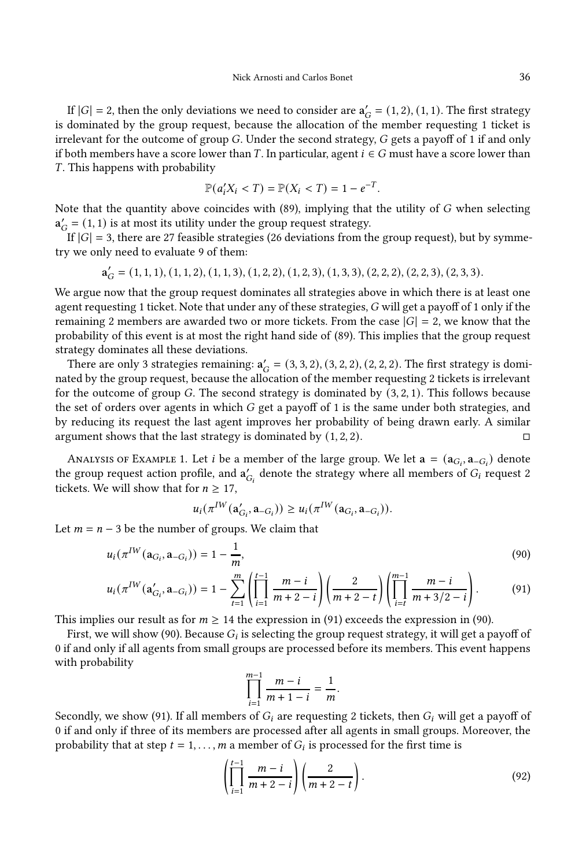If  $|G| = 2$ , then the only deviations we need to consider are  $\mathbf{a}'_G = (1, 2), (1, 1)$ . The first strategy is dominated by the group request, because the allocation of the member requesting 1 ticket is irrelevant for the outcome of group  $G$ . Under the second strategy,  $G$  gets a payoff of 1 if and only if both members have a score lower than T. In particular, agent  $i \in G$  must have a score lower than T. This happens with probability

$$
\mathbb{P}(a'_iX_i < T) = \mathbb{P}(X_i < T) = 1 - e^{-T}.
$$

Note that the quantity above coincides with  $(89)$ , implying that the utility of G when selecting  $a'_{G} = (1, 1)$  is at most its utility under the group request strategy.

If  $|G| = 3$ , there are 27 feasible strategies (26 deviations from the group request), but by symmetry we only need to evaluate 9 of them:

$$
\mathbf{a}_G' = (1,1,1), (1,1,2), (1,1,3), (1,2,2), (1,2,3), (1,3,3), (2,2,2), (2,2,3), (2,3,3).
$$

We argue now that the group request dominates all strategies above in which there is at least one agent requesting 1 ticket. Note that under any of these strategies, G will get a payoff of 1 only if the remaining 2 members are awarded two or more tickets. From the case  $|G| = 2$ , we know that the probability of this event is at most the right hand side of [\(89\)](#page-35-3). This implies that the group request strategy dominates all these deviations.

There are only 3 strategies remaining:  $a'_{G} = (3, 3, 2), (3, 2, 2), (2, 2, 2)$ . The first strategy is dominated by the group request, because the allocation of the member requesting 2 tickets is irrelevant for the outcome of group  $G$ . The second strategy is dominated by  $(3, 2, 1)$ . This follows because the set of orders over agents in which  $G$  get a payoff of 1 is the same under both strategies, and by reducing its request the last agent improves her probability of being drawn early. A similar argument shows that the last strategy is dominated by  $(1, 2, 2)$ .

ANALYSIS OF EXAMPLE [1.](#page-15-4) Let *i* be a member of the large group. We let  $\mathbf{a} = (\mathbf{a}_{G_i}, \mathbf{a}_{-G_i})$  denote the group request action profile, and  $a'_{G_i}$  denote the strategy where all members of  $G_i$  request 2 tickets. We will show that for  $n \geq 17$ ,

$$
u_i(\pi^{IW}(\mathbf{a}'_{G_i}, \mathbf{a}_{-G_i})) \geq u_i(\pi^{IW}(\mathbf{a}_{G_i}, \mathbf{a}_{-G_i})).
$$

Let  $m = n - 3$  be the number of groups. We claim that

$$
u_i(\pi^{IW}(a_{G_i}, a_{-G_i})) = 1 - \frac{1}{m},
$$
\n(90)

$$
u_i(\pi^{IW}(\mathbf{a}'_{G_i}, \mathbf{a}_{-G_i})) = 1 - \sum_{t=1}^m \left( \prod_{i=1}^{t-1} \frac{m-i}{m+2-i} \right) \left( \frac{2}{m+2-t} \right) \left( \prod_{i=t}^{m-1} \frac{m-i}{m+3/2-i} \right). \tag{91}
$$

This implies our result as for  $m \geq 14$  the expression in [\(91\)](#page-36-0) exceeds the expression in [\(90\)](#page-36-1).

First, we will show [\(90\)](#page-36-1). Because  $G_i$  is selecting the group request strategy, it will get a payoff of 0 if and only if all agents from small groups are processed before its members. This event happens with probability

<span id="page-36-1"></span><span id="page-36-0"></span>
$$
\prod_{i=1}^{m-1} \frac{m-i}{m+1-i} = \frac{1}{m}.
$$

Secondly, we show [\(91\)](#page-36-0). If all members of  $G_i$  are requesting 2 tickets, then  $G_i$  will get a payoff of 0 if and only if three of its members are processed after all agents in small groups. Moreover, the probability that at step  $t = 1, \ldots, m$  a member of  $G_i$  is processed for the first time is

<span id="page-36-2"></span>
$$
\left(\prod_{i=1}^{t-1} \frac{m-i}{m+2-i}\right) \left(\frac{2}{m+2-t}\right).
$$
\n(92)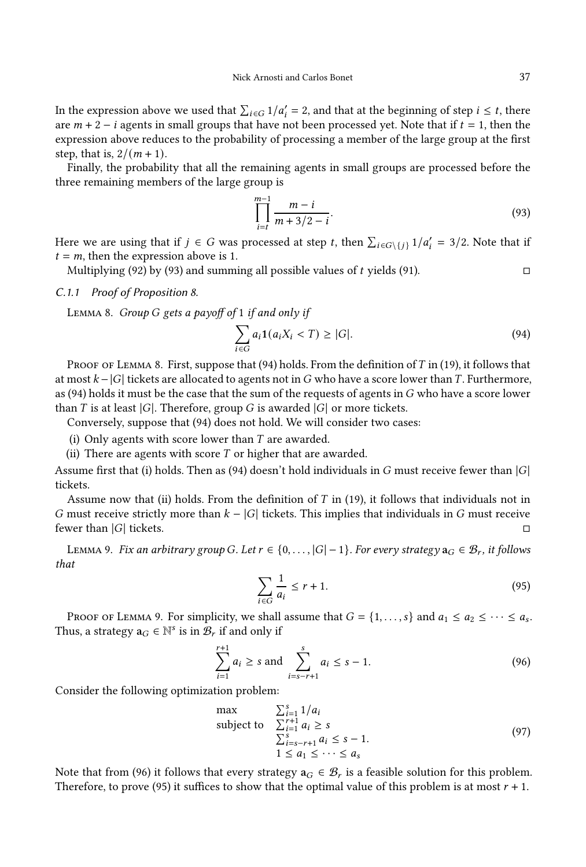In the expression above we used that  $\sum_{i \in G} 1/a'_i = 2$ , and that at the beginning of step  $i \leq t$ , there are  $m + 2 - i$  agents in small groups that have not been processed yet. Note that if  $t = 1$ , then the expression above reduces to the probability of processing a member of the large group at the first step, that is,  $2/(m + 1)$ .

Finally, the probability that all the remaining agents in small groups are processed before the three remaining members of the large group is

<span id="page-37-2"></span>
$$
\prod_{i=t}^{m-1} \frac{m-i}{m+3/2-i}.
$$
\n(93)

Here we are using that if  $j \in G$  was processed at step t, then  $\sum_{i \in G \setminus \{j\}} 1/a'_i = 3/2$ . Note that if  $t = m$ , then the expression above is 1.

Multiplying [\(92\)](#page-36-2) by [\(93\)](#page-37-2) and summing all possible values of t yields [\(91\)](#page-36-0).  $\Box$ 

## C.1.1 Proof of Proposition [8.](#page-16-2)

<span id="page-37-0"></span>LEMMA 8. Group G gets a payoff of 1 if and only if

<span id="page-37-3"></span>
$$
\sum_{i \in G} a_i \mathbf{1}(a_i X_i < T) \ge |G|.\tag{94}
$$

PROOF OF LEMMA [8.](#page-37-0) First, suppose that  $(94)$  holds. From the definition of T in [\(19\)](#page-15-3), it follows that at most  $k - |G|$  tickets are allocated to agents not in G who have a score lower than T. Furthermore, as [\(94\)](#page-37-3) holds it must be the case that the sum of the requests of agents in  $G$  who have a score lower than  $T$  is at least  $|G|$ . Therefore, group  $G$  is awarded  $|G|$  or more tickets.

Conversely, suppose that [\(94\)](#page-37-3) does not hold. We will consider two cases:

(i) Only agents with score lower than  $T$  are awarded.

(ii) There are agents with score  $T$  or higher that are awarded.

Assume first that (i) holds. Then as [\(94\)](#page-37-3) doesn't hold individuals in G must receive fewer than  $|G|$ tickets.

Assume now that (ii) holds. From the definition of  $T$  in [\(19\)](#page-15-3), it follows that individuals not in G must receive strictly more than  $k - |G|$  tickets. This implies that individuals in G must receive fewer than  $|G|$  tickets.

<span id="page-37-1"></span>LEMMA 9. Fix an arbitrary group G. Let  $r \in \{0, \ldots, |G|-1\}$ . For every strategy  $\mathbf{a}_G \in \mathcal{B}_r$ , it follows that

<span id="page-37-5"></span><span id="page-37-4"></span>
$$
\sum_{i \in G} \frac{1}{a_i} \le r + 1. \tag{95}
$$

PROOF OF LEMMA [9.](#page-37-1) For simplicity, we shall assume that  $G = \{1, \ldots, s\}$  and  $a_1 \le a_2 \le \cdots \le a_s$ . Thus, a strategy  $\mathbf{a}_G \in \mathbb{N}^s$  is in  $\mathcal{B}_r$  if and only if

$$
\sum_{i=1}^{r+1} a_i \ge s \text{ and } \sum_{i=s-r+1}^s a_i \le s-1.
$$
 (96)

Consider the following optimization problem:

<span id="page-37-6"></span>
$$
\max \qquad \sum_{i=1}^{s} 1/a_i
$$
\n
$$
\sum_{i=1}^{r+1} a_i \ge s
$$
\n
$$
\sum_{i=s-r+1}^{s+1} a_i \le s-1.
$$
\n
$$
1 \le a_1 \le \cdots \le a_s
$$
\n(97)

Note that from [\(96\)](#page-37-4) it follows that every strategy  $a_G \in \mathcal{B}_r$  is a feasible solution for this problem. Therefore, to prove [\(95\)](#page-37-5) it suffices to show that the optimal value of this problem is at most  $r + 1$ .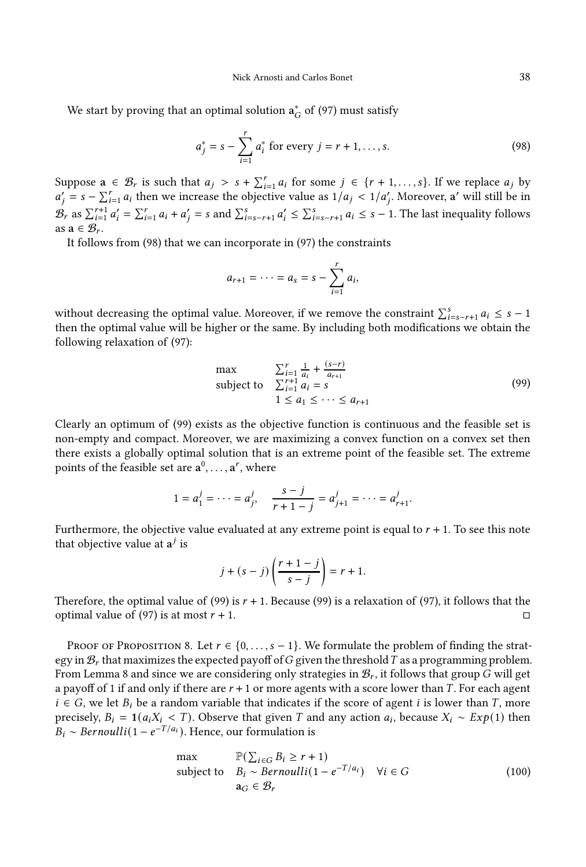We start by proving that an optimal solution  $\mathbf{a}^*_G$  of [\(97\)](#page-37-6) must satisfy

$$
a_j^* = s - \sum_{i=1}^r a_i^* \text{ for every } j = r+1, ..., s. \tag{98}
$$

Suppose  $a \in \mathcal{B}_r$  is such that  $a_j > s + \sum_{i=1}^r a_i$  for some  $j \in \{r+1,\ldots,s\}$ . If we replace  $a_j$  by  $a'_j = s - \sum_{i=1}^r a_i$  then we increase the objective value as  $1/a_j < 1/a'_j$ . Moreover, a' will still be in  $\mathcal{B}_r$  as  $\sum_{i=1}^{r+1} a'_i = \sum_{i=1}^r a_i + a'_j = s$  and  $\sum_{i=s-r+1}^s a'_i \leq \sum_{i=s-r+1}^s a_i \leq s-1$ . The last inequality follows as  $\mathbf{a} \in \mathcal{B}_r$ .

It follows from [\(98\)](#page-38-0) that we can incorporate in [\(97\)](#page-37-6) the constraints

<span id="page-38-0"></span>
$$
a_{r+1} = \cdots = a_s = s - \sum_{i=1}^r a_i
$$

without decreasing the optimal value. Moreover, if we remove the constraint  $\sum_{i=s-r+1}^{s} a_i \leq s-1$ then the optimal value will be higher or the same. By including both modifications we obtain the following relaxation of [\(97\)](#page-37-6):

<span id="page-38-1"></span>
$$
\max \qquad \sum_{i=1}^{r} \frac{1}{a_i} + \frac{(s-r)}{a_{r+1}}
$$
\n
$$
\text{subject to} \quad \sum_{i=1}^{r+1} a_i = s
$$
\n
$$
1 \le a_1 \le \cdots \le a_{r+1}
$$
\n(99)

Clearly an optimum of [\(99\)](#page-38-1) exists as the objective function is continuous and the feasible set is non-empty and compact. Moreover, we are maximizing a convex function on a convex set then there exists a globally optimal solution that is an extreme point of the feasible set. The extreme points of the feasible set are  $\mathbf{a}^0, \ldots, \mathbf{a}^r$ , where

$$
1 = a_1^j = \cdots = a_j^j, \quad \frac{s-j}{r+1-j} = a_{j+1}^j = \cdots = a_{r+1}^j.
$$

Furthermore, the objective value evaluated at any extreme point is equal to  $r + 1$ . To see this note that objective value at  $a^j$  is

$$
j + (s - j) \left( \frac{r+1-j}{s-j} \right) = r + 1.
$$

Therefore, the optimal value of [\(99\)](#page-38-1) is  $r + 1$ . Because (99) is a relaxation of [\(97\)](#page-37-6), it follows that the optimal value of [\(97\)](#page-37-6) is at most  $r + 1$ .

PROOF OF PROPOSITION [8.](#page-16-2) Let  $r \in \{0, \ldots, s-1\}$ . We formulate the problem of finding the strategy in  $B_r$  that maximizes the expected payoff of G given the threshold T as a programming problem. From Lemma [8](#page-37-0) and since we are considering only strategies in  $\mathcal{B}_r$ , it follows that group  $G$  will get a payoff of 1 if and only if there are  $r + 1$  or more agents with a score lower than  $T$ . For each agent  $i \in G$ , we let  $B_i$  be a random variable that indicates if the score of agent  $i$  is lower than  $T$ , more precisely,  $B_i = 1(a_i X_i < T)$ . Observe that given T and any action  $a_i$ , because  $X_i \sim Exp(1)$  then  $B_i \sim Bernoulli(1 - e^{-T/a_i})$ . Hence, our formulation is

<span id="page-38-2"></span>
$$
\max \qquad \mathbb{P}(\sum_{i \in G} B_i \ge r+1)
$$
\n
$$
\text{subject to} \quad B_i \sim \text{Bernoulli}(1 - e^{-T/a_i}) \quad \forall i \in G
$$
\n
$$
\mathbf{a}_G \in \mathcal{B}_r \tag{100}
$$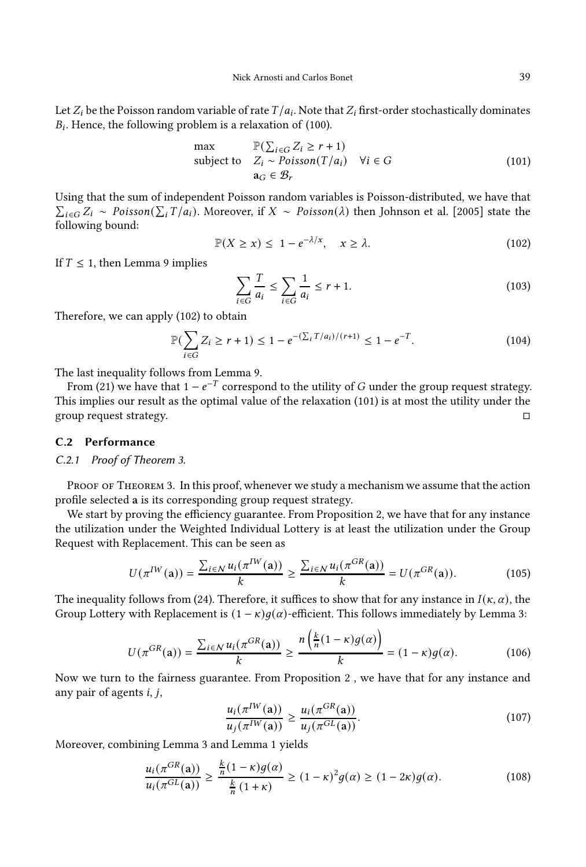Nick Arnosti and Carlos Bonet 39

Let  $Z_i$  be the Poisson random variable of rate  $T/a_i.$  Note that  $Z_i$  first-order stochastically dominates  $B_i$ . Hence, the following problem is a relaxation of [\(100\)](#page-38-2).

<span id="page-39-1"></span>
$$
\max \qquad \mathbb{P}(\sum_{i \in G} Z_i \ge r + 1)
$$
\n
$$
\text{subject to} \quad Z_i \sim \text{Poisson}(T/a_i) \quad \forall i \in G
$$
\n
$$
\mathbf{a}_G \in \mathcal{B}_r \tag{101}
$$

Using that the sum of independent Poisson random variables is Poisson-distributed, we have that  $\sum_{i \in G} Z_i \sim Poisson(\sum_i T/a_i)$ . Moreover, if  $X \sim Poisson(\lambda)$  then [Johnson et al. \[2005\]](#page-19-11) state the following bound:

<span id="page-39-0"></span>
$$
\mathbb{P}(X \ge x) \le 1 - e^{-\lambda/x}, \quad x \ge \lambda. \tag{102}
$$

If  $T \leq 1$ , then Lemma [9](#page-37-1) implies

$$
\sum_{i \in G} \frac{T}{a_i} \le \sum_{i \in G} \frac{1}{a_i} \le r + 1.
$$
\n(103)

Therefore, we can apply [\(102\)](#page-39-0) to obtain

$$
\mathbb{P}\left(\sum_{i\in G} Z_i \ge r+1\right) \le 1 - e^{-(\sum_i T/a_i)/(r+1)} \le 1 - e^{-T}.\tag{104}
$$

The last inequality follows from Lemma [9.](#page-37-1)

From [\(21\)](#page-15-1) we have that 1 –  $e^{-T}$  correspond to the utility of  $G$  under the group request strategy. This implies our result as the optimal value of the relaxation [\(101\)](#page-39-1) is at most the utility under the group request strategy.

## C.2 Performance

#### C.2.1 Proof of Theorem [3.](#page-16-0)

PROOF OF THEOREM [3.](#page-16-0) In this proof, whenever we study a mechanism we assume that the action profile selected a is its corresponding group request strategy.

We start by proving the efficiency guarantee. From Proposition [2,](#page-17-0) we have that for any instance the utilization under the Weighted Individual Lottery is at least the utilization under the Group Request with Replacement. This can be seen as

$$
U(\pi^{IW}(\mathbf{a})) = \frac{\sum_{i \in N} u_i(\pi^{IW}(\mathbf{a}))}{k} \ge \frac{\sum_{i \in N} u_i(\pi^{GR}(\mathbf{a}))}{k} = U(\pi^{GR}(\mathbf{a})).
$$
 (105)

The inequality follows from [\(24\)](#page-17-1). Therefore, it suffices to show that for any instance in  $I(\kappa, \alpha)$ , the Group Lottery with Replacement is  $(1 - \kappa)g(\alpha)$ -efficient. This follows immediately by Lemma [3:](#page-18-1)

$$
U(\pi^{GR}(\mathbf{a})) = \frac{\sum_{i \in \mathcal{N}} u_i(\pi^{GR}(\mathbf{a}))}{k} \ge \frac{n\left(\frac{k}{n}(1-\kappa)g(\alpha)\right)}{k} = (1-\kappa)g(\alpha). \tag{106}
$$

Now we turn to the fairness guarantee. From Proposition [2](#page-17-0) , we have that for any instance and any pair of agents  $i, j$ ,

$$
\frac{u_i(\pi^{IW}(\mathbf{a}))}{u_j(\pi^{IW}(\mathbf{a}))} \ge \frac{u_i(\pi^{GR}(\mathbf{a}))}{u_j(\pi^{GL}(\mathbf{a}))}.\tag{107}
$$

Moreover, combining Lemma [3](#page-18-1) and Lemma [1](#page-9-1) yields

$$
\frac{u_i(\pi^{GR}(\mathbf{a}))}{u_i(\pi^{GL}(\mathbf{a}))} \ge \frac{\frac{k}{n}(1-\kappa)g(\alpha)}{\frac{k}{n}(1+\kappa)} \ge (1-\kappa)^2 g(\alpha) \ge (1-2\kappa)g(\alpha). \tag{108}
$$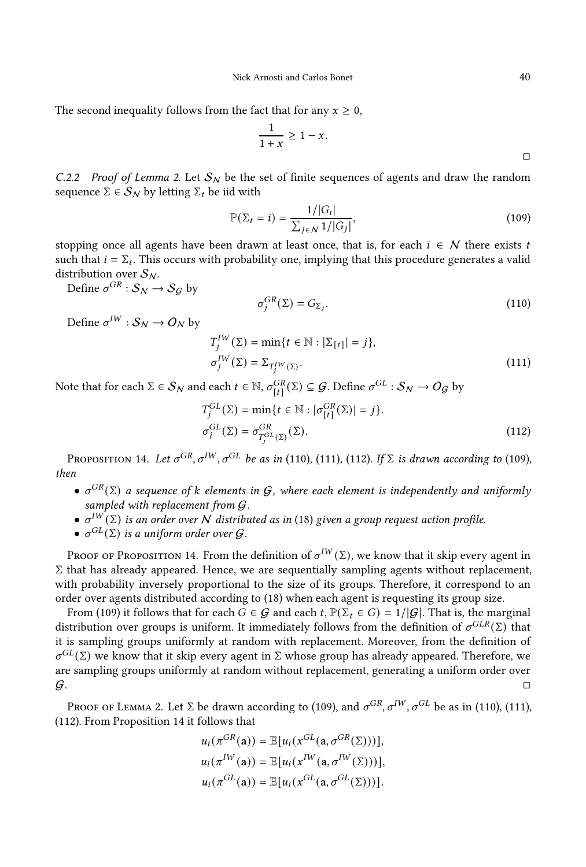The second inequality follows from the fact that for any  $x \geq 0$ ,

$$
\frac{1}{1+x} \ge 1-x.
$$

<span id="page-40-0"></span>C.2.2 Proof of Lemma [2.](#page-17-0) Let  $S_N$  be the set of finite sequences of agents and draw the random sequence  $\Sigma \in S_N$  by letting  $\Sigma_t$  be iid with

<span id="page-40-4"></span>
$$
\mathbb{P}(\Sigma_t = i) = \frac{1/|G_i|}{\sum_{j \in \mathcal{N}} 1/|G_j|},\tag{109}
$$

stopping once all agents have been drawn at least once, that is, for each  $i \in \mathcal{N}$  there exists t such that  $i = \Sigma_t$ . This occurs with probability one, implying that this procedure generates a valid distribution over  $S_N$ .

Define  $\sigma^{GR}: \mathcal{S}_N \rightarrow \mathcal{S}_{\mathcal{G}}$  by

<span id="page-40-3"></span><span id="page-40-2"></span><span id="page-40-1"></span>
$$
\sigma_j^{GR}(\Sigma) = G_{\Sigma_j}.
$$
\n(110)

Define  $\sigma^{IW}: \mathcal{S}_\mathcal{N} \to \mathcal{O}_\mathcal{N}$  by

$$
T_j^{IW}(\Sigma) = \min\{t \in \mathbb{N} : |\Sigma_{[t]}| = j\},\
$$
  

$$
\sigma_j^{IW}(\Sigma) = \Sigma_{T_j^{IW}(\Sigma)}.
$$
 (111)

Note that for each  $\Sigma \in \mathcal{S}_N$  and each  $t \in \mathbb{N}$ ,  $\sigma_{[t]}^{GR}(\Sigma) \subseteq \mathcal{G}$ . Define  $\sigma^{GL}: \mathcal{S}_N \to O_\mathcal{G}$  by

$$
T_j^{GL}(\Sigma) = \min\{t \in \mathbb{N} : |\sigma_{[t]}^{GR}(\Sigma)| = j\}.
$$
  

$$
\sigma_j^{GL}(\Sigma) = \sigma_{T_j^{GL}(\Sigma)}^{GR}(\Sigma).
$$
 (112)

<span id="page-40-5"></span>Proposition 14. Let  $\sigma^{GR}, \sigma^{IW}, \sigma^{GL}$  be as in [\(110\)](#page-40-1), [\(111\)](#page-40-2), [\(112\)](#page-40-3). If  $\Sigma$  is drawn according to [\(109\)](#page-40-4), then

- $\sigma^{GR}(\Sigma)$  a sequence of k elements in G, where each element is independently and uniformly sampled with replacement from  $G$ .
- $\bullet$   $\sigma^{IW}(\Sigma)$  is an order over  $N$  distributed as in [\(18\)](#page-14-0) given a group request action profile.
- $\sigma^{GL}(\Sigma)$  is a uniform order over  $\mathcal G$ .

Proof of Proposition [14.](#page-40-5) From the definition of  $\sigma^{IW}(\Sigma)$ , we know that it skip every agent in Σ that has already appeared. Hence, we are sequentially sampling agents without replacement, with probability inversely proportional to the size of its groups. Therefore, it correspond to an order over agents distributed according to [\(18\)](#page-14-0) when each agent is requesting its group size.

From [\(109\)](#page-40-4) it follows that for each  $G \in \mathcal{G}$  and each  $t$ ,  $\mathbb{P}(\Sigma_t \in G) = 1/|\mathcal{G}|$ . That is, the marginal distribution over groups is uniform. It immediately follows from the definition of  $\sigma^{GLR}(\Sigma)$  that it is sampling groups uniformly at random with replacement. Moreover, from the definition of  $\sigma^{GL}(\Sigma)$  we know that it skip every agent in  $\Sigma$  whose group has already appeared. Therefore, we are sampling groups uniformly at random without replacement, generating a uniform order over  $G$ .

Proof of Lemma [2.](#page-17-0) Let Σ be drawn according to [\(109\)](#page-40-4), and  $\sigma^{GR}$ ,  $\sigma^{IW}$ ,  $\sigma^{GL}$  be as in [\(110\)](#page-40-1), [\(111\)](#page-40-2), [\(112\)](#page-40-3). From Proposition [14](#page-40-5) it follows that

$$
u_i(\pi^{GR}(\mathbf{a})) = \mathbb{E}[u_i(x^{GL}(\mathbf{a}, \sigma^{GR}(\Sigma)))],
$$
  
\n
$$
u_i(\pi^{IW}(\mathbf{a})) = \mathbb{E}[u_i(x^{IW}(\mathbf{a}, \sigma^{IW}(\Sigma)))],
$$
  
\n
$$
u_i(\pi^{GL}(\mathbf{a})) = \mathbb{E}[u_i(x^{GL}(\mathbf{a}, \sigma^{GL}(\Sigma)))].
$$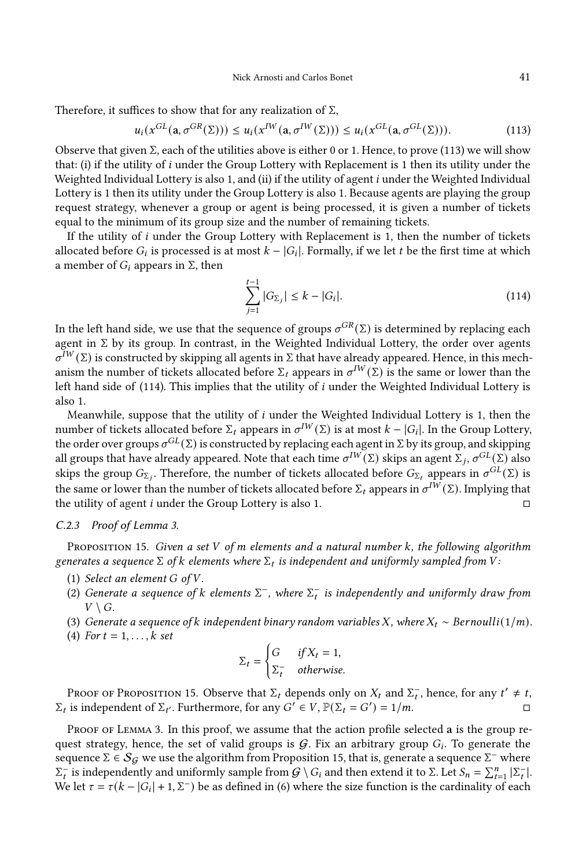Therefore, it suffices to show that for any realization of  $\Sigma$ ,

$$
u_i(x^{GL}(\mathbf{a}, \sigma^{GR}(\Sigma))) \le u_i(x^{IW}(\mathbf{a}, \sigma^{IW}(\Sigma))) \le u_i(x^{GL}(\mathbf{a}, \sigma^{GL}(\Sigma))).
$$
 (113)

Observe that given  $\Sigma$ , each of the utilities above is either 0 or 1. Hence, to prove [\(113\)](#page-41-1) we will show that: (i) if the utility of *i* under the Group Lottery with Replacement is 1 then its utility under the Weighted Individual Lottery is also 1, and (ii) if the utility of agent  $i$  under the Weighted Individual Lottery is 1 then its utility under the Group Lottery is also 1. Because agents are playing the group request strategy, whenever a group or agent is being processed, it is given a number of tickets equal to the minimum of its group size and the number of remaining tickets.

If the utility of  $i$  under the Group Lottery with Replacement is 1, then the number of tickets allocated before  $G_i$  is processed is at most  $k - |G_i|$ . Formally, if we let  $t$  be the first time at which a member of  $G_i$  appears in  $\Sigma$ , then

<span id="page-41-2"></span><span id="page-41-1"></span>
$$
\sum_{j=1}^{t-1} |G_{\Sigma_j}| \le k - |G_i|.
$$
\n(114)

In the left hand side, we use that the sequence of groups  $\sigma^{GR}(\Sigma)$  is determined by replacing each agent in  $\Sigma$  by its group. In contrast, in the Weighted Individual Lottery, the order over agents  $\sigma^{\bar{I}W}(\Sigma)$  is constructed by skipping all agents in  $\Sigma$  that have already appeared. Hence, in this mechanism the number of tickets allocated before  $\Sigma_t$  appears in  $\sigma^{IW}(\Sigma)$  is the same or lower than the left hand side of [\(114\)](#page-41-2). This implies that the utility of  $i$  under the Weighted Individual Lottery is also 1.

Meanwhile, suppose that the utility of  $i$  under the Weighted Individual Lottery is 1, then the number of tickets allocated before  $\Sigma_t$  appears in  $\sigma^{IW}(\Sigma)$  is at most  $k - |G_i|$ . In the Group Lottery, the order over groups  $\sigma^{GL}(\Sigma)$  is constructed by replacing each agent in  $\Sigma$  by its group, and skipping all groups that have already appeared. Note that each time  $\sigma^{IW}(\Sigma)$  skips an agent  $\Sigma_j, \sigma^{GL}(\Sigma)$  also skips the group  $G_{\Sigma_j}$ . Therefore, the number of tickets allocated before  $G_{\Sigma_t}$  appears in  $\sigma^{GL}(\Sigma)$  is the same or lower than the number of tickets allocated before  $\Sigma_t$  appears in  $\sigma^{IW}(\Sigma).$  Implying that the utility of agent *i* under the Group Lottery is also 1.  $\Box$ 

## <span id="page-41-0"></span>C.2.3 Proof of Lemma [3.](#page-18-1)

<span id="page-41-3"></span>PROPOSITION 15. Given a set V of  $m$  elements and a natural number  $k$ , the following algorithm generates a sequence  $\Sigma$  of  $k$  elements where  $\Sigma_t$  is independent and uniformly sampled from  $\bar{V}$  :

- (1) Select an element  $G$  of  $V$ .
- (2) Generate a sequence of k elements  $\Sigma^-$ , where  $\Sigma^-_t$  is independently and uniformly draw from  $V \setminus G$ .
- (3) Generate a sequence of  $k$  independent binary random variables  $X$ , where  $X_t \sim \text{Bernoulli}(1/m)$ .
- (4) For  $t = 1, \ldots, k$  set

$$
\Sigma_t = \begin{cases} G & \text{if } X_t = 1, \\ \Sigma_t^- & \text{otherwise.} \end{cases}
$$

Proof of Proposition [15.](#page-41-3) Observe that  $\Sigma_t$  depends only on  $X_t$  and  $\Sigma_t^-$ , hence, for any  $t' \neq t$ ,  $\Sigma_t$  is independent of  $\Sigma_{t'}$ . Furthermore, for any  $G' \in V$ ,  $\mathbb{P}(\Sigma_t = G') = 1/m$ .

PROOF OF LEMMA [3.](#page-18-1) In this proof, we assume that the action profile selected a is the group request strategy, hence, the set of valid groups is  $G$ . Fix an arbitrary group  $G_i$ . To generate the sequence  $\Sigma \in S_G$  we use the algorithm from Proposition [15,](#page-41-3) that is, generate a sequence  $\Sigma^-$  where  $\Sigma_t^-$  is independently and uniformly sample from  $G \setminus G_i$  and then extend it to  $\Sigma$ . Let  $S_n = \sum_{t=1}^n |\Sigma_t^-|$ . We let  $\tau = \tau(k - |G_i| + 1, \Sigma^{-})$  be as defined in [\(6\)](#page-8-2) where the size function is the cardinality of each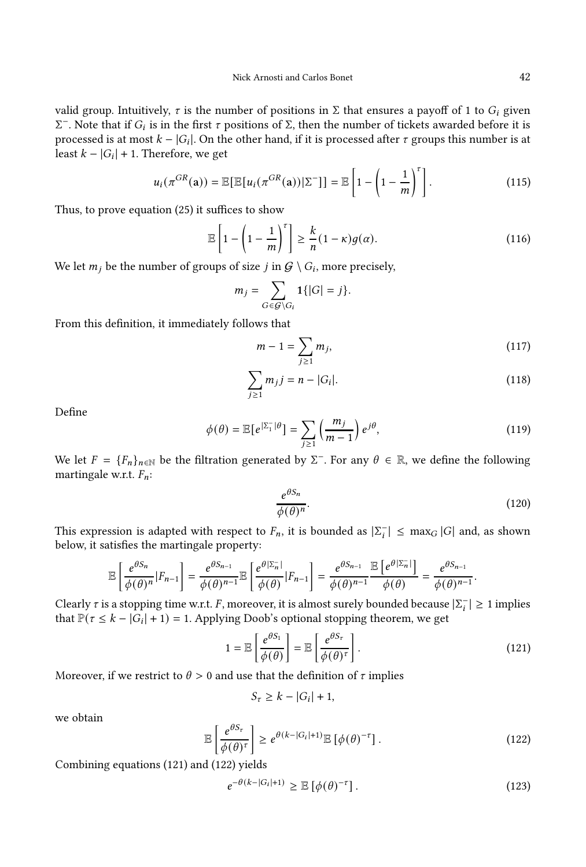valid group. Intuitively,  $\tau$  is the number of positions in  $\Sigma$  that ensures a payoff of 1 to  $G_i$  given  $\Sigma^-$ . Note that if  $G_i$  is in the first τ positions of Σ, then the number of tickets awarded before it is processed is at most  $k - |G_i|$ . On the other hand, if it is processed after  $\tau$  groups this number is at least  $k - |G_i| + 1$ . Therefore, we get

$$
u_i(\pi^{GR}(\mathbf{a})) = \mathbb{E}\big[\mathbb{E}[u_i(\pi^{GR}(\mathbf{a}))|\Sigma^-\big]\big] = \mathbb{E}\left[1 - \left(1 - \frac{1}{m}\right)^{\tau}\right].
$$
\n(115)

Thus, to prove equation [\(25\)](#page-18-5) it suffices to show

<span id="page-42-2"></span>
$$
\mathbb{E}\left[1 - \left(1 - \frac{1}{m}\right)^r\right] \ge \frac{k}{n}(1 - \kappa)g(\alpha). \tag{116}
$$

We let  $m_j$  be the number of groups of size  $j$  in  $\mathcal{G} \setminus G_i$ , more precisely,

$$
m_j = \sum_{G \in \mathcal{G} \backslash G_i} \mathbf{1}\{|G| = j\}.
$$

From this definition, it immediately follows that

<span id="page-42-5"></span><span id="page-42-4"></span>
$$
m - 1 = \sum_{j \ge 1} m_j,\tag{117}
$$

$$
\sum_{j\geq 1} m_j j = n - |G_i|.
$$
 (118)

Define

$$
\phi(\theta) = \mathbb{E}\left[e^{\left|\Sigma_{1}^{-}\right| \theta}\right] = \sum_{j \geq 1} \left(\frac{m_{j}}{m-1}\right) e^{j\theta},\tag{119}
$$

We let  $F = \{F_n\}_{n \in \mathbb{N}}$  be the filtration generated by  $\Sigma^-$ . For any  $\theta \in \mathbb{R}$ , we define the following martingale w.r.t.  $F_n$ :

$$
\frac{e^{\theta S_n}}{\phi(\theta)^n}.
$$
\n(120)

This expression is adapted with respect to  $F_n$ , it is bounded as  $|\Sigma_i^-| \leq \max_G |G|$  and, as shown below, it satisfies the martingale property:

$$
\mathbb{E}\left[\frac{e^{\theta S_n}}{\phi(\theta)^n}|F_{n-1}\right] = \frac{e^{\theta S_{n-1}}}{\phi(\theta)^{n-1}}\mathbb{E}\left[\frac{e^{\theta|\Sigma_n^-|}}{\phi(\theta)}|F_{n-1}\right] = \frac{e^{\theta S_{n-1}}}{\phi(\theta)^{n-1}}\frac{\mathbb{E}\left[e^{\theta|\Sigma_n^-|}\right]}{\phi(\theta)} = \frac{e^{\theta S_{n-1}}}{\phi(\theta)^{n-1}}.
$$

Clearly  $\tau$  is a stopping time w.r.t.  $F$ , moreover, it is almost surely bounded because  $|\Sigma_i^-| \ge 1$  implies that  $\mathbb{P}(\tau \leq k - |G_i| + 1) = 1$ . Applying Doob's optional stopping theorem, we get

<span id="page-42-0"></span>
$$
1 = \mathbb{E}\left[\frac{e^{\theta S_1}}{\phi(\theta)}\right] = \mathbb{E}\left[\frac{e^{\theta S_\tau}}{\phi(\theta)^\tau}\right].
$$
\n(121)

Moreover, if we restrict to  $\theta > 0$  and use that the definition of  $\tau$  implies

$$
S_{\tau} \geq k - |G_i| + 1,
$$

we obtain

<span id="page-42-1"></span>
$$
\mathbb{E}\left[\frac{e^{\theta S_r}}{\phi(\theta)^r}\right] \ge e^{\theta(k-|G_i|+1)} \mathbb{E}\left[\phi(\theta)^{-r}\right].\tag{122}
$$

Combining equations [\(121\)](#page-42-0) and [\(122\)](#page-42-1) yields

<span id="page-42-3"></span>
$$
e^{-\theta(k-|G_i|+1)} \geq \mathbb{E}\left[\phi(\theta)^{-\tau}\right].\tag{123}
$$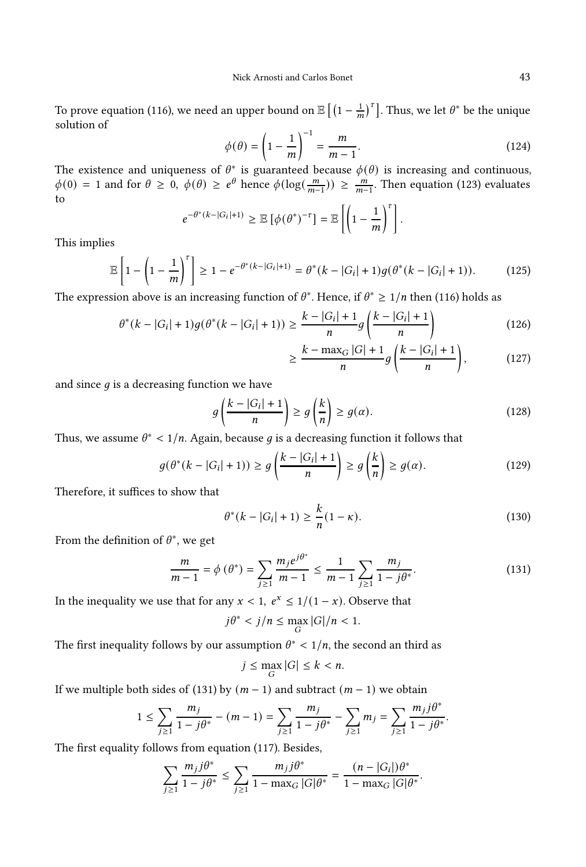To prove equation [\(116\)](#page-42-2), we need an upper bound on  $\mathbb{E}\left[\left(1-\frac{1}{m}\right)^{\tau}\right]$ . Thus, we let  $\theta^*$  be the unique solution of

$$
\phi(\theta) = \left(1 - \frac{1}{m}\right)^{-1} = \frac{m}{m-1}.\tag{124}
$$

The existence and uniqueness of  $\theta^*$  is guaranteed because  $\phi(\theta)$  is increasing and continuous,  $\phi(0) = 1$  and for  $\theta \ge 0$ ,  $\phi(\theta) \ge e^{\theta}$  hence  $\phi(\log(\frac{m}{m-1})) \ge \frac{m}{m-1}$ . Then equation [\(123\)](#page-42-3) evaluates to

$$
e^{-\theta^*(k-|G_i|+1)} \ge \mathbb{E}\left[\phi(\theta^*)^{-\tau}\right] = \mathbb{E}\left[\left(1-\frac{1}{m}\right)^{\tau}\right]
$$

This implies

$$
\mathbb{E}\left[1-\left(1-\frac{1}{m}\right)^{r}\right] \geq 1-e^{-\theta^{*}(k-|G_{i}|+1)} = \theta^{*}(k-|G_{i}|+1)g(\theta^{*}(k-|G_{i}|+1)).\tag{125}
$$

The expression above is an increasing function of  $\theta^*$ . Hence, if  $\theta^* \geq 1/n$  then [\(116\)](#page-42-2) holds as

$$
\theta^*(k - |G_i| + 1)g(\theta^*(k - |G_i| + 1)) \ge \frac{k - |G_i| + 1}{n}g\left(\frac{k - |G_i| + 1}{n}\right)
$$
\n
$$
k = \max_{i \in [k]} |G_i| + 1 \quad (k - |G_i| + 1)
$$
\n(126)

$$
\geq \frac{k - \max_{G} |G| + 1}{n} g\left(\frac{k - |G_i| + 1}{n}\right),\tag{127}
$$

.

and since  $q$  is a decreasing function we have

$$
g\left(\frac{k-|G_i|+1}{n}\right) \ge g\left(\frac{k}{n}\right) \ge g(\alpha). \tag{128}
$$

Thus, we assume  $\theta^* < 1/n$ . Again, because g is a decreasing function it follows that

$$
g(\theta^*(k - |G_i| + 1)) \ge g\left(\frac{k - |G_i| + 1}{n}\right) \ge g\left(\frac{k}{n}\right) \ge g(\alpha). \tag{129}
$$

Therefore, it suffices to show that

<span id="page-43-1"></span>
$$
\theta^*(k - |G_i| + 1) \ge \frac{k}{n}(1 - \kappa). \tag{130}
$$

From the definition of  $\theta^*$ , we get

<span id="page-43-0"></span>
$$
\frac{m}{m-1} = \phi\left(\theta^*\right) = \sum_{j\geq 1} \frac{m_j e^{j\theta^*}}{m-1} \leq \frac{1}{m-1} \sum_{j\geq 1} \frac{m_j}{1-j\theta^*}.\tag{131}
$$

In the inequality we use that for any  $x < 1$ ,  $e^x \le 1/(1-x)$ . Observe that

$$
j\theta^* < j/n \le \max_G |G|/n < 1.
$$

The first inequality follows by our assumption  $\theta^* < 1/n$ , the second an third as

$$
j \le \max_G |G| \le k < n.
$$

If we multiple both sides of [\(131\)](#page-43-0) by  $(m - 1)$  and subtract  $(m - 1)$  we obtain

$$
1 \leq \sum_{j\geq 1} \frac{m_j}{1 - j\theta^*} - (m - 1) = \sum_{j\geq 1} \frac{m_j}{1 - j\theta^*} - \sum_{j\geq 1} m_j = \sum_{j\geq 1} \frac{m_j j\theta^*}{1 - j\theta^*}.
$$

The first equality follows from equation [\(117\)](#page-42-4). Besides,

$$
\sum_{j\geq 1} \frac{m_j j \theta^*}{1 - j \theta^*} \leq \sum_{j\geq 1} \frac{m_j j \theta^*}{1 - \max_G |G| \theta^*} = \frac{(n - |G_i|) \theta^*}{1 - \max_G |G| \theta^*}.
$$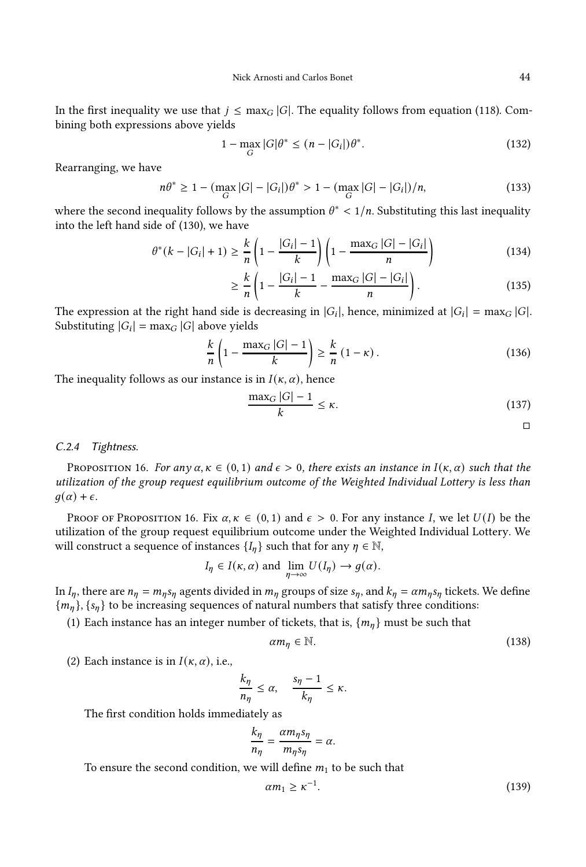In the first inequality we use that  $j \leq \max_G |G|$ . The equality follows from equation [\(118\)](#page-42-5). Combining both expressions above yields

$$
1 - \max_{G} |G|\theta^* \le (n - |G_i|)\theta^*.
$$
 (132)

Rearranging, we have

$$
n\theta^* \ge 1 - \left(\max_G |G| - |G_i|\right)\theta^* > 1 - \left(\max_G |G| - |G_i|\right)/n,\tag{133}
$$

where the second inequality follows by the assumption  $\theta^* < 1/n$ . Substituting this last inequality into the left hand side of [\(130\)](#page-43-1), we have

$$
\theta^*(k - |G_i| + 1) \ge \frac{k}{n} \left( 1 - \frac{|G_i| - 1}{k} \right) \left( 1 - \frac{\max_G |G| - |G_i|}{n} \right) \tag{134}
$$

$$
\geq \frac{k}{n} \left( 1 - \frac{|G_i| - 1}{k} - \frac{\max_G |G| - |G_i|}{n} \right). \tag{135}
$$

The expression at the right hand side is decreasing in  $|G_i|$ , hence, minimized at  $|G_i| = \max_G |G|$ . Substituting  $|G_i| = \max_G |G|$  above yields

$$
\frac{k}{n}\left(1-\frac{\max_{G}|G|-1}{k}\right)\geq\frac{k}{n}\left(1-\kappa\right).
$$
\n(136)

The inequality follows as our instance is in  $I(\kappa, \alpha)$ , hence

$$
\frac{\max_G |G| - 1}{k} \le \kappa. \tag{137}
$$

 $\Box$ 

#### C.2.4 Tightness.

<span id="page-44-0"></span>PROPOSITION 16. For any  $\alpha, \kappa \in (0, 1)$  and  $\epsilon > 0$ , there exists an instance in  $I(\kappa, \alpha)$  such that the utilization of the group request equilibrium outcome of the Weighted Individual Lottery is less than  $q(\alpha) + \epsilon$ .

PROOF OF PROPOSITION [16.](#page-44-0) Fix  $\alpha, \kappa \in (0, 1)$  and  $\epsilon > 0$ . For any instance I, we let  $U(I)$  be the utilization of the group request equilibrium outcome under the Weighted Individual Lottery. We will construct a sequence of instances  $\{I_n\}$  such that for any  $\eta \in \mathbb{N}$ ,

$$
I_{\eta} \in I(\kappa, \alpha)
$$
 and  $\lim_{\eta \to \infty} U(I_{\eta}) \to g(\alpha)$ .

In  $I_n$ , there are  $n_n = m_n s_n$  agents divided in  $m_n$  groups of size  $s_n$ , and  $k_n = \alpha m_n s_n$  tickets. We define  ${m_n}$ ,  ${s_n}$  to be increasing sequences of natural numbers that satisfy three conditions:

(1) Each instance has an integer number of tickets, that is,  $\{m_{\eta}\}\$  must be such that

<span id="page-44-2"></span>
$$
\alpha m_{\eta} \in \mathbb{N}.\tag{138}
$$

(2) Each instance is in  $I(\kappa, \alpha)$ , i.e.,

$$
\frac{k_{\eta}}{n_{\eta}} \leq \alpha, \quad \frac{s_{\eta}-1}{k_{\eta}} \leq \kappa.
$$

The first condition holds immediately as

$$
\frac{k_{\eta}}{n_{\eta}} = \frac{\alpha m_{\eta} s_{\eta}}{m_{\eta} s_{\eta}} = \alpha.
$$

To ensure the second condition, we will define  $m_1$  to be such that

<span id="page-44-1"></span>
$$
\alpha m_1 \ge \kappa^{-1}.\tag{139}
$$